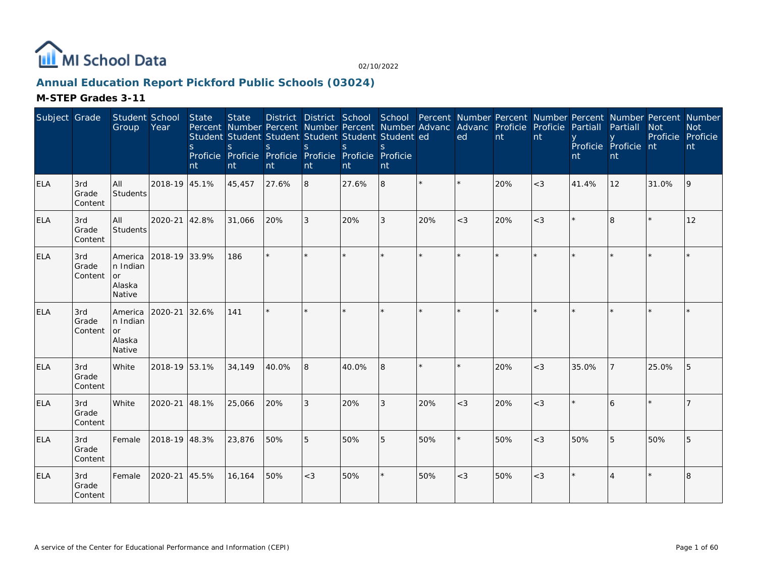

# **Annual Education Report Pickford Public Schools (03024)**

| Subject Grade |                         | Student School<br>Group                                     | Year          | <b>State</b><br><sub>S</sub><br>nt | State<br>$\mathsf{S}$<br>nt | Percent Number Percent Number Percent Number Advanc Advanc Proficie Proficie<br>Student Student Student Student Student Student ed<br>S.<br>Proficie Proficie Proficie Proficie Proficie Proficie<br>nt | <sub>S</sub><br>nt | <sub>S</sub><br>nt | $\mathcal{S}$<br>nt |         | ed      | nt  | nt    | Partiall<br>nt | District District School School Percent Number Percent Number Percent Number Percent Number<br>Partiall<br>Proficie Proficie nt<br>nt | <b>Not</b><br>Proficie Proficie | <b>Not</b><br>nt |
|---------------|-------------------------|-------------------------------------------------------------|---------------|------------------------------------|-----------------------------|---------------------------------------------------------------------------------------------------------------------------------------------------------------------------------------------------------|--------------------|--------------------|---------------------|---------|---------|-----|-------|----------------|---------------------------------------------------------------------------------------------------------------------------------------|---------------------------------|------------------|
| <b>ELA</b>    | 3rd<br>Grade<br>Content | All<br>Students                                             | 2018-19 45.1% |                                    | 45,457                      | 27.6%                                                                                                                                                                                                   | 8                  | 27.6%              | 8                   |         |         | 20% | $<$ 3 | 41.4%          | 12                                                                                                                                    | 31.0%                           | 9                |
| ELA           | 3rd<br>Grade<br>Content | All<br>Students                                             | 2020-21 42.8% |                                    | 31,066                      | 20%                                                                                                                                                                                                     | 3                  | 20%                | 3                   | 20%     | $<$ 3   | 20% | $<$ 3 |                | 8                                                                                                                                     |                                 | 12               |
| <b>ELA</b>    | 3rd<br>Grade<br>Content | <b>America</b><br>n Indian<br><b>or</b><br>Alaska<br>Native | 2018-19 33.9% |                                    | 186                         | $\star$                                                                                                                                                                                                 |                    |                    | $\star$             | $\star$ | $\star$ |     |       |                |                                                                                                                                       |                                 |                  |
| <b>ELA</b>    | 3rd<br>Grade<br>Content | <b>America</b><br>n Indian<br>or<br>Alaska<br>Native        | 2020-21       | 32.6%                              | 141                         | $\star$                                                                                                                                                                                                 |                    |                    |                     |         |         |     |       |                |                                                                                                                                       |                                 |                  |
| ELA           | 3rd<br>Grade<br>Content | White                                                       | 2018-19 53.1% |                                    | 34,149                      | 40.0%                                                                                                                                                                                                   | 8                  | 40.0%              | 8                   |         |         | 20% | $<$ 3 | 35.0%          |                                                                                                                                       | 25.0%                           | 5                |
| <b>ELA</b>    | 3rd<br>Grade<br>Content | White                                                       | 2020-21       | 48.1%                              | 25,066                      | 20%                                                                                                                                                                                                     | 3                  | 20%                | 3                   | 20%     | $<$ 3   | 20% | $<$ 3 |                |                                                                                                                                       |                                 |                  |
| ELA           | 3rd<br>Grade<br>Content | Female                                                      | 2018-19 48.3% |                                    | 23,876                      | 50%                                                                                                                                                                                                     | 5                  | 50%                | 5                   | 50%     |         | 50% | $<$ 3 | 50%            | 5                                                                                                                                     | 50%                             | 5                |
| <b>ELA</b>    | 3rd<br>Grade<br>Content | Female                                                      | 2020-21 45.5% |                                    | 16,164                      | 50%                                                                                                                                                                                                     | $<$ 3              | 50%                | $\star$             | 50%     | $<$ 3   | 50% | $<$ 3 |                |                                                                                                                                       |                                 | 8                |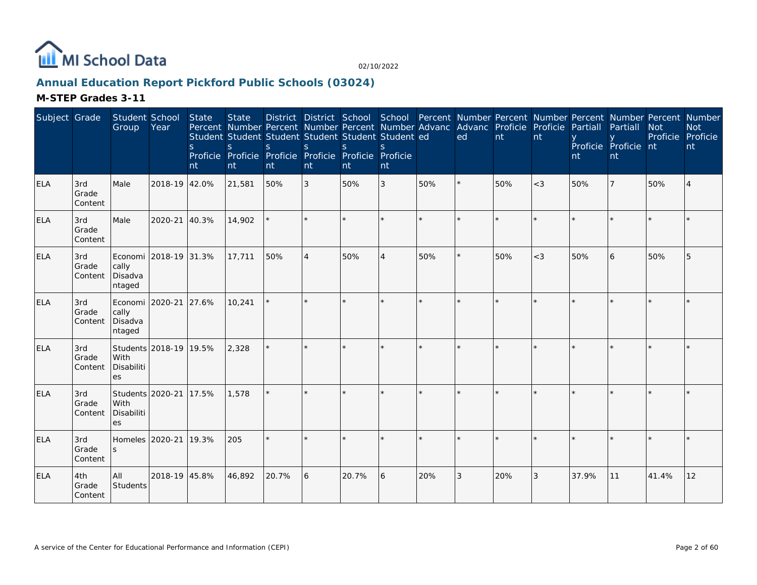

# **Annual Education Report Pickford Public Schools (03024)**

| Subject Grade |                         | Student School<br>Group                       | Year                   | State<br><sub>S</sub><br>nt | <b>State</b><br>$\mathsf{S}$<br>nt | District District School School Percent Number Percent Number Percent Number Percent Number<br>Percent Number Percent Number Percent Number Advanc Advanc Proficie Proficie<br>Student Student Student Student Student Student ed<br><sub>S</sub><br>Proficie Proficie Proficie Proficie Proficie Proficie<br>nt | <sub>S</sub><br>nt | $\mathbf S$<br>nt | S.<br>nt |         | ed      | nt  | nt    | Partiall<br>nt | Partiall<br>Proficie Proficie nt<br>nt | <b>Not</b><br>Proficie | <b>Not</b><br>Proficie<br>nt |
|---------------|-------------------------|-----------------------------------------------|------------------------|-----------------------------|------------------------------------|------------------------------------------------------------------------------------------------------------------------------------------------------------------------------------------------------------------------------------------------------------------------------------------------------------------|--------------------|-------------------|----------|---------|---------|-----|-------|----------------|----------------------------------------|------------------------|------------------------------|
| <b>ELA</b>    | 3rd<br>Grade<br>Content | Male                                          | 2018-19 42.0%          |                             | 21,581                             | 50%                                                                                                                                                                                                                                                                                                              | 3                  | 50%               | 3        | 50%     |         | 50% | $<$ 3 | 50%            |                                        | 50%                    | 4                            |
| <b>ELA</b>    | 3rd<br>Grade<br>Content | Male                                          | 2020-21                | 40.3%                       | 14,902                             |                                                                                                                                                                                                                                                                                                                  |                    |                   | $\star$  | $\star$ |         |     |       |                |                                        |                        |                              |
| ELA           | 3rd<br>Grade<br>Content | cally<br>Disadva<br>ntaged                    | Economi 2018-19 31.3%  |                             | 17,711                             | 50%                                                                                                                                                                                                                                                                                                              | $\overline{4}$     | 50%               | 4        | 50%     |         | 50% | $<$ 3 | 50%            | 6                                      | 50%                    | 5                            |
| <b>ELA</b>    | 3rd<br>Grade<br>Content | Economi 2020-21<br>cally<br>Disadva<br>ntaged |                        | 27.6%                       | 10,241                             |                                                                                                                                                                                                                                                                                                                  | ×.                 |                   | $\star$  |         | $\star$ |     |       |                |                                        |                        |                              |
| ELA           | 3rd<br>Grade<br>Content | With<br>Disabiliti<br>es                      | Students 2018-19 19.5% |                             | 2,328                              |                                                                                                                                                                                                                                                                                                                  |                    |                   |          |         |         |     |       |                |                                        |                        |                              |
| <b>ELA</b>    | 3rd<br>Grade<br>Content | Students 2020-21<br>With<br>Disabiliti<br>es  |                        | 17.5%                       | 1,578                              |                                                                                                                                                                                                                                                                                                                  |                    |                   |          |         |         |     |       |                |                                        |                        |                              |
| <b>ELA</b>    | 3rd<br>Grade<br>Content | Homeles 2020-21<br>S                          |                        | 19.3%                       | 205                                |                                                                                                                                                                                                                                                                                                                  |                    |                   |          |         |         |     |       |                |                                        |                        |                              |
| <b>ELA</b>    | 4th<br>Grade<br>Content | All<br>Students                               | 2018-19 45.8%          |                             | 46,892                             | 20.7%                                                                                                                                                                                                                                                                                                            | 6                  | 20.7%             | 6        | 20%     | 3       | 20% | 3     | 37.9%          | 11                                     | 41.4%                  | 12                           |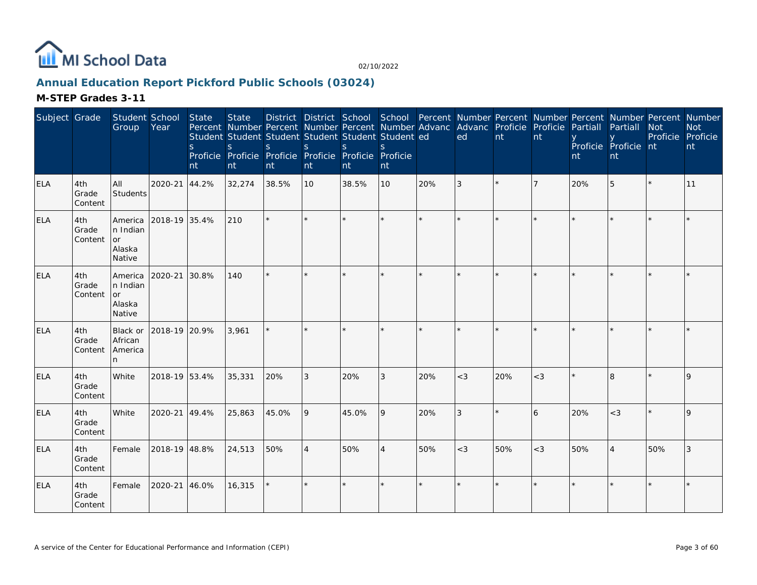

# **Annual Education Report Pickford Public Schools (03024)**

| Subject Grade |                         | Student School<br>Group                         | Year          | <b>State</b><br><sub>S</sub><br>nt | <b>State</b><br>Percent Number Percent Number Percent Number Advanc Advanc Proficie Proficie<br>Student Student Student Student Student Student ed<br>S<br>Proficie Proficie Proficie Proficie Proficie Proficie<br>nt | S.<br>nt | S<br>nt        | <sub>S</sub><br>nt | S.<br>nt |         | ed      | nt  | nt    | Partiall<br>nt | District District School School Percent Number Percent Number Percent Number Percent Number<br>Partiall<br>Proficie Proficie nt<br>nt | <b>Not</b><br>Proficie Proficie | <b>Not</b><br>nt |
|---------------|-------------------------|-------------------------------------------------|---------------|------------------------------------|------------------------------------------------------------------------------------------------------------------------------------------------------------------------------------------------------------------------|----------|----------------|--------------------|----------|---------|---------|-----|-------|----------------|---------------------------------------------------------------------------------------------------------------------------------------|---------------------------------|------------------|
| <b>ELA</b>    | 4th<br>Grade<br>Content | <b>AII</b><br>Students                          | 2020-21       | 44.2%                              | 32,274                                                                                                                                                                                                                 | 38.5%    | 10             | 38.5%              | 10       | 20%     | 3       |     |       | 20%            | 5                                                                                                                                     | $\star$                         | 11               |
| <b>ELA</b>    | 4th<br>Grade<br>Content | America<br>n Indian<br>l or<br>Alaska<br>Native | 2018-19 35.4% |                                    | 210                                                                                                                                                                                                                    | $\star$  |                |                    | $\star$  | $\star$ | $\star$ |     |       |                |                                                                                                                                       |                                 |                  |
| <b>ELA</b>    | 4th<br>Grade<br>Content | America<br>n Indian<br>or<br>Alaska<br>Native   | 2020-21       | 30.8%                              | 140                                                                                                                                                                                                                    | $\star$  |                |                    | $\star$  |         | $\star$ |     |       |                |                                                                                                                                       |                                 |                  |
| <b>ELA</b>    | 4th<br>Grade<br>Content | Black or<br>African<br>America                  | 2018-19 20.9% |                                    | 3,961                                                                                                                                                                                                                  |          |                |                    | ×.       | $\star$ |         |     |       |                |                                                                                                                                       |                                 |                  |
| <b>ELA</b>    | 4th<br>Grade<br>Content | White                                           | 2018-19 53.4% |                                    | 35,331                                                                                                                                                                                                                 | 20%      | 3              | 20%                | 3        | 20%     | $<$ 3   | 20% | $<$ 3 |                | 8                                                                                                                                     |                                 | 9                |
| <b>ELA</b>    | 4th<br>Grade<br>Content | <b>White</b>                                    | 2020-21 49.4% |                                    | 25,863                                                                                                                                                                                                                 | 45.0%    | 9              | 45.0%              | 9        | 20%     | 3       |     | 6     | 20%            | $<$ 3                                                                                                                                 |                                 | 9                |
| <b>ELA</b>    | 4th<br>Grade<br>Content | Female                                          | 2018-19 48.8% |                                    | 24,513                                                                                                                                                                                                                 | 50%      | $\overline{4}$ | 50%                | 4        | 50%     | $<$ 3   | 50% | $<$ 3 | 50%            |                                                                                                                                       | 50%                             | 3                |
| <b>ELA</b>    | 4th<br>Grade<br>Content | Female                                          | 2020-21 46.0% |                                    | 16,315                                                                                                                                                                                                                 |          |                |                    | $\star$  |         |         |     |       |                |                                                                                                                                       |                                 |                  |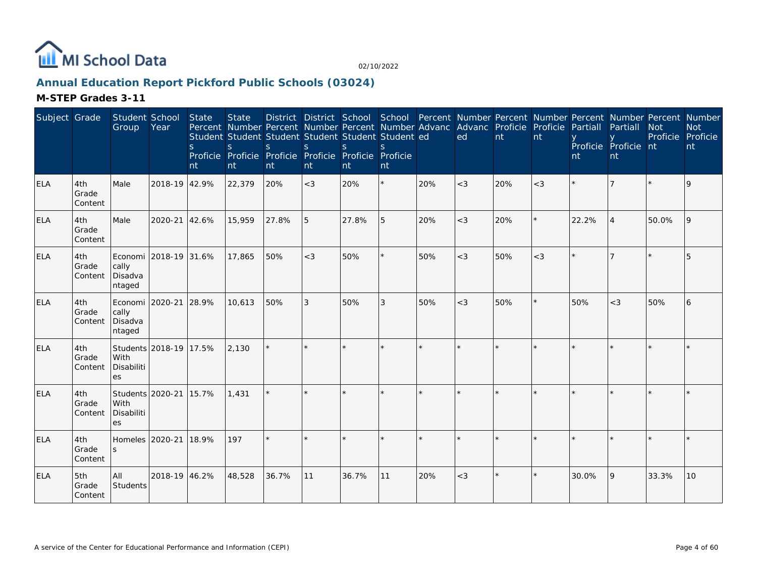

# **Annual Education Report Pickford Public Schools (03024)**

| Subject Grade |                         | Student School<br>Group                       | Year                   | State<br>$\mathsf{S}$<br>nt | <b>State</b><br>$\mathsf{S}$<br>nt | Percent Number Percent Number Percent Number Advanc Advanc Proficie Proficie<br>Student Student Student Student Student Student ed<br><sub>S</sub><br>Proficie Proficie Proficie Proficie Proficie Proficie<br>nt | <sub>S</sub><br>nt | $\mathbf S$<br>nt | S.<br>nt |     | District District School School Percent Number Percent Number Percent Number Percent Number<br>ed | nt  | nt      | Partiall<br>nt | Partiall<br>Proficie Proficie nt<br>nt | <b>Not</b><br>Proficie | <b>Not</b><br>Proficie<br>nt |
|---------------|-------------------------|-----------------------------------------------|------------------------|-----------------------------|------------------------------------|-------------------------------------------------------------------------------------------------------------------------------------------------------------------------------------------------------------------|--------------------|-------------------|----------|-----|---------------------------------------------------------------------------------------------------|-----|---------|----------------|----------------------------------------|------------------------|------------------------------|
| <b>ELA</b>    | 4th<br>Grade<br>Content | Male                                          | 2018-19 42.9%          |                             | 22,379                             | 20%                                                                                                                                                                                                               | $<$ 3              | 20%               | $\star$  | 20% | $<$ 3                                                                                             | 20% | $<$ 3   |                |                                        |                        | 9                            |
| <b>ELA</b>    | 4th<br>Grade<br>Content | Male                                          | 2020-21                | 42.6%                       | 15,959                             | 27.8%                                                                                                                                                                                                             | 5                  | 27.8%             | 5        | 20% | $<$ 3                                                                                             | 20% |         | 22.2%          |                                        | 50.0%                  | 9                            |
| ELA           | 4th<br>Grade<br>Content | cally<br>Disadva<br>ntaged                    | Economi 2018-19 31.6%  |                             | 17.865                             | 50%                                                                                                                                                                                                               | $<$ 3              | 50%               | ×.       | 50% | $<$ 3                                                                                             | 50% | $\lt3$  |                |                                        |                        | 5                            |
| <b>ELA</b>    | 4th<br>Grade<br>Content | Economi 2020-21<br>cally<br>Disadva<br>ntaged |                        | 28.9%                       | 10.613                             | 50%                                                                                                                                                                                                               | 3                  | 50%               | 3        | 50% | $<$ 3                                                                                             | 50% | $\star$ | 50%            | $<$ 3                                  | 50%                    | 6                            |
| <b>ELA</b>    | 4th<br>Grade<br>Content | With<br>Disabiliti<br><b>es</b>               | Students 2018-19 17.5% |                             | 2,130                              |                                                                                                                                                                                                                   |                    |                   |          |     |                                                                                                   |     |         |                |                                        |                        |                              |
| <b>ELA</b>    | 4th<br>Grade<br>Content | Students 2020-21<br>With<br>Disabiliti<br>es  |                        | 15.7%                       | 1,431                              |                                                                                                                                                                                                                   | ×.                 |                   | $\star$  |     |                                                                                                   |     |         |                |                                        |                        |                              |
| <b>ELA</b>    | 4th<br>Grade<br>Content | Homeles 2020-21<br>S                          |                        | 18.9%                       | 197                                | ÷.                                                                                                                                                                                                                |                    |                   | ÷.       |     | $\mathbf{r}$                                                                                      |     |         |                |                                        |                        |                              |
| <b>ELA</b>    | 5th<br>Grade<br>Content | All<br>Students                               | 2018-19 46.2%          |                             | 48,528                             | 36.7%                                                                                                                                                                                                             | 11                 | 36.7%             | 11       | 20% | $<$ 3                                                                                             |     |         | 30.0%          | 9                                      | 33.3%                  | 10                           |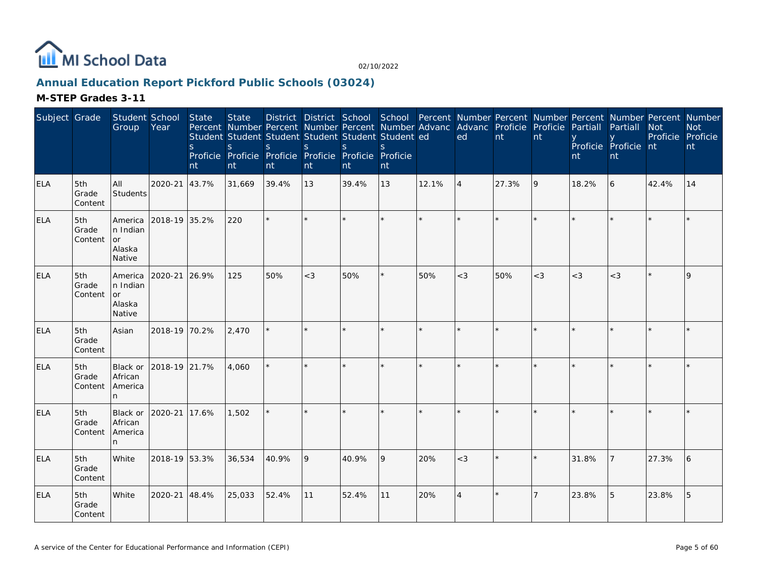

# **Annual Education Report Pickford Public Schools (03024)**

| Subject Grade |                         | Student School<br>Group                              | Year          | <b>State</b><br><sub>S</sub><br>nt | <b>State</b><br>Percent Number Percent Number Percent Number Advanc Advanc Proficie Proficie<br>Student Student Student Student Student Student ed<br>S<br>Proficie Proficie Proficie Proficie Proficie Proficie<br>nt | S.<br>nt | <sub>S</sub><br>nt | <sub>S</sub><br>nt | $\mathcal{S}$<br>nt |       | ed             | nt    | nt     | Partiall<br>nt | District District School School Percent Number Percent Number Percent Number Percent Number<br>Partiall<br>Proficie Proficie nt<br>nt | <b>Not</b><br>Proficie Proficie | <b>Not</b><br>nt |
|---------------|-------------------------|------------------------------------------------------|---------------|------------------------------------|------------------------------------------------------------------------------------------------------------------------------------------------------------------------------------------------------------------------|----------|--------------------|--------------------|---------------------|-------|----------------|-------|--------|----------------|---------------------------------------------------------------------------------------------------------------------------------------|---------------------------------|------------------|
| <b>ELA</b>    | 5th<br>Grade<br>Content | All<br><b>Students</b>                               | 2020-21       | 43.7%                              | 31,669                                                                                                                                                                                                                 | 39.4%    | 13                 | 39.4%              | 13                  | 12.1% | $\overline{4}$ | 27.3% | 9      | 18.2%          | 6                                                                                                                                     | 42.4%                           | 14               |
| <b>ELA</b>    | 5th<br>Grade<br>Content | America<br>n Indian<br>or<br>Alaska<br>Native        | 2018-19 35.2% |                                    | 220                                                                                                                                                                                                                    |          |                    |                    | $\star$             |       |                |       |        |                |                                                                                                                                       |                                 |                  |
| <b>ELA</b>    | 5th<br>Grade<br>Content | America<br>n Indian<br>or<br><b>Alaska</b><br>Native | 2020-21       | 26.9%                              | 125                                                                                                                                                                                                                    | 50%      | $<$ 3              | 50%                | $\star$             | 50%   | $<$ 3          | 50%   | $\lt3$ | $<$ 3          | $<$ 3                                                                                                                                 |                                 | 9                |
| <b>ELA</b>    | 5th<br>Grade<br>Content | Asian                                                | 2018-19 70.2% |                                    | 2,470                                                                                                                                                                                                                  |          |                    |                    | ×.                  |       | $\star$        |       |        |                |                                                                                                                                       |                                 |                  |
| <b>ELA</b>    | 5th<br>Grade<br>Content | Black or<br>African<br>America<br>n.                 | 2018-19 21.7% |                                    | 4.060                                                                                                                                                                                                                  | $\star$  |                    |                    | ×.                  |       | $\star$        |       |        |                |                                                                                                                                       |                                 |                  |
| <b>ELA</b>    | 5th<br>Grade<br>Content | Black or<br>African<br>America                       | 2020-21       | 17.6%                              | 1,502                                                                                                                                                                                                                  |          |                    |                    | k.                  |       |                |       |        |                |                                                                                                                                       |                                 |                  |
| <b>ELA</b>    | 5th<br>Grade<br>Content | White                                                | 2018-19 53.3% |                                    | 36,534                                                                                                                                                                                                                 | 40.9%    | 9                  | 40.9%              | 9                   | 20%   | $<$ 3          |       |        | 31.8%          |                                                                                                                                       | 27.3%                           | 16               |
| <b>ELA</b>    | 5th<br>Grade<br>Content | White                                                | 2020-21 48.4% |                                    | 25,033                                                                                                                                                                                                                 | 52.4%    | 11                 | 52.4%              | 11                  | 20%   | $\Delta$       |       |        | 23.8%          | 5                                                                                                                                     | 23.8%                           | 5                |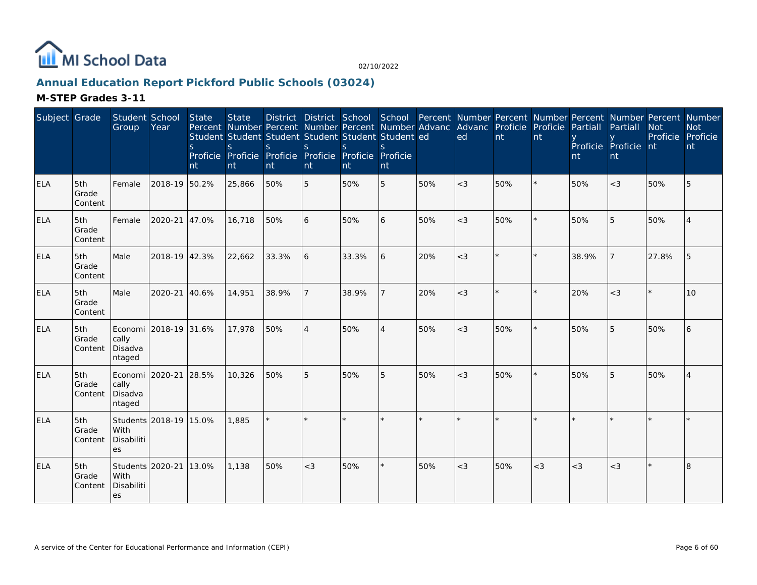

# **Annual Education Report Pickford Public Schools (03024)**

| Subject Grade |                         | Student School<br>Group                       | Year                   | State<br><sub>S</sub><br>nt | <b>State</b><br>$\mathsf{S}$<br>nt | Percent Number Percent Number Percent Number Advanc Advanc Proficie Proficie<br>Student Student Student Student Student Student ed<br><sub>S</sub><br>Proficie Proficie Proficie Proficie Proficie Proficie<br>nt | <sub>S</sub><br>nt | $\mathbf S$<br>nt | S.<br>nt       |     | ed      | nt  | nt      | Partiall<br>nt | District District School School Percent Number Percent Number Percent Number Percent Number<br>Partiall<br>Proficie Proficie nt<br>nt | <b>Not</b><br>Proficie | <b>Not</b><br>Proficie<br>nt |
|---------------|-------------------------|-----------------------------------------------|------------------------|-----------------------------|------------------------------------|-------------------------------------------------------------------------------------------------------------------------------------------------------------------------------------------------------------------|--------------------|-------------------|----------------|-----|---------|-----|---------|----------------|---------------------------------------------------------------------------------------------------------------------------------------|------------------------|------------------------------|
| <b>ELA</b>    | 5th<br>Grade<br>Content | Female                                        | 2018-19 50.2%          |                             | 25,866                             | 50%                                                                                                                                                                                                               | 5                  | 50%               | 5              | 50% | $<$ 3   | 50% |         | 50%            | $<$ 3                                                                                                                                 | 50%                    | 5                            |
| <b>ELA</b>    | 5th<br>Grade<br>Content | Female                                        | 2020-21                | 47.0%                       | 16,718                             | 50%                                                                                                                                                                                                               | 6                  | 50%               | 6              | 50% | $<$ 3   | 50% | $\star$ | 50%            | 5                                                                                                                                     | 50%                    |                              |
| <b>ELA</b>    | 5th<br>Grade<br>Content | Male                                          | 2018-19 42.3%          |                             | 22,662                             | 33.3%                                                                                                                                                                                                             | 6                  | 33.3%             | 6              | 20% | $<$ 3   |     |         | 38.9%          |                                                                                                                                       | 27.8%                  | 5                            |
| <b>ELA</b>    | 5th<br>Grade<br>Content | Male                                          | 2020-21                | 40.6%                       | 14,951                             | 38.9%                                                                                                                                                                                                             | $\overline{7}$     | 38.9%             |                | 20% | $\lt$ 3 |     |         | 20%            | $<$ 3                                                                                                                                 | $\star$                | 10 <sup>1</sup>              |
| <b>ELA</b>    | 5th<br>Grade<br>Content | cally<br>Disadva<br>ntaged                    | Economi 2018-19 31.6%  |                             | 17,978                             | 50%                                                                                                                                                                                                               | $\overline{4}$     | 50%               | $\overline{4}$ | 50% | $<$ 3   | 50% |         | 50%            | 5                                                                                                                                     | 50%                    | 6                            |
| <b>ELA</b>    | 5th<br>Grade<br>Content | Economi 2020-21<br>cally<br>Disadva<br>ntaged |                        | 28.5%                       | 10,326                             | 50%                                                                                                                                                                                                               | 5                  | 50%               | 5              | 50% | $<$ 3   | 50% | ×.      | 50%            | 5                                                                                                                                     | 50%                    | $\overline{4}$               |
| <b>ELA</b>    | 5th<br>Grade<br>Content | With<br>Disabiliti<br>es                      | Students 2018-19 15.0% |                             | 1,885                              |                                                                                                                                                                                                                   | $\star$            |                   |                |     |         |     |         |                |                                                                                                                                       |                        |                              |
| <b>ELA</b>    | 5th<br>Grade<br>Content | Students 2020-21<br>With<br>Disabiliti<br>es  |                        | 13.0%                       | 1,138                              | 50%                                                                                                                                                                                                               | $<$ 3              | 50%               | ×              | 50% | $<$ 3   | 50% | $<$ 3   | $<$ 3          | $<$ 3                                                                                                                                 |                        | 8                            |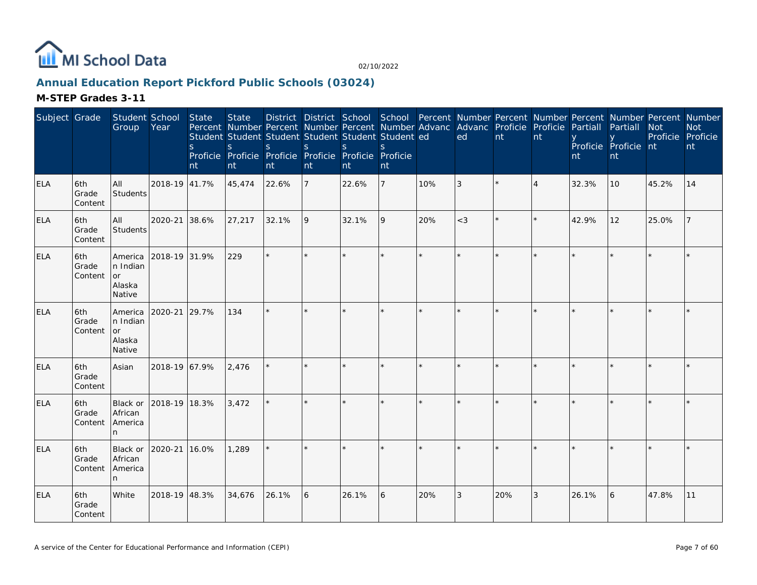

# **Annual Education Report Pickford Public Schools (03024)**

| Subject Grade |                         | Student School<br>Group                        | Year          | State<br><sub>S</sub><br>Int | <b>State</b><br>S<br>nt | S.<br>nt | <sub>S</sub><br>nt | District District School School Percent Number Percent Number Percent Number Percent Number<br>Percent Number Percent Number Percent Number Advanc Advanc Proficie Proficie Partiall<br>Student Student Student Student Student Student ed<br>S.<br>Proficie Proficie Proficie Proficie Proficie Proficie<br>nt | S.<br>nt       |         | ed      | nt  | nt             | nt      | Partiall<br>Proficie Proficie nt<br>nt | <b>Not</b><br>Proficie Proficie | <b>Not</b><br>nt |
|---------------|-------------------------|------------------------------------------------|---------------|------------------------------|-------------------------|----------|--------------------|-----------------------------------------------------------------------------------------------------------------------------------------------------------------------------------------------------------------------------------------------------------------------------------------------------------------|----------------|---------|---------|-----|----------------|---------|----------------------------------------|---------------------------------|------------------|
| <b>ELA</b>    | 6th<br>Grade<br>Content | All<br><b>Students</b>                         | 2018-19 41.7% |                              | 45,474                  | 22.6%    | 7                  | 22.6%                                                                                                                                                                                                                                                                                                           | $\overline{7}$ | 10%     | 3       |     | $\overline{4}$ | 32.3%   | 10                                     | 45.2%                           | 14               |
| <b>ELA</b>    | 6th<br>Grade<br>Content | All<br>Students                                | 2020-21       | 38.6%                        | 27,217                  | 32.1%    | 9                  | 32.1%                                                                                                                                                                                                                                                                                                           | 9              | 20%     | $<$ 3   |     |                | 42.9%   | 12                                     | 25.0%                           |                  |
| <b>ELA</b>    | 6th<br>Grade<br>Content | America<br>In Indian<br>or<br>Alaska<br>Native | 2018-19 31.9% |                              | 229                     | $\star$  |                    |                                                                                                                                                                                                                                                                                                                 |                | $\star$ |         |     |                |         |                                        |                                 |                  |
| <b>ELA</b>    | 6th<br>Grade<br>Content | America<br>n Indian<br>or<br>Alaska<br>Native  | 2020-21       | 29.7%                        | 134                     | $\star$  |                    |                                                                                                                                                                                                                                                                                                                 |                |         | $\star$ |     |                |         |                                        |                                 |                  |
| ELA           | 6th<br>Grade<br>Content | Asian                                          | 2018-19 67.9% |                              | 2,476                   |          | $\star$            |                                                                                                                                                                                                                                                                                                                 |                |         | $\star$ |     | $\star$        | $\star$ |                                        |                                 |                  |
| <b>ELA</b>    | 6th<br>Grade<br>Content | Black or<br>African<br>America<br>n            | 2018-19 18.3% |                              | 3,472                   |          |                    |                                                                                                                                                                                                                                                                                                                 |                |         |         |     |                |         |                                        |                                 |                  |
| ELA           | 6th<br>Grade<br>Content | Black or<br>African<br>America<br>n            | 2020-21       | 16.0%                        | 1,289                   |          |                    |                                                                                                                                                                                                                                                                                                                 |                |         |         |     |                |         |                                        |                                 |                  |
| <b>ELA</b>    | 6th<br>Grade<br>Content | White                                          | 2018-19 48.3% |                              | 34,676                  | 26.1%    | 6                  | 26.1%                                                                                                                                                                                                                                                                                                           | 6              | 20%     | 3       | 20% | 3              | 26.1%   | 6                                      | 47.8%                           | 11               |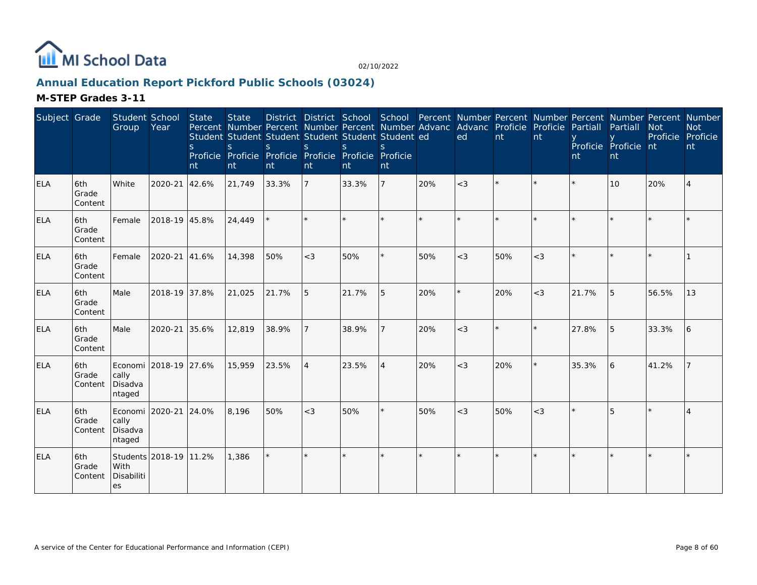

# **Annual Education Report Pickford Public Schools (03024)**

| Subject Grade |                         | Student School<br>Group                             | Year          | <b>State</b><br><sub>S</sub><br>nt | <b>State</b><br>Percent Number Percent Number Percent Number Advanc Advanc Proficie Proficie<br>Student Student Student Student Student Student ed<br><sub>S</sub><br>Proficie Proficie Proficie Proficie Proficie Proficie<br>nt | S.<br>nt | $\mathsf{S}$<br>nt | <sub>S</sub><br>Int | nt             |         | ed      | nt  | nt    | Partiall<br>nt | District District School School Percent Number Percent Number Percent Number Percent Number<br>Partiall<br>Proficie Proficie nt<br>nt | <b>Not</b><br>Proficie Proficie | <b>Not</b><br>nt |
|---------------|-------------------------|-----------------------------------------------------|---------------|------------------------------------|-----------------------------------------------------------------------------------------------------------------------------------------------------------------------------------------------------------------------------------|----------|--------------------|---------------------|----------------|---------|---------|-----|-------|----------------|---------------------------------------------------------------------------------------------------------------------------------------|---------------------------------|------------------|
| <b>ELA</b>    | 6th<br>Grade<br>Content | White                                               | 2020-21       | 42.6%                              | 21,749                                                                                                                                                                                                                            | 33.3%    | $\overline{7}$     | 33.3%               | $\overline{7}$ | 20%     | $<$ 3   |     |       |                | 10                                                                                                                                    | 20%                             | 4                |
| ELA           | 6th<br>Grade<br>Content | Female                                              | 2018-19 45.8% |                                    | 24,449                                                                                                                                                                                                                            |          |                    |                     |                |         | $\star$ |     |       |                |                                                                                                                                       |                                 |                  |
| <b>ELA</b>    | 6th<br>Grade<br>Content | Female                                              | 2020-21       | 41.6%                              | 14,398                                                                                                                                                                                                                            | 50%      | $<$ 3              | 50%                 | ×.             | 50%     | $<$ 3   | 50% | $<$ 3 |                |                                                                                                                                       |                                 |                  |
| <b>ELA</b>    | 6th<br>Grade<br>Content | Male                                                | 2018-19 37.8% |                                    | 21,025                                                                                                                                                                                                                            | 21.7%    | 5                  | 21.7%               | 5              | 20%     | $\star$ | 20% | $<$ 3 | 21.7%          | 5                                                                                                                                     | 56.5%                           | 13               |
| ELA           | 6th<br>Grade<br>Content | Male                                                | 2020-21       | 35.6%                              | 12,819                                                                                                                                                                                                                            | 38.9%    |                    | 38.9%               | $\overline{7}$ | 20%     | $<$ 3   |     |       | 27.8%          | 5                                                                                                                                     | 33.3%                           | 6                |
| <b>ELA</b>    | 6th<br>Grade<br>Content | Economi 2018-19 27.6%<br>cally<br>Disadva<br>ntaged |               |                                    | 15,959                                                                                                                                                                                                                            | 23.5%    | $\overline{4}$     | 23.5%               | $\overline{4}$ | 20%     | $<$ 3   | 20% |       | 35.3%          | 6                                                                                                                                     | 41.2%                           |                  |
| <b>ELA</b>    | 6th<br>Grade<br>Content | Economi   2020-21<br>cally<br>Disadva<br>ntaged     |               | 24.0%                              | 8,196                                                                                                                                                                                                                             | 50%      | $<$ 3              | 50%                 | $\star$        | 50%     | $<$ 3   | 50% | $<$ 3 |                | 5                                                                                                                                     |                                 |                  |
| <b>ELA</b>    | 6th<br>Grade<br>Content | Students 2018-19 11.2%<br>With<br>Disabiliti<br>les |               |                                    | 1,386                                                                                                                                                                                                                             | $\star$  |                    |                     | $\star$        | $\star$ | $\star$ |     |       |                |                                                                                                                                       |                                 |                  |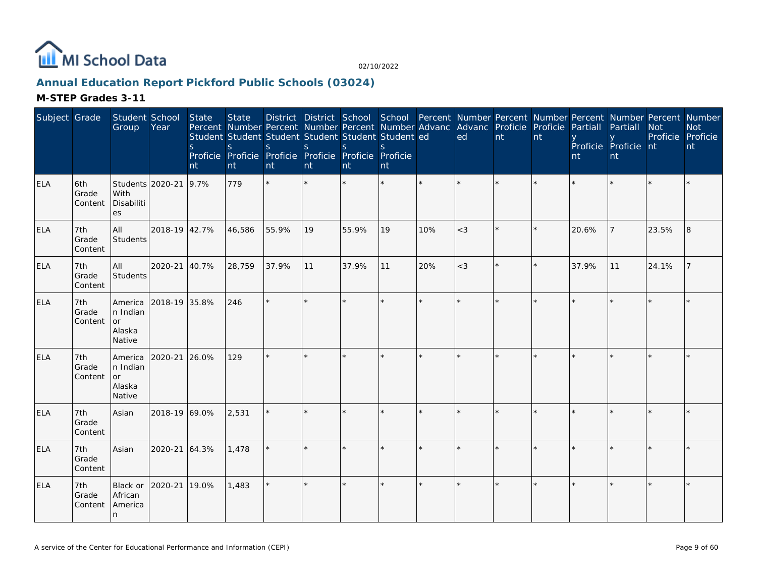

# **Annual Education Report Pickford Public Schools (03024)**

| Subject Grade |                         | Student School<br>Group                       | Year          | <b>State</b><br>S.<br>nt | <b>State</b><br>Percent Number Percent Number Percent Number Advanc Advanc Proficie Proficie<br>Student Student Student Student Student Student ed<br>$\mathsf{S}$<br>Proficie Proficie Proficie Proficie Proficie Proficie<br>nt | S.<br>nt | <sub>S</sub><br>nt | <sub>S</sub><br>nt | <sup>S</sup><br>nt |              | ed      | nt      | nt | Partiall<br>nt | District District School School Percent Number Percent Number Percent Number Percent Number<br>Partiall<br>Proficie Proficie nt<br>nt | <b>Not</b><br>Proficie Proficie | <b>Not</b><br>nt |
|---------------|-------------------------|-----------------------------------------------|---------------|--------------------------|-----------------------------------------------------------------------------------------------------------------------------------------------------------------------------------------------------------------------------------|----------|--------------------|--------------------|--------------------|--------------|---------|---------|----|----------------|---------------------------------------------------------------------------------------------------------------------------------------|---------------------------------|------------------|
| <b>ELA</b>    | 6th<br>Grade<br>Content | Students 2020-21<br>With<br>Disabiliti<br>es  |               | 9.7%                     | 779                                                                                                                                                                                                                               |          |                    |                    |                    | $\star$      |         |         |    |                |                                                                                                                                       |                                 |                  |
| <b>ELA</b>    | 7th<br>Grade<br>Content | All<br>Students                               | 2018-19 42.7% |                          | 46,586                                                                                                                                                                                                                            | 55.9%    | 19                 | 55.9%              | 19                 | 10%          | $<$ 3   |         |    | 20.6%          |                                                                                                                                       | 23.5%                           | 8                |
| <b>ELA</b>    | 7th<br>Grade<br>Content | All<br>Students                               | 2020-21       | 40.7%                    | 28,759                                                                                                                                                                                                                            | 37.9%    | 11                 | 37.9%              | 11                 | 20%          | $<$ 3   | $\star$ |    | 37.9%          | 11                                                                                                                                    | 24.1%                           |                  |
| <b>ELA</b>    | 7th<br>Grade<br>Content | America<br>n Indian<br>or<br>Alaska<br>Native | 2018-19 35.8% |                          | 246                                                                                                                                                                                                                               | $\star$  |                    |                    |                    | $\star$      | $\star$ |         |    |                |                                                                                                                                       |                                 |                  |
| <b>ELA</b>    | 7th<br>Grade<br>Content | America<br>n Indian<br>or<br>Alaska<br>Native | 2020-21 26.0% |                          | 129                                                                                                                                                                                                                               |          |                    |                    |                    | $\star$      |         |         |    |                |                                                                                                                                       |                                 |                  |
| <b>ELA</b>    | 7th<br>Grade<br>Content | Asian                                         | 2018-19 69.0% |                          | 2,531                                                                                                                                                                                                                             |          |                    |                    |                    | $\mathbf{d}$ | $\star$ |         |    |                |                                                                                                                                       |                                 |                  |
| <b>ELA</b>    | 7th<br>Grade<br>Content | Asian                                         | 2020-21 64.3% |                          | 1,478                                                                                                                                                                                                                             | $\star$  |                    |                    |                    |              | $\star$ |         |    |                |                                                                                                                                       |                                 |                  |
| <b>ELA</b>    | 7th<br>Grade<br>Content | Black or<br>African<br>America<br>In.         | 2020-21       | 19.0%                    | 1,483                                                                                                                                                                                                                             | $\star$  | $\star$            | ÷                  |                    | $\star$      | $\star$ | $\star$ |    |                |                                                                                                                                       |                                 |                  |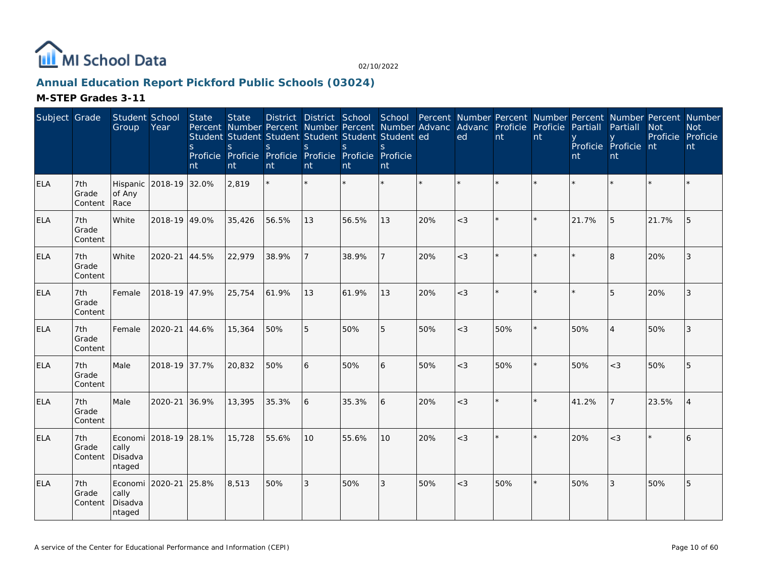

# **Annual Education Report Pickford Public Schools (03024)**

| Subject Grade |                         | Student School<br>Group                       | Year                   | <b>State</b><br><sub>S</sub><br>nt | <b>State</b><br>S<br>nt | Percent Number Percent Number Percent Number Advanc<br>Student Student Student Student Student Student ed<br>S.<br>Proficie Proficie Proficie Proficie Proficie Proficie<br>nt | S.<br>nt       | <sub>S</sub><br>nt | S.<br>nt        |     | Advanc Proficie<br>ed | nt  | Proficie<br>nt | Partiall<br>nt | Partiall<br>Proficie Proficie nt<br><b>nt</b> | <b>Not</b> | District District School School Percent Number Percent Number Percent Number Percent Number<br><b>Not</b><br>Proficie Proficie<br>nt |
|---------------|-------------------------|-----------------------------------------------|------------------------|------------------------------------|-------------------------|--------------------------------------------------------------------------------------------------------------------------------------------------------------------------------|----------------|--------------------|-----------------|-----|-----------------------|-----|----------------|----------------|-----------------------------------------------|------------|--------------------------------------------------------------------------------------------------------------------------------------|
| ELA           | 7th<br>Grade<br>Content | of Any<br>Race                                | Hispanic 2018-19 32.0% |                                    | 2,819                   | $\star$                                                                                                                                                                        | $\star$        |                    |                 |     |                       |     | $\star$        |                |                                               |            |                                                                                                                                      |
| <b>ELA</b>    | 7th<br>Grade<br>Content | White                                         | 2018-19 49.0%          |                                    | 35,426                  | 56.5%                                                                                                                                                                          | 13             | 56.5%              | 13              | 20% | $<$ 3                 |     |                | 21.7%          | 5                                             | 21.7%      | 5                                                                                                                                    |
| <b>ELA</b>    | 7th<br>Grade<br>Content | White                                         | 2020-21 44.5%          |                                    | 22,979                  | 38.9%                                                                                                                                                                          | $\overline{7}$ | 38.9%              | 7               | 20% | $<$ 3                 | ÷.  | $\star$        |                | $\overline{8}$                                | 20%        | 3                                                                                                                                    |
| <b>ELA</b>    | 7th<br>Grade<br>Content | Female                                        | 2018-19 47.9%          |                                    | 25,754                  | 61.9%                                                                                                                                                                          | 13             | 61.9%              | 13              | 20% | $<$ 3                 |     |                |                | 5                                             | 20%        | 3                                                                                                                                    |
| <b>ELA</b>    | 7th<br>Grade<br>Content | Female                                        | 2020-21                | 44.6%                              | 15,364                  | 50%                                                                                                                                                                            | 5              | 50%                | 5               | 50% | $<$ 3                 | 50% |                | 50%            | $\boldsymbol{\vartriangle}$                   | 50%        | 3                                                                                                                                    |
| <b>ELA</b>    | 7th<br>Grade<br>Content | Male                                          | 2018-19 37.7%          |                                    | 20,832                  | 50%                                                                                                                                                                            | 6              | 50%                | 6               | 50% | $<$ 3                 | 50% | $\star$        | 50%            | $<$ 3                                         | 50%        | 5                                                                                                                                    |
| <b>ELA</b>    | 7th<br>Grade<br>Content | Male                                          | 2020-21                | 36.9%                              | 13,395                  | 35.3%                                                                                                                                                                          | 6              | 35.3%              | 6               | 20% | $<$ 3                 |     | $\star$        | 41.2%          |                                               | 23.5%      | $\boldsymbol{\vartriangle}$                                                                                                          |
| <b>ELA</b>    | 7th<br>Grade<br>Content | cally<br>Disadva<br>ntaged                    | Economi 2018-19 28.1%  |                                    | 15,728                  | 55.6%                                                                                                                                                                          | 10             | 55.6%              | 10 <sup>°</sup> | 20% | $<$ 3                 |     |                | 20%            | $<$ 3                                         | k.         | 6                                                                                                                                    |
| <b>ELA</b>    | 7th<br>Grade<br>Content | Economi 2020-21<br>cally<br>Disadva<br>ntaged |                        | 25.8%                              | 8,513                   | 50%                                                                                                                                                                            | 3              | 50%                | 3               | 50% | $<$ 3                 | 50% | $\star$        | 50%            | 3                                             | 50%        | 5                                                                                                                                    |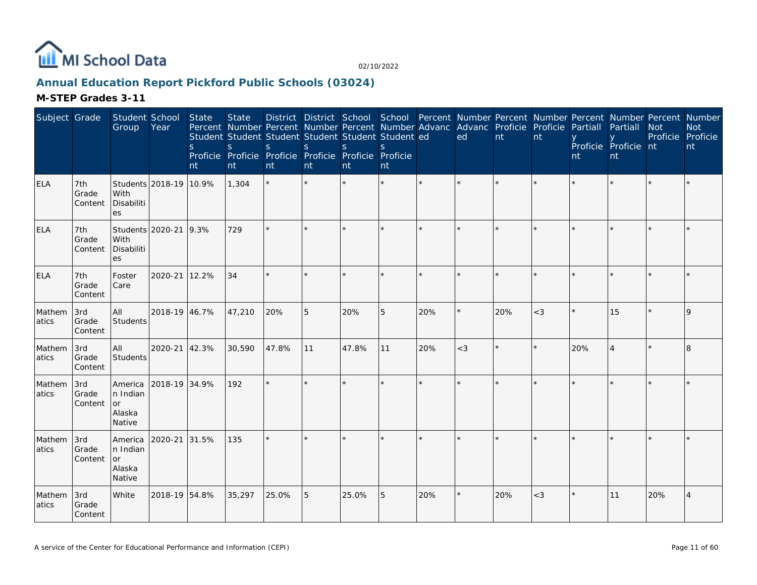

# **Annual Education Report Pickford Public Schools (03024)**

| Subject Grade   |                         | Student School<br>Group                              | Year                   | <b>State</b><br><sub>S</sub><br>nt | <b>State</b><br>Percent Number Percent Number Percent Number Advanc Advanc Proficie Proficie<br>Student Student Student Student Student Student ed<br>S.<br>Proficie Proficie Proficie Proficie Proficie Proficie<br>nt | S.<br>nt | S<br>nt | <sub>S</sub><br>nt | S.<br>nt |     | District District School School Percent Number Percent Number Percent Number Percent Number<br>ed | $\mathsf{nt}$ | nt    | Partiall<br>nt | Partiall<br>Proficie Proficie nt<br>nt | <b>Not</b><br>Proficie Proficie | <b>Not</b><br>nt |
|-----------------|-------------------------|------------------------------------------------------|------------------------|------------------------------------|-------------------------------------------------------------------------------------------------------------------------------------------------------------------------------------------------------------------------|----------|---------|--------------------|----------|-----|---------------------------------------------------------------------------------------------------|---------------|-------|----------------|----------------------------------------|---------------------------------|------------------|
| <b>ELA</b>      | 7th<br>Grade<br>Content | With<br>Disabiliti<br>es                             | Students 2018-19 10.9% |                                    | 1,304                                                                                                                                                                                                                   | $\star$  |         |                    |          |     |                                                                                                   |               |       |                |                                        |                                 |                  |
| <b>ELA</b>      | 7th<br>Grade<br>Content | With<br>Disabiliti<br>es                             | Students 2020-21 9.3%  |                                    | 729                                                                                                                                                                                                                     | $\star$  |         |                    | ×.       |     |                                                                                                   |               |       |                |                                        |                                 |                  |
| <b>ELA</b>      | 7th<br>Grade<br>Content | Foster<br>Care                                       | 2020-21                | 12.2%                              | 34                                                                                                                                                                                                                      |          |         |                    | ×.       |     |                                                                                                   |               |       |                |                                        |                                 |                  |
| Mathem<br>atics | 3rd<br>Grade<br>Content | All<br>Students                                      | 2018-19 46.7%          |                                    | 47,210                                                                                                                                                                                                                  | 20%      | 5       | 20%                | 5        | 20% | $\star$                                                                                           | 20%           | $<$ 3 |                | 15                                     |                                 | $\mathsf Q$      |
| Mathem<br>atics | 3rd<br>Grade<br>Content | All<br>Students                                      | 2020-21 42.3%          |                                    | 30,590                                                                                                                                                                                                                  | 47.8%    | 11      | 47.8%              | 11       | 20% | $<$ 3                                                                                             |               |       | 20%            |                                        |                                 | 8                |
| Mathem<br>atics | 3rd<br>Grade<br>Content | America<br>n Indian<br><b>or</b><br>Alaska<br>Native | 2018-19 34.9%          |                                    | 192                                                                                                                                                                                                                     | $\star$  |         |                    | $\star$  |     |                                                                                                   |               |       |                |                                        |                                 |                  |
| Mathem<br>atics | 3rd<br>Grade<br>Content | America<br>n Indian<br><b>or</b><br>Alaska<br>Native | 2020-21 31.5%          |                                    | 135                                                                                                                                                                                                                     | $\star$  |         |                    | $\star$  |     | $\star$                                                                                           |               |       |                |                                        |                                 |                  |
| Mathem<br>atics | 3rd<br>Grade<br>Content | <b>White</b>                                         | 2018-19 54.8%          |                                    | 35,297                                                                                                                                                                                                                  | 25.0%    | 5       | 25.0%              | 5        | 20% |                                                                                                   | 20%           | $<$ 3 |                | 11                                     | 20%                             | 4                |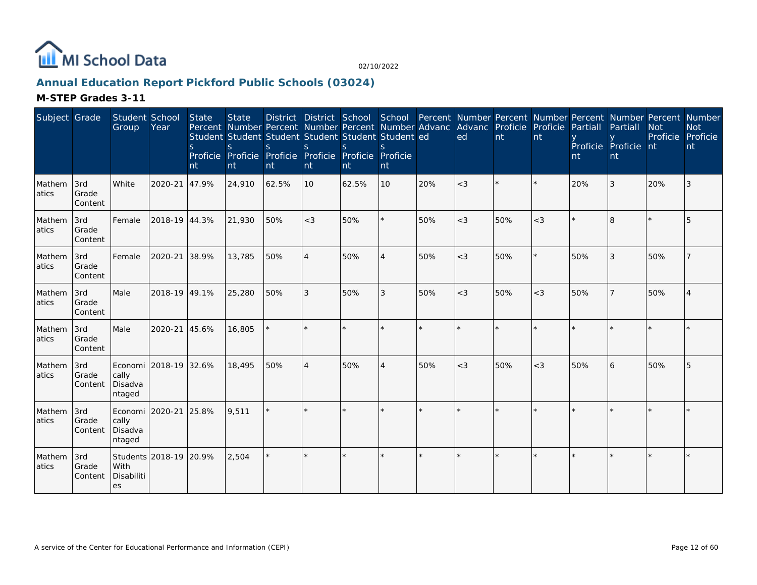

# **Annual Education Report Pickford Public Schools (03024)**

| Subject Grade   |                         | Student School<br>Group                             | Year          | <b>State</b><br><sub>S</sub><br>nt | <b>State</b><br><sub>S</sub><br>nt | Percent Number Percent Number Percent Number Advanc Advanc Proficie Proficie<br>Student Student Student Student Student Student ed<br>S.<br>Proficie Proficie Proficie Proficie Proficie Proficie<br>nt | $\mathcal{S}$<br>nt | <sub>S</sub><br>Int | nt             |     | ed      | nt  | nt    | Partiall<br>nt | District District School School Percent Number Percent Number Percent Number Percent Number<br>Partiall<br>Proficie Proficie nt<br>nt | <b>Not</b><br>Proficie | <b>Not</b><br>Proficie<br>nt |
|-----------------|-------------------------|-----------------------------------------------------|---------------|------------------------------------|------------------------------------|---------------------------------------------------------------------------------------------------------------------------------------------------------------------------------------------------------|---------------------|---------------------|----------------|-----|---------|-----|-------|----------------|---------------------------------------------------------------------------------------------------------------------------------------|------------------------|------------------------------|
| Mathem<br>atics | 3rd<br>Grade<br>Content | White                                               | 2020-21 47.9% |                                    | 24,910                             | 62.5%                                                                                                                                                                                                   | 10                  | 62.5%               | 10             | 20% | $<$ 3   |     |       | 20%            | 3                                                                                                                                     | 20%                    | 3                            |
| Mathem<br>atics | 3rd<br>Grade<br>Content | Female                                              | 2018-19 44.3% |                                    | 21,930                             | 50%                                                                                                                                                                                                     | $<$ 3               | 50%                 | ×.             | 50% | $<$ 3   | 50% | $<$ 3 |                | $\mathsf{R}$                                                                                                                          |                        |                              |
| Mathem<br>atics | 3rd<br>Grade<br>Content | Female                                              | 2020-21       | 38.9%                              | 13,785                             | 50%                                                                                                                                                                                                     | $\overline{4}$      | 50%                 | 4              | 50% | $<$ 3   | 50% |       | 50%            | 3                                                                                                                                     | 50%                    |                              |
| Mathem<br>atics | 3rd<br>Grade<br>Content | Male                                                | 2018-19 49.1% |                                    | 25,280                             | 50%                                                                                                                                                                                                     | 3                   | 50%                 | 3              | 50% | $<$ 3   | 50% | $<$ 3 | 50%            |                                                                                                                                       | 50%                    |                              |
| Mathem<br>atics | 3rd<br>Grade<br>Content | Male                                                | 2020-21 45.6% |                                    | 16,805                             |                                                                                                                                                                                                         |                     |                     | ×.             |     | $\star$ |     |       |                |                                                                                                                                       |                        |                              |
| Mathem<br>atics | 3rd<br>Grade<br>Content | Economi 2018-19 32.6%<br>cally<br>Disadva<br>ntaged |               |                                    | 18,495                             | 50%                                                                                                                                                                                                     | $\overline{4}$      | 50%                 | $\overline{4}$ | 50% | $<$ 3   | 50% | $<$ 3 | 50%            | 6                                                                                                                                     | 50%                    | 5                            |
| Mathem<br>atics | 3rd<br>Grade<br>Content | Economi 2020-21 25.8%<br>cally<br>Disadva<br>ntaged |               |                                    | 9,511                              | $\star$                                                                                                                                                                                                 |                     |                     | ×.             |     | $\star$ |     |       |                |                                                                                                                                       |                        |                              |
| Mathem<br>atics | 3rd<br>Grade<br>Content | Students 2018-19 20.9%<br>With<br>Disabiliti<br>es  |               |                                    | 2,504                              | $\star$                                                                                                                                                                                                 |                     |                     | $\star$        |     |         |     |       |                |                                                                                                                                       |                        |                              |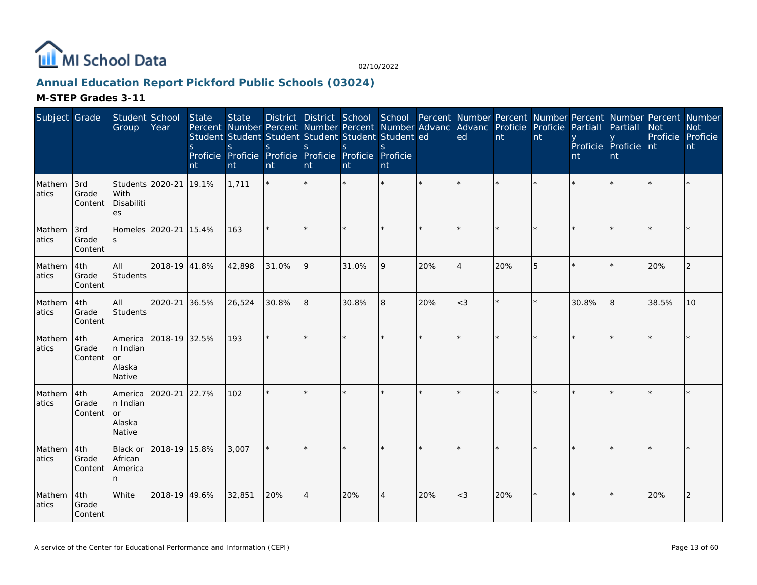

# **Annual Education Report Pickford Public Schools (03024)**

| Subject Grade    |                         | Student School<br>Group                       | Year                  | State<br><sub>S</sub><br>nt | <b>State</b><br>Percent Number Percent Number Percent Number Advanc<br>Student Student Student Student Student Student ed<br>$\mathbf S$<br>Proficie Proficie Proficie Proficie Proficie Proficie<br>nt | <sub>S</sub><br>nt | S<br>nt        | District District School School Percent Number Percent Number Percent Number Percent Number<br><sup>S</sup><br>nt | S.<br>nt |     | Advanc Proficie Proficie<br>ed | nt      | nt      | Partiall<br>nt | Partiall<br>Proficie Proficie nt<br>nt | <b>Not</b><br>Proficie Proficie | <b>Not</b><br>nt |
|------------------|-------------------------|-----------------------------------------------|-----------------------|-----------------------------|---------------------------------------------------------------------------------------------------------------------------------------------------------------------------------------------------------|--------------------|----------------|-------------------------------------------------------------------------------------------------------------------|----------|-----|--------------------------------|---------|---------|----------------|----------------------------------------|---------------------------------|------------------|
| Mathem<br>atics  | 3rd<br>Grade<br>Content | Students 2020-21<br>With<br>Disabiliti<br>es  |                       | 19.1%                       | 1,711                                                                                                                                                                                                   |                    |                |                                                                                                                   |          |     |                                |         |         |                |                                        |                                 |                  |
| Mathem<br>latics | 3rd<br>Grade<br>Content | $\mathcal{S}$                                 | Homeles 2020-21 15.4% |                             | 163                                                                                                                                                                                                     | $\star$            |                |                                                                                                                   |          |     |                                |         |         |                |                                        |                                 |                  |
| Mathem<br>atics  | 4th<br>Grade<br>Content | All<br><b>Students</b>                        | 2018-19 41.8%         |                             | 42,898                                                                                                                                                                                                  | 31.0%              | 9              | 31.0%                                                                                                             | 19       | 20% | $\boldsymbol{\Delta}$          | 20%     | 5       |                |                                        | 20%                             | 2                |
| Mathem<br>atics  | 4th<br>Grade<br>Content | All<br>Students                               | 2020-21               | 36.5%                       | 26,524                                                                                                                                                                                                  | 30.8%              | 8              | 30.8%                                                                                                             | 8        | 20% | $<$ 3                          | $\star$ | $\star$ | 30.8%          | $\overline{8}$                         | 38.5%                           | 10               |
| Mathem<br>atics  | 4th<br>Grade<br>Content | America<br>n Indian<br>or<br>Alaska<br>Native | 2018-19 32.5%         |                             | 193                                                                                                                                                                                                     | $\star$            |                |                                                                                                                   |          |     |                                |         |         |                |                                        |                                 |                  |
| Mathem<br>atics  | 4th<br>Grade<br>Content | America<br>n Indian<br>or<br>Alaska<br>Native | 2020-21               | 22.7%                       | 102                                                                                                                                                                                                     | $\star$            |                |                                                                                                                   |          |     |                                |         |         |                |                                        |                                 |                  |
| Mathem<br>atics  | 4th<br>Grade<br>Content | Black or<br>African<br>America<br>n           | 2018-19 15.8%         |                             | 3,007                                                                                                                                                                                                   |                    |                |                                                                                                                   |          |     |                                |         |         |                |                                        |                                 |                  |
| Mathem<br>atics  | 4th<br>Grade<br>Content | White                                         | 2018-19 49.6%         |                             | 32,851                                                                                                                                                                                                  | 20%                | $\overline{A}$ | 20%                                                                                                               | 4        | 20% | $<$ 3                          | 20%     | $\star$ |                |                                        | 20%                             | $\overline{2}$   |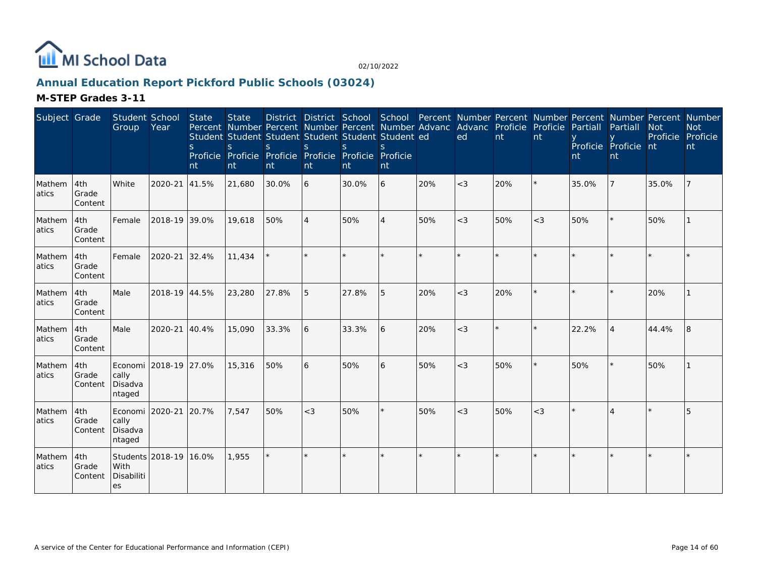

# **Annual Education Report Pickford Public Schools (03024)**

| Subject Grade    |                          | Student School<br>Group                             | Year          | <b>State</b><br>S.<br>nt | <b>State</b><br>Percent Number Percent Number Percent Number Advanc Advanc Proficie Proficie<br>Student Student Student Student Student Student ed<br><sub>S</sub><br>Proficie Proficie Proficie Proficie Proficie Proficie<br>nt | S.<br>nt | <sub>S</sub><br>nt | <sup>S</sup><br>Int | nt      |     | ed    | nt  | nt    | Partiall<br>nt | District District School School Percent Number Percent Number Percent Number Percent Number<br>Partiall<br>Proficie Proficie nt<br>nt | <b>Not</b><br>Proficie Proficie | <b>Not</b><br>nt |
|------------------|--------------------------|-----------------------------------------------------|---------------|--------------------------|-----------------------------------------------------------------------------------------------------------------------------------------------------------------------------------------------------------------------------------|----------|--------------------|---------------------|---------|-----|-------|-----|-------|----------------|---------------------------------------------------------------------------------------------------------------------------------------|---------------------------------|------------------|
| Mathem<br>atics  | 4th<br>Grade<br> Content | White                                               | 2020-21       | 41.5%                    | 21,680                                                                                                                                                                                                                            | 30.0%    | 6                  | 30.0%               | 6       | 20% | $<$ 3 | 20% |       | 35.0%          |                                                                                                                                       | 35.0%                           |                  |
| Mathem<br>latics | 4th<br>Grade<br>Content  | Female                                              | 2018-19 39.0% |                          | 19,618                                                                                                                                                                                                                            | 50%      | $\overline{4}$     | 50%                 | 4       | 50% | $<$ 3 | 50% | $<$ 3 | 50%            |                                                                                                                                       | 50%                             |                  |
| Mathem<br>atics  | 4th<br>Grade<br>Content  | Female                                              | 2020-21       | 32.4%                    | 11,434                                                                                                                                                                                                                            |          |                    |                     |         |     |       |     |       |                |                                                                                                                                       |                                 |                  |
| Mathem<br>atics  | 4th<br>Grade<br>Content  | Male                                                | 2018-19 44.5% |                          | 23,280                                                                                                                                                                                                                            | 27.8%    | 5                  | 27.8%               | 5       | 20% | $<$ 3 | 20% |       |                |                                                                                                                                       | 20%                             |                  |
| Mathem<br>atics  | 4th<br>Grade<br>Content  | Male                                                | 2020-21 40.4% |                          | 15,090                                                                                                                                                                                                                            | 33.3%    | <sup>6</sup>       | 33.3%               | 6       | 20% | $<$ 3 |     |       | 22.2%          |                                                                                                                                       | 44.4%                           | 8                |
| Mathem<br>atics  | 4th<br>Grade<br>Content  | Economi 2018-19 27.0%<br>cally<br>Disadva<br>ntaged |               |                          | 15,316                                                                                                                                                                                                                            | 50%      | 6                  | 50%                 | 6       | 50% | $<$ 3 | 50% |       | 50%            |                                                                                                                                       | 50%                             |                  |
| Mathem<br>atics  | 4th<br>Grade<br>Content  | Economi   2020-21<br>cally<br>Disadva<br>ntaged     |               | 20.7%                    | 7,547                                                                                                                                                                                                                             | 50%      | $<$ 3              | 50%                 | $\star$ | 50% | $<$ 3 | 50% | $<$ 3 |                |                                                                                                                                       |                                 | 5                |
| Mathem<br>atics  | 4th<br>Grade<br>Content  | Students 2018-19 16.0%<br>With<br>Disabiliti<br>es  |               |                          | 1,955                                                                                                                                                                                                                             | $\star$  |                    |                     | $\star$ |     |       |     |       |                |                                                                                                                                       |                                 |                  |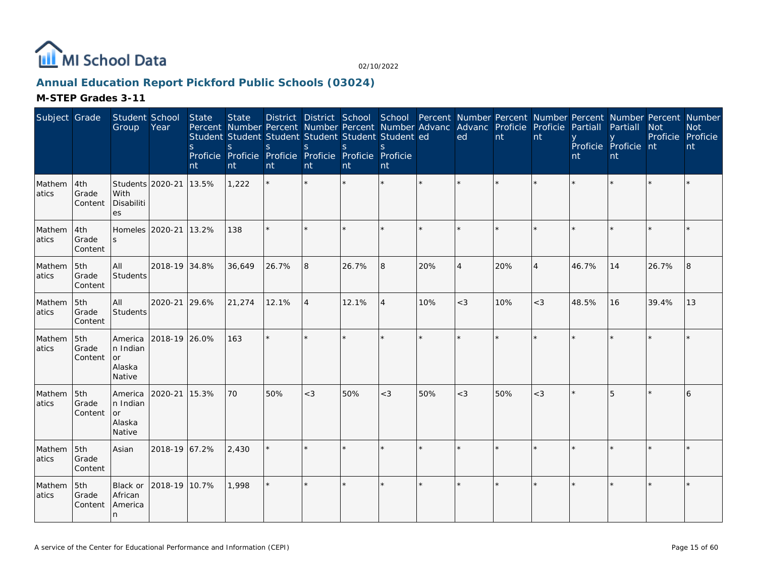

# **Annual Education Report Pickford Public Schools (03024)**

| Subject Grade   |                         | Student School<br>Group                       | Year                  | State<br>S.<br>nt | <b>State</b><br>Percent Number Percent Number Percent Number Advanc Advanc Proficie Proficie Partiall<br>Student Student Student Student Student Student ed<br><sub>S</sub><br>Proficie Proficie Proficie Proficie Proficie Proficie<br>nt | S.<br>nt | S<br>nt        | <sub>S</sub><br>nt | <sub>S</sub><br>nt |     | District District School School Percent Number Percent Number Percent Number Percent Number<br>ed | nt      | nt             | nt    | Partiall<br>Proficie Proficie nt<br>nt | <b>Not</b><br>Proficie Proficie | <b>Not</b><br>nt |
|-----------------|-------------------------|-----------------------------------------------|-----------------------|-------------------|--------------------------------------------------------------------------------------------------------------------------------------------------------------------------------------------------------------------------------------------|----------|----------------|--------------------|--------------------|-----|---------------------------------------------------------------------------------------------------|---------|----------------|-------|----------------------------------------|---------------------------------|------------------|
| Mathem<br>atics | 4th<br>Grade<br>Content | Students 2020-21<br>With<br>Disabiliti<br>es  |                       | 13.5%             | 1,222                                                                                                                                                                                                                                      |          |                |                    |                    |     |                                                                                                   |         |                |       |                                        |                                 |                  |
| Mathem<br>atics | 4th<br>Grade<br>Content | $\mathcal{S}$                                 | Homeles 2020-21 13.2% |                   | 138                                                                                                                                                                                                                                        | $\star$  |                |                    |                    |     |                                                                                                   |         |                |       |                                        |                                 |                  |
| Mathem<br>atics | 5th<br>Grade<br>Content | All<br>Students                               | 2018-19 34.8%         |                   | 36,649                                                                                                                                                                                                                                     | 26.7%    | 8              | 26.7%              | 8                  | 20% | $\boldsymbol{\vartriangle}$                                                                       | 20%     | $\overline{4}$ | 46.7% | 14                                     | 26.7%                           | 8                |
| Mathem<br>atics | 5th<br>Grade<br>Content | All<br>Students                               | 2020-21 29.6%         |                   | 21,274                                                                                                                                                                                                                                     | 12.1%    | $\overline{4}$ | 12.1%              | $\overline{4}$     | 10% | $<$ 3                                                                                             | 10%     | $<$ 3          | 48.5% | 16                                     | 39.4%                           | 13               |
| Mathem<br>atics | 5th<br>Grade<br>Content | America<br>n Indian<br>or<br>Alaska<br>Native | 2018-19 26.0%         |                   | 163                                                                                                                                                                                                                                        | $\star$  |                |                    |                    |     |                                                                                                   |         |                |       |                                        |                                 |                  |
| Mathem<br>atics | 5th<br>Grade<br>Content | America<br>n Indian<br>or<br>Alaska<br>Native | 2020-21               | 15.3%             | 70                                                                                                                                                                                                                                         | 50%      | $<$ 3          | 50%                | $<$ 3              | 50% | $<$ 3                                                                                             | 50%     | $<$ 3          |       | 5                                      |                                 | 6                |
| Mathem<br>atics | 5th<br>Grade<br>Content | Asian                                         | 2018-19 67.2%         |                   | 2,430                                                                                                                                                                                                                                      |          |                |                    |                    |     |                                                                                                   | $\star$ |                |       |                                        |                                 |                  |
| Mathem<br>atics | 5th<br>Grade<br>Content | Black or<br>African<br>America<br>n           | 2018-19 10.7%         |                   | 1,998                                                                                                                                                                                                                                      | $\star$  |                |                    |                    |     |                                                                                                   | $\star$ | $\star$        |       |                                        |                                 |                  |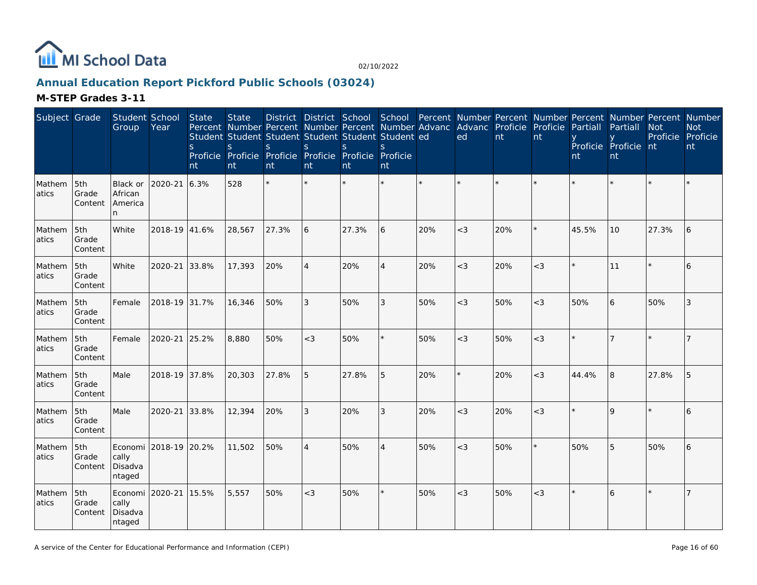

# **Annual Education Report Pickford Public Schools (03024)**

| Subject Grade   |                         | Student School<br>Group                       | Year                  | <b>State</b><br><sub>S</sub><br>nt | <b>State</b><br><sub>S</sub><br>Proficie Proficie Proficie Proficie Proficie Proficie<br>nt | <sub>S</sub><br>nt | S<br>nt        | <sub>S</sub><br>nt | District District School School Percent Number Percent Number Percent Number Percent Number<br>Percent Number Percent Number Percent Number Advanc<br>Student Student Student Student Student Student ed<br><sub>S</sub><br>nt |     | Advanc Proficie Proficie<br>ed | nt  | nt      | Partiall<br>nt | Partiall<br>Proficie Proficie nt<br>nt | <b>Not</b><br>Proficie Proficie | <b>Not</b><br>nt |
|-----------------|-------------------------|-----------------------------------------------|-----------------------|------------------------------------|---------------------------------------------------------------------------------------------|--------------------|----------------|--------------------|--------------------------------------------------------------------------------------------------------------------------------------------------------------------------------------------------------------------------------|-----|--------------------------------|-----|---------|----------------|----------------------------------------|---------------------------------|------------------|
| Mathem<br>atics | 5th<br>Grade<br>Content | Black or<br>African<br>America<br>n.          | 2020-21               | 6.3%                               | 528                                                                                         |                    |                |                    |                                                                                                                                                                                                                                |     |                                |     |         |                |                                        |                                 |                  |
| Mathem<br>atics | 5th<br>Grade<br>Content | White                                         | 2018-19 41.6%         |                                    | 28,567                                                                                      | 27.3%              | 6              | 27.3%              | 6                                                                                                                                                                                                                              | 20% | $<$ 3                          | 20% |         | 45.5%          | 10                                     | 27.3%                           | 6                |
| Mathem<br>atics | 5th<br>Grade<br>Content | White                                         | 2020-21               | 33.8%                              | 17,393                                                                                      | 20%                | $\overline{4}$ | 20%                | 4                                                                                                                                                                                                                              | 20% | $<$ 3                          | 20% | $<$ 3   |                | 11                                     |                                 | 6                |
| Mathem<br>atics | 5th<br>Grade<br>Content | Female                                        | 2018-19 31.7%         |                                    | 16,346                                                                                      | 50%                | 3              | 50%                | 3                                                                                                                                                                                                                              | 50% | $<$ 3                          | 50% | $<$ 3   | 50%            | 6                                      | 50%                             | 3                |
| Mathem<br>atics | 5th<br>Grade<br>Content | Female                                        | 2020-21               | 25.2%                              | 8,880                                                                                       | 50%                | $<$ 3          | 50%                | $\star$                                                                                                                                                                                                                        | 50% | $<$ 3                          | 50% | $<$ 3   |                |                                        |                                 | $\overline{7}$   |
| Mathem<br>atics | 5th<br>Grade<br>Content | Male                                          | 2018-19 37.8%         |                                    | 20,303                                                                                      | 27.8%              | 5              | 27.8%              | 5                                                                                                                                                                                                                              | 20% | $\star$                        | 20% | $<$ 3   | 44.4%          | 8                                      | 27.8%                           | 5                |
| Mathem<br>atics | 5th<br>Grade<br>Content | Male                                          | 2020-21               | 33.8%                              | 12,394                                                                                      | 20%                | 3              | 20%                | 3                                                                                                                                                                                                                              | 20% | $<$ 3                          | 20% | $<$ 3   |                | $\Omega$                               |                                 | 6                |
| Mathem<br>atics | 5th<br>Grade<br>Content | cally<br>Disadva<br>ntaged                    | Economi 2018-19 20.2% |                                    | 11,502                                                                                      | 50%                | $\overline{4}$ | 50%                | 4                                                                                                                                                                                                                              | 50% | $<$ 3                          | 50% | $\star$ | 50%            | 5                                      | 50%                             | 6                |
| Mathem<br>atics | 5th<br>Grade<br>Content | Economi 2020-21<br>cally<br>Disadva<br>ntaged |                       | 15.5%                              | 5,557                                                                                       | 50%                | $<$ 3          | 50%                | $\star$                                                                                                                                                                                                                        | 50% | $<$ 3                          | 50% | $<$ 3   |                | 6                                      |                                 | 7                |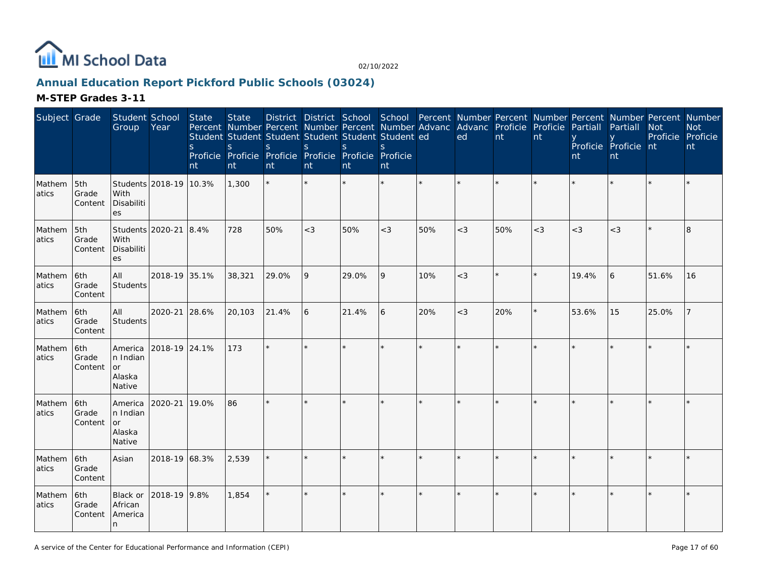

# **Annual Education Report Pickford Public Schools (03024)**

| Subject Grade   |                         | Student School<br>Group                       | Year                   | State<br><sub>S</sub><br>nt | <b>State</b><br>S<br>nt | District District School School Percent Number Percent Number Percent Number Percent Number<br>Percent Number Percent Number Percent Number Advanc Advanc Proficie Proficie<br>Student Student Student Student Student Student ed<br><sub>S</sub><br>Proficie Proficie Proficie Proficie Proficie Proficie<br>nt | S<br>nt | S<br>nt | <sub>S</sub><br>nt |     | ed      | nt  | nt    | Partiall<br>nt | Partiall<br>Proficie Proficie nt<br>nt | <b>Not</b><br>Proficie Proficie | <b>Not</b><br>nt |
|-----------------|-------------------------|-----------------------------------------------|------------------------|-----------------------------|-------------------------|------------------------------------------------------------------------------------------------------------------------------------------------------------------------------------------------------------------------------------------------------------------------------------------------------------------|---------|---------|--------------------|-----|---------|-----|-------|----------------|----------------------------------------|---------------------------------|------------------|
| Mathem<br>atics | 5th<br>Grade<br>Content | With<br>Disabiliti<br>es                      | Students 2018-19 10.3% |                             | 1,300                   |                                                                                                                                                                                                                                                                                                                  |         |         |                    |     |         |     |       |                |                                        |                                 |                  |
| Mathem<br>atics | 5th<br>Grade<br>Content | Students 2020-21<br>With<br>Disabiliti<br>es  |                        | 8.4%                        | 728                     | 50%                                                                                                                                                                                                                                                                                                              | $<$ 3   | 50%     | $<$ 3              | 50% | $<$ 3   | 50% | $<$ 3 | $<$ 3          | $<$ 3                                  |                                 | 8                |
| Mathem<br>atics | 6th<br>Grade<br>Content | All<br>Students                               | 2018-19 35.1%          |                             | 38,321                  | 29.0%                                                                                                                                                                                                                                                                                                            | 9       | 29.0%   | 9                  | 10% | $<$ 3   |     |       | 19.4%          | 6                                      | 51.6%                           | 16               |
| Mathem<br>atics | 6th<br>Grade<br>Content | All<br>Students                               | 2020-21                | 28.6%                       | 20,103                  | 21.4%                                                                                                                                                                                                                                                                                                            | 6       | 21.4%   | 6                  | 20% | $<$ 3   | 20% |       | 53.6%          | 15                                     | 25.0%                           |                  |
| Mathem<br>atics | 6th<br>Grade<br>Content | America<br>n Indian<br>or<br>Alaska<br>Native | 2018-19 24.1%          |                             | 173                     | $\star$                                                                                                                                                                                                                                                                                                          |         |         | $\star$            |     |         |     |       |                |                                        |                                 |                  |
| Mathem<br>atics | 6th<br>Grade<br>Content | America<br>n Indian<br>or<br>Alaska<br>Native | 2020-21                | 19.0%                       | 86                      | $\star$                                                                                                                                                                                                                                                                                                          |         |         | $\star$            |     |         |     |       |                |                                        |                                 |                  |
| Mathem<br>atics | 6th<br>Grade<br>Content | Asian                                         | 2018-19 68.3%          |                             | 2,539                   |                                                                                                                                                                                                                                                                                                                  |         |         | $\star$            |     | $\star$ |     |       |                |                                        |                                 |                  |
| Mathem<br>atics | 6th<br>Grade<br>Content | Black or<br>African<br>America<br>n           | 2018-19 9.8%           |                             | 1,854                   |                                                                                                                                                                                                                                                                                                                  | $\star$ |         | ×                  |     | $\star$ |     |       |                |                                        |                                 |                  |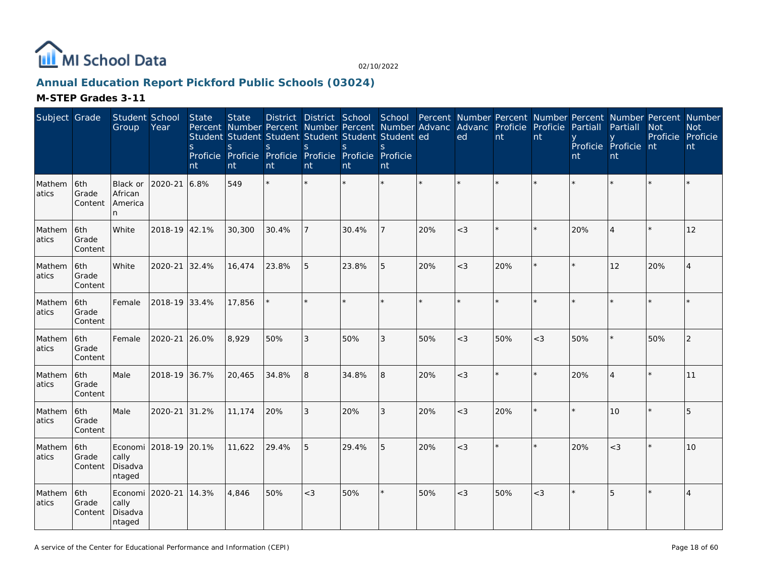

# **Annual Education Report Pickford Public Schools (03024)**

| Subject Grade   |                         | Student School<br>Group                       | Year                  | <b>State</b><br><sub>S</sub><br>nt | <b>State</b><br>Percent Number Percent Number Percent Number Advanc<br>Student Student Student Student Student Student ed<br><sub>S</sub><br>Proficie Proficie Proficie Proficie Proficie Proficie<br>nt | <sub>S</sub><br>nt | S<br>nt | <sub>S</sub><br>nt | <sub>S</sub><br>nt |     | Advanc Proficie Proficie<br>ed | nt  | nt    | Partiall<br>nt | District District School School Percent Number Percent Number Percent Number Percent Number<br>Partiall<br>Proficie Proficie nt<br>nt | <b>Not</b><br>Proficie Proficie | <b>Not</b><br>nt |
|-----------------|-------------------------|-----------------------------------------------|-----------------------|------------------------------------|----------------------------------------------------------------------------------------------------------------------------------------------------------------------------------------------------------|--------------------|---------|--------------------|--------------------|-----|--------------------------------|-----|-------|----------------|---------------------------------------------------------------------------------------------------------------------------------------|---------------------------------|------------------|
| Mathem<br>atics | 6th<br>Grade<br>Content | Black or<br>African<br>America<br>n.          | 2020-21               | 6.8%                               | 549                                                                                                                                                                                                      |                    |         |                    |                    |     |                                |     |       |                |                                                                                                                                       |                                 |                  |
| Mathem<br>atics | 6th<br>Grade<br>Content | White                                         | 2018-19 42.1%         |                                    | 30,300                                                                                                                                                                                                   | 30.4%              |         | 30.4%              |                    | 20% | $<$ 3                          |     |       | 20%            |                                                                                                                                       |                                 | 12               |
| Mathem<br>atics | 6th<br>Grade<br>Content | White                                         | 2020-21               | 32.4%                              | 16,474                                                                                                                                                                                                   | 23.8%              | 5       | 23.8%              | 5                  | 20% | $<$ 3                          | 20% |       |                | 12                                                                                                                                    | 20%                             | 4                |
| Mathem<br>atics | 6th<br>Grade<br>Content | Female                                        | 2018-19 33.4%         |                                    | 17,856                                                                                                                                                                                                   |                    |         |                    |                    |     |                                |     |       |                |                                                                                                                                       |                                 |                  |
| Mathem<br>atics | 6th<br>Grade<br>Content | Female                                        | 2020-21               | 26.0%                              | 8,929                                                                                                                                                                                                    | 50%                | 3       | 50%                | 3                  | 50% | $<$ 3                          | 50% | $<$ 3 | 50%            |                                                                                                                                       | 50%                             | $\overline{2}$   |
| Mathem<br>atics | 6th<br>Grade<br>Content | Male                                          | 2018-19 36.7%         |                                    | 20,465                                                                                                                                                                                                   | 34.8%              | 8       | 34.8%              | 8                  | 20% | $<$ 3                          |     |       | 20%            |                                                                                                                                       |                                 | 11               |
| Mathem<br>atics | 6th<br>Grade<br>Content | Male                                          | 2020-21               | 31.2%                              | 11,174                                                                                                                                                                                                   | 20%                | 3       | 20%                | 3                  | 20% | $<$ 3                          | 20% |       |                | 10                                                                                                                                    |                                 | 5                |
| Mathem<br>atics | 6th<br>Grade<br>Content | cally<br>Disadva<br>ntaged                    | Economi 2018-19 20.1% |                                    | 11,622                                                                                                                                                                                                   | 29.4%              | 5       | 29.4%              | 5                  | 20% | $<$ 3                          |     |       | 20%            | $<$ 3                                                                                                                                 |                                 | 10               |
| Mathem<br>atics | 6th<br>Grade<br>Content | Economi 2020-21<br>cally<br>Disadva<br>ntaged |                       | 14.3%                              | 4,846                                                                                                                                                                                                    | 50%                | $<$ 3   | 50%                | $\star$            | 50% | $<$ 3                          | 50% | $<$ 3 |                | 5                                                                                                                                     |                                 | $\overline{4}$   |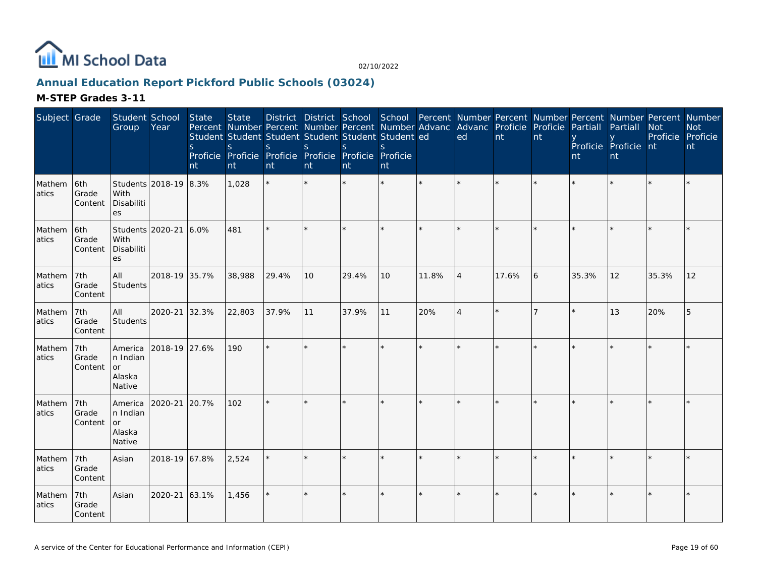

# **Annual Education Report Pickford Public Schools (03024)**

| Subject Grade   |                         | Student School<br>Group                       | Year                  | State<br>$\mathsf{S}$<br>nt | <b>State</b><br><sub>S</sub><br>nt | Percent Number Percent Number Percent Number Advanc<br>Student Student Student Student Student Student ed<br><sub>S</sub><br>Proficie Proficie Proficie Proficie Proficie Proficie<br>nt | S<br>nt | District District School School Percent Number Percent Number Percent Number Percent Number<br><sub>S</sub><br>nt | S.<br>nt |       | Advanc Proficie Proficie<br>ed | nt    | nt | Partiall<br>nt | Partiall<br>Proficie Proficie nt<br>nt | <b>Not</b><br>Proficie Proficie | <b>Not</b><br>nt |
|-----------------|-------------------------|-----------------------------------------------|-----------------------|-----------------------------|------------------------------------|------------------------------------------------------------------------------------------------------------------------------------------------------------------------------------------|---------|-------------------------------------------------------------------------------------------------------------------|----------|-------|--------------------------------|-------|----|----------------|----------------------------------------|---------------------------------|------------------|
| Mathem<br>atics | 6th<br>Grade<br>Content | With<br>Disabiliti<br>es                      | Students 2018-19 8.3% |                             | 1,028                              |                                                                                                                                                                                          |         |                                                                                                                   |          |       |                                |       |    |                |                                        |                                 |                  |
| Mathem<br>atics | 6th<br>Grade<br>Content | Students 2020-21<br>With<br>Disabiliti<br>es  |                       | 6.0%                        | 481                                |                                                                                                                                                                                          |         |                                                                                                                   |          |       |                                |       |    |                |                                        |                                 |                  |
| Mathem<br>atics | 7th<br>Grade<br>Content | AII<br>Students                               | 2018-19 35.7%         |                             | 38,988                             | 29.4%                                                                                                                                                                                    | 10      | 29.4%                                                                                                             | 10       | 11.8% | $\overline{4}$                 | 17.6% | 6  | 35.3%          | 12                                     | 35.3%                           | 12               |
| Mathem<br>atics | 7th<br>Grade<br>Content | All<br>Students                               | 2020-21               | 32.3%                       | 22,803                             | 37.9%                                                                                                                                                                                    | 11      | 37.9%                                                                                                             | 11       | 20%   | $\overline{4}$                 |       |    |                | 13                                     | 20%                             | 5                |
| Mathem<br>atics | 7th<br>Grade<br>Content | America<br>n Indian<br>or<br>Alaska<br>Native | 2018-19 27.6%         |                             | 190                                | $\star$                                                                                                                                                                                  |         |                                                                                                                   |          |       |                                |       |    |                |                                        |                                 |                  |
| Mathem<br>atics | 7th<br>Grade<br>Content | America<br>n Indian<br>or<br>Alaska<br>Native | 2020-21               | 20.7%                       | 102                                | $\star$                                                                                                                                                                                  |         |                                                                                                                   |          |       |                                |       |    |                |                                        |                                 |                  |
| Mathem<br>atics | 7th<br>Grade<br>Content | Asian                                         | 2018-19 67.8%         |                             | 2,524                              |                                                                                                                                                                                          |         |                                                                                                                   |          |       |                                |       |    |                |                                        |                                 |                  |
| Mathem<br>atics | 7th<br>Grade<br>Content | Asian                                         | 2020-21               | 63.1%                       | 1,456                              |                                                                                                                                                                                          |         |                                                                                                                   | $\star$  |       |                                |       |    |                |                                        |                                 |                  |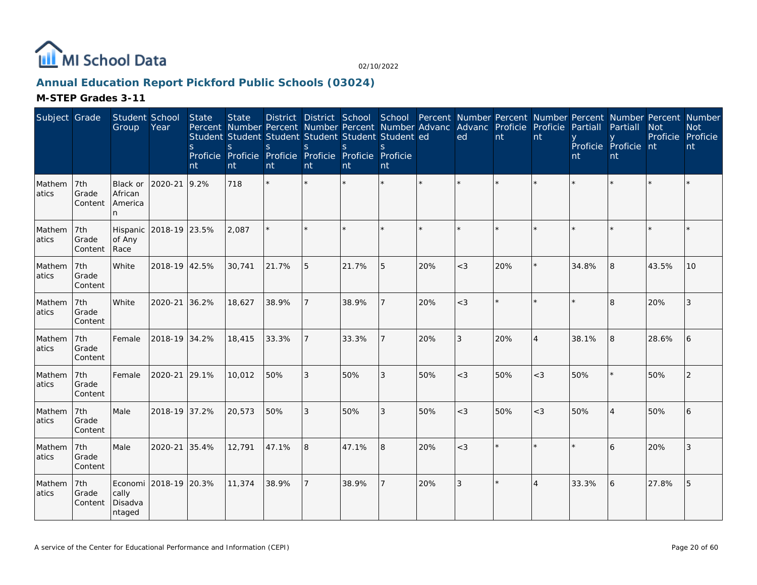

# **Annual Education Report Pickford Public Schools (03024)**

| Subject Grade   |                         | Student School<br>Group             | Year                  | <b>State</b><br><sub>S</sub><br>nt | <b>State</b><br>Percent Number Percent Number Percent Number Advanc<br>Student Student Student Student Student Student ed<br><sub>S</sub><br>Proficie Proficie Proficie Proficie Proficie Proficie<br>nt | <sub>S</sub><br>nt | S<br>nt | <sub>S</sub><br>nt | <sub>S</sub><br>nt |     | Advanc Proficie Proficie<br>ed | nt  | nt                    | Partiall<br>nt | District District School School Percent Number Percent Number Percent Number Percent Number<br>Partiall<br>Proficie Proficie nt<br>nt | <b>Not</b><br>Proficie Proficie | <b>Not</b><br>nt |
|-----------------|-------------------------|-------------------------------------|-----------------------|------------------------------------|----------------------------------------------------------------------------------------------------------------------------------------------------------------------------------------------------------|--------------------|---------|--------------------|--------------------|-----|--------------------------------|-----|-----------------------|----------------|---------------------------------------------------------------------------------------------------------------------------------------|---------------------------------|------------------|
| Mathem<br>atics | 7th<br>Grade<br>Content | Black or<br>African<br>America<br>n | 2020-21               | 9.2%                               | 718                                                                                                                                                                                                      | $\star$            | $\star$ |                    |                    |     |                                |     |                       |                |                                                                                                                                       |                                 |                  |
| Mathem<br>atics | 7th<br>Grade<br>Content | Hispanic<br>of Any<br>Race          | 2018-19 23.5%         |                                    | 2,087                                                                                                                                                                                                    |                    | ×.      |                    | $\star$            |     | $\star$                        |     |                       |                |                                                                                                                                       |                                 |                  |
| Mathem<br>atics | 7th<br>Grade<br>Content | White                               | 2018-19 42.5%         |                                    | 30,741                                                                                                                                                                                                   | 21.7%              | 5       | 21.7%              | 5                  | 20% | $<$ 3                          | 20% |                       | 34.8%          | 8                                                                                                                                     | 43.5%                           | 10               |
| Mathem<br>atics | 7th<br>Grade<br>Content | White                               | 2020-21               | 36.2%                              | 18,627                                                                                                                                                                                                   | 38.9%              |         | 38.9%              |                    | 20% | $<$ 3                          |     |                       |                | $\overline{\mathsf{B}}$                                                                                                               | 20%                             | 3                |
| Mathem<br>atics | 7th<br>Grade<br>Content | Female                              | 2018-19 34.2%         |                                    | 18,415                                                                                                                                                                                                   | 33.3%              |         | 33.3%              | $\overline{7}$     | 20% | $\mathfrak{Z}$                 | 20% | $\overline{4}$        | 38.1%          | 8                                                                                                                                     | 28.6%                           | 6                |
| Mathem<br>atics | 7th<br>Grade<br>Content | Female                              | 2020-21               | 29.1%                              | 10,012                                                                                                                                                                                                   | 50%                | 3       | 50%                | 3                  | 50% | $<$ 3                          | 50% | $<$ 3                 | 50%            |                                                                                                                                       | 50%                             | 2                |
| Mathem<br>atics | 7th<br>Grade<br>Content | Male                                | 2018-19 37.2%         |                                    | 20,573                                                                                                                                                                                                   | 50%                | 3       | 50%                | 3                  | 50% | $<$ 3                          | 50% | $<$ 3                 | 50%            |                                                                                                                                       | 50%                             |                  |
| Mathem<br>atics | 7th<br>Grade<br>Content | Male                                | 2020-21               | 35.4%                              | 12,791                                                                                                                                                                                                   | 47.1%              | 8       | 47.1%              | 8                  | 20% | $<$ 3                          |     |                       |                | 6                                                                                                                                     | 20%                             | 3                |
| Mathem<br>atics | 7th<br>Grade<br>Content | cally<br>Disadva<br>ntaged          | Economi 2018-19 20.3% |                                    | 11,374                                                                                                                                                                                                   | 38.9%              | 7       | 38.9%              |                    | 20% | 3                              |     | $\boldsymbol{\Delta}$ | 33.3%          | 6                                                                                                                                     | 27.8%                           | 5                |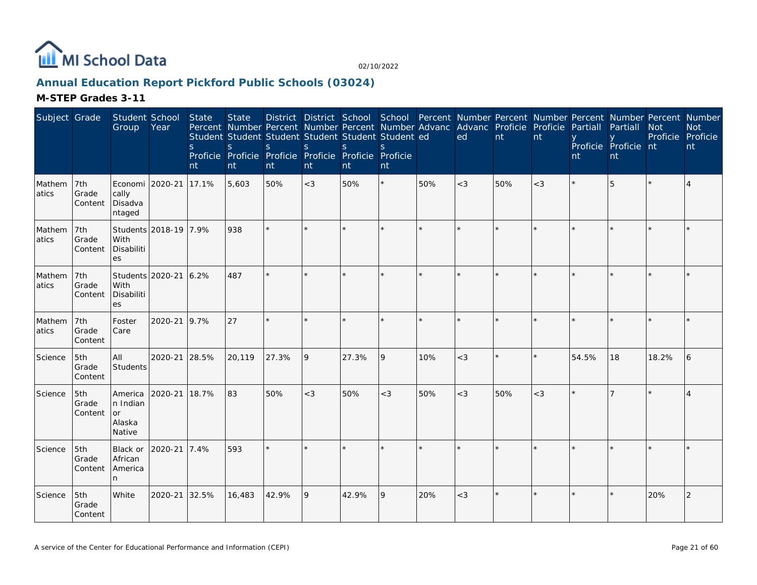

# **Annual Education Report Pickford Public Schools (03024)**

| Subject Grade    |                         | Student School<br>Group                       | Year                  | State<br>$\mathsf{S}$<br>nt | <b>State</b><br>S<br>nt | District District School School Percent Number Percent Number Percent Number Percent Number<br>Percent Number Percent Number Percent Number Advanc Advanc Proficie<br>Student Student Student Student Student Student ed<br>S.<br>Proficie Proficie Proficie Proficie Proficie Proficie<br>nt | <sub>S</sub><br>nt | S.<br>nt | S.<br>nt |     | ed    | nt  | Proficie<br>nt | Partiall<br>nt | Partiall<br>Proficie Proficie nt<br>nt | <b>Not</b><br>Proficie Proficie | <b>Not</b><br>nt |
|------------------|-------------------------|-----------------------------------------------|-----------------------|-----------------------------|-------------------------|-----------------------------------------------------------------------------------------------------------------------------------------------------------------------------------------------------------------------------------------------------------------------------------------------|--------------------|----------|----------|-----|-------|-----|----------------|----------------|----------------------------------------|---------------------------------|------------------|
| Mathem<br>latics | 7th<br>Grade<br>Content | Economi<br>cally<br>Disadva<br>ntaged         | 2020-21               | 17.1%                       | 5,603                   | 50%                                                                                                                                                                                                                                                                                           | $<$ 3              | 50%      | ×.       | 50% | $<$ 3 | 50% | $<$ 3          |                | 5                                      |                                 |                  |
| Mathem<br>atics  | 7th<br>Grade<br>Content | With<br>Disabiliti<br>es                      | Students 2018-19 7.9% |                             | 938                     | $\star$                                                                                                                                                                                                                                                                                       | ÷                  |          | $\star$  |     |       |     |                |                |                                        |                                 |                  |
| Mathem<br>atics  | 7th<br>Grade<br>Content | Students 2020-21<br>With<br>Disabiliti<br>es  |                       | 6.2%                        | 487                     |                                                                                                                                                                                                                                                                                               |                    |          |          |     |       |     |                |                |                                        |                                 |                  |
| Mathem<br>atics  | 7th<br>Grade<br>Content | Foster<br>Care                                | 2020-21               | 9.7%                        | 27                      |                                                                                                                                                                                                                                                                                               |                    |          |          |     |       |     |                |                |                                        |                                 |                  |
| Science          | 5th<br>Grade<br>Content | All<br>Students                               | 2020-21               | 28.5%                       | 20,119                  | 27.3%                                                                                                                                                                                                                                                                                         | 9                  | 27.3%    | 9        | 10% | $<$ 3 |     |                | 54.5%          | 18                                     | 18.2%                           | 6                |
| Science          | 5th<br>Grade<br>Content | America<br>n Indian<br>or<br>Alaska<br>Native | 2020-21               | 18.7%                       | 83                      | 50%                                                                                                                                                                                                                                                                                           | $<$ 3              | 50%      | $<$ 3    | 50% | $<$ 3 | 50% | $<$ 3          |                |                                        |                                 |                  |
| Science          | 5th<br>Grade<br>Content | Black or<br>African<br>America<br>n           | 2020-21               | 7.4%                        | 593                     |                                                                                                                                                                                                                                                                                               |                    |          |          |     |       |     |                |                |                                        |                                 |                  |
| Science          | 5th<br>Grade<br>Content | White                                         | 2020-21               | 32.5%                       | 16,483                  | 42.9%                                                                                                                                                                                                                                                                                         | 9                  | 42.9%    | 9        | 20% | $<$ 3 |     |                |                |                                        | 20%                             | 2                |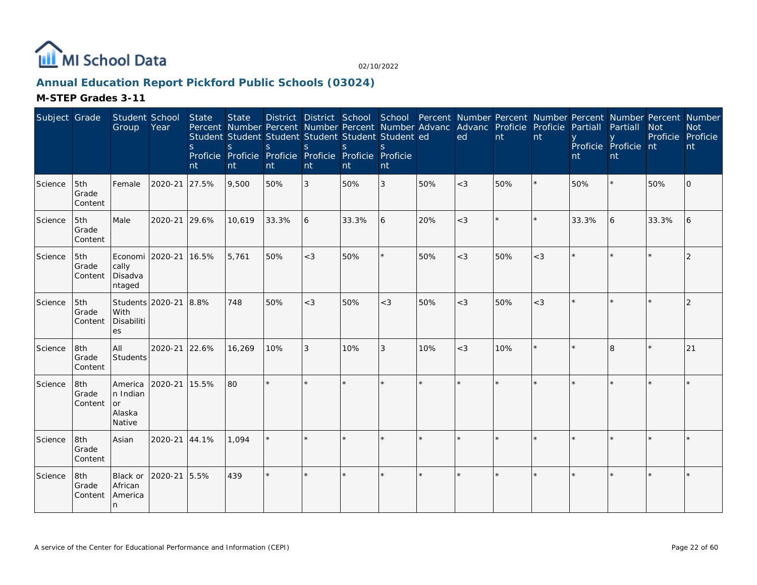

# **Annual Education Report Pickford Public Schools (03024)**

| Subject Grade |                         | Student School<br>Group                              | Year    | State<br><sub>S</sub><br>nt | <b>State</b><br>S.<br>nt | S.<br>nt | $\mathbf S$<br>nt | Student Student Student Student Student Student ed<br><sup>S</sup><br>Proficie Proficie Proficie Proficie Proficie Proficie<br>nt | <sup>S</sup><br>nt |     | District District School School Percent Number Percent Number Percent Number Percent Number<br>Percent Number Percent Number Percent Number Advanc Advanc Proficie<br>ed | nt      | Proficie<br>nt | Partiall<br>nt | <b>Partiall</b><br>Proficie Proficie nt<br>nt | <b>Not</b><br>Proficie Proficie | <b>Not</b><br>nt |
|---------------|-------------------------|------------------------------------------------------|---------|-----------------------------|--------------------------|----------|-------------------|-----------------------------------------------------------------------------------------------------------------------------------|--------------------|-----|--------------------------------------------------------------------------------------------------------------------------------------------------------------------------|---------|----------------|----------------|-----------------------------------------------|---------------------------------|------------------|
| Science       | 5th<br>Grade<br>Content | Female                                               | 2020-21 | 27.5%                       | 9,500                    | 50%      | $\sqrt{3}$        | 50%                                                                                                                               | 3                  | 50% | $<$ 3                                                                                                                                                                    | 50%     | $\star$        | 50%            |                                               | 50%                             | 0                |
| Science       | 5th<br>Grade<br>Content | Male                                                 | 2020-21 | 29.6%                       | 10,619                   | 33.3%    | 6                 | 33.3%                                                                                                                             | 6                  | 20% | $<$ 3                                                                                                                                                                    | $\star$ | $\star$        | 33.3%          | 6                                             | 33.3%                           | 6                |
| Science       | 5th<br>Grade<br>Content | Economi<br>cally<br>Disadva<br>ntaged                | 2020-21 | 16.5%                       | 5,761                    | 50%      | $<$ 3             | 50%                                                                                                                               |                    | 50% | $<$ 3                                                                                                                                                                    | 50%     | $<$ 3          |                |                                               |                                 |                  |
| Science       | 5th<br>Grade<br>Content | Students 2020-21<br>With<br>Disabiliti<br>es         |         | 8.8%                        | 748                      | 50%      | $<$ 3             | 50%                                                                                                                               | $<$ 3              | 50% | $<$ 3                                                                                                                                                                    | 50%     | $<$ 3          |                |                                               |                                 | $\overline{2}$   |
| Science       | 8th<br>Grade<br>Content | All<br>Students                                      | 2020-21 | 22.6%                       | 16,269                   | 10%      | 3                 | 10%                                                                                                                               | 3                  | 10% | $<$ 3                                                                                                                                                                    | 10%     | $\star$        |                | 8                                             | k                               | 21               |
| Science       | 8th<br>Grade<br>Content | America<br>n Indian<br><b>or</b><br>Alaska<br>Native | 2020-21 | 15.5%                       | 80                       | $\star$  |                   |                                                                                                                                   |                    |     |                                                                                                                                                                          |         |                |                |                                               |                                 |                  |
| Science       | 8th<br>Grade<br>Content | Asian                                                | 2020-21 | 44.1%                       | 1,094                    | $\star$  |                   |                                                                                                                                   |                    |     |                                                                                                                                                                          |         |                |                |                                               |                                 |                  |
| Science       | 8th<br>Grade<br>Content | Black or<br>African<br>America<br>n                  | 2020-21 | 5.5%                        | 439                      | $\star$  | $\star$           |                                                                                                                                   |                    |     | ×                                                                                                                                                                        | ÷.      | $\star$        |                |                                               |                                 |                  |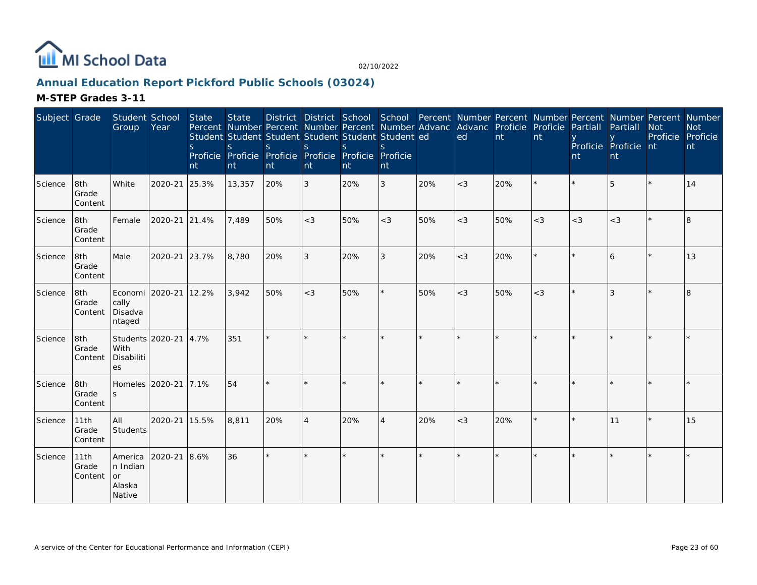

# **Annual Education Report Pickford Public Schools (03024)**

| Subject Grade |                          | Student School<br>Group                       | Year                  | State<br><sub>S</sub><br>nt | <b>State</b><br>Percent Number Percent Number Percent Number Advanc Advanc Proficie Proficie<br>Student Student Student Student Student Student ed<br>S<br>Proficie Proficie Proficie Proficie Proficie Proficie<br>nt | <sub>S</sub><br>nt | <sub>S</sub><br>nt | District District School School Percent Number Percent Number Percent Number Percent Number<br>$\mathbf S$<br>nt | <sub>S</sub><br>nt |     | ed      | nt  | nt      | Partiall<br>nt | Partiall<br>Proficie Proficie nt<br>nt | <b>Not</b><br>Proficie | <b>Not</b><br>Proficie<br>nt |
|---------------|--------------------------|-----------------------------------------------|-----------------------|-----------------------------|------------------------------------------------------------------------------------------------------------------------------------------------------------------------------------------------------------------------|--------------------|--------------------|------------------------------------------------------------------------------------------------------------------|--------------------|-----|---------|-----|---------|----------------|----------------------------------------|------------------------|------------------------------|
| Science       | 8th<br>Grade<br>Content  | White                                         | 2020-21               | 25.3%                       | 13,357                                                                                                                                                                                                                 | 20%                | 3                  | 20%                                                                                                              | 3                  | 20% | $<$ 3   | 20% |         |                | 5                                      |                        | 14                           |
| Science       | 8th<br>Grade<br>Content  | Female                                        | 2020-21 21.4%         |                             | 7,489                                                                                                                                                                                                                  | 50%                | $<$ 3              | 50%                                                                                                              | $<$ 3              | 50% | $<$ 3   | 50% | $<$ 3   | $<$ 3          | $<$ 3                                  |                        | 8                            |
| Science       | 8th<br>Grade<br>Content  | Male                                          | 2020-21 23.7%         |                             | 8,780                                                                                                                                                                                                                  | 20%                | 3                  | 20%                                                                                                              | 3                  | 20% | $<$ 3   | 20% | $\star$ |                | 6                                      |                        | 13                           |
| Science       | 8th<br>Grade<br>Content  | Economi 2020-21<br>cally<br>Disadva<br>ntaged |                       | 12.2%                       | 3,942                                                                                                                                                                                                                  | 50%                | $<$ 3              | 50%                                                                                                              | $\star$            | 50% | $<$ 3   | 50% | $<$ 3   |                | 3                                      |                        | 8                            |
| Science       | 8th<br>Grade<br>Content  | With<br>Disabiliti<br>es                      | Students 2020-21 4.7% |                             | 351                                                                                                                                                                                                                    |                    |                    |                                                                                                                  |                    |     |         |     |         |                |                                        |                        |                              |
| Science       | 8th<br>Grade<br>Content  | Homeles 2020-21<br>S                          |                       | 17.1%                       | 54                                                                                                                                                                                                                     |                    |                    |                                                                                                                  |                    |     |         |     |         |                |                                        |                        | $\star$                      |
| Science       | 11th<br>Grade<br>Content | All<br>Students                               | 2020-21 15.5%         |                             | 8,811                                                                                                                                                                                                                  | 20%                | $\overline{A}$     | 20%                                                                                                              | $\overline{4}$     | 20% | $<$ 3   | 20% | $\star$ |                | 11                                     |                        | 15                           |
| Science       | 11th<br>Grade<br>Content | America<br>n Indian<br>or<br>Alaska<br>Native | 2020-21               | 8.6%                        | 36                                                                                                                                                                                                                     | $\star$            | $\star$            |                                                                                                                  | $\star$            |     | $\star$ |     |         |                |                                        |                        | $\star$                      |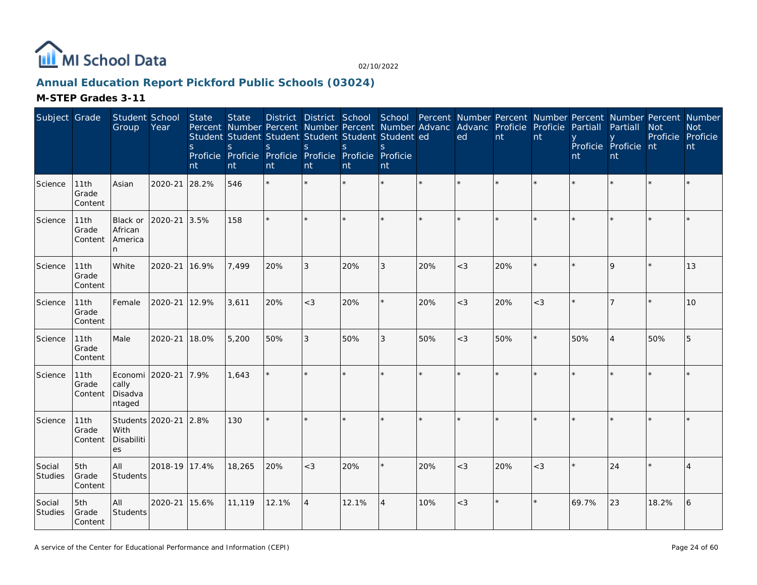

# **Annual Education Report Pickford Public Schools (03024)**

| Subject Grade     |                          | Student School<br>Group               | Year                  | State<br><sub>S</sub><br>nt | <b>State</b><br>Percent Number Percent Number Percent Number Advanc<br>Student Student Student Student Student Student ed<br>S.<br>Proficie Proficie Proficie Proficie Proficie<br>nt | <sub>S</sub><br>nt | S<br>nt        | District District School School Percent Number Percent Number Percent Number Percent Number<br><sub>S</sub><br><b>nt</b> | <sub>S</sub><br>Proficie<br>nt |     | Advanc Proficie Proficie<br>ed | nt  | nt      | Partiall<br>nt | Partiall<br>Proficie Proficie nt<br>nt | <b>Not</b><br>Proficie Proficie | <b>Not</b><br>nt |
|-------------------|--------------------------|---------------------------------------|-----------------------|-----------------------------|---------------------------------------------------------------------------------------------------------------------------------------------------------------------------------------|--------------------|----------------|--------------------------------------------------------------------------------------------------------------------------|--------------------------------|-----|--------------------------------|-----|---------|----------------|----------------------------------------|---------------------------------|------------------|
| Science           | 11th<br>Grade<br>Content | Asian                                 | 2020-21               | 28.2%                       | 546                                                                                                                                                                                   |                    |                |                                                                                                                          |                                |     |                                |     |         |                |                                        |                                 |                  |
| Science           | 11th<br>Grade<br>Content | Black or<br>African<br>America<br>n.  | 2020-21 3.5%          |                             | 158                                                                                                                                                                                   |                    |                |                                                                                                                          |                                |     |                                |     |         |                |                                        |                                 |                  |
| Science           | 11th<br>Grade<br>Content | White                                 | 2020-21 16.9%         |                             | 7,499                                                                                                                                                                                 | 20%                | 3              | 20%                                                                                                                      | 3                              | 20% | $<$ 3                          | 20% |         |                | $\mathsf Q$                            |                                 | 13               |
| Science           | 11th<br>Grade<br>Content | Female                                | 2020-21               | 12.9%                       | 3,611                                                                                                                                                                                 | 20%                | $<$ 3          | 20%                                                                                                                      |                                | 20% | $<$ 3                          | 20% | $<$ 3   |                |                                        |                                 | 10               |
| Science           | 11th<br>Grade<br>Content | Male                                  | 2020-21               | 18.0%                       | 5,200                                                                                                                                                                                 | 50%                | 3              | 50%                                                                                                                      | 3                              | 50% | $<$ 3                          | 50% | $\star$ | 50%            | $\overline{A}$                         | 50%                             | 5                |
| Science           | 11th<br>Grade<br>Content | Economi<br>cally<br>Disadva<br>ntaged | 2020-21 7.9%          |                             | 1,643                                                                                                                                                                                 |                    |                |                                                                                                                          |                                |     |                                |     |         |                |                                        |                                 |                  |
| Science           | 11th<br>Grade<br>Content | With<br>Disabiliti<br>es              | Students 2020-21 2.8% |                             | 130                                                                                                                                                                                   |                    |                |                                                                                                                          |                                |     |                                |     |         |                |                                        |                                 |                  |
| Social<br>Studies | 5th<br>Grade<br>Content  | All<br>Students                       | 2018-19 17.4%         |                             | 18,265                                                                                                                                                                                | 20%                | $<$ 3          | 20%                                                                                                                      |                                | 20% | $<$ 3                          | 20% | $<$ 3   |                | 24                                     |                                 | $\overline{4}$   |
| Social<br>Studies | 5th<br>Grade<br>Content  | All<br>Students                       | 2020-21               | 15.6%                       | 11,119                                                                                                                                                                                | 12.1%              | $\overline{A}$ | 12.1%                                                                                                                    | $\overline{4}$                 | 10% | $<$ 3                          |     |         | 69.7%          | 23                                     | 18.2%                           | 6                |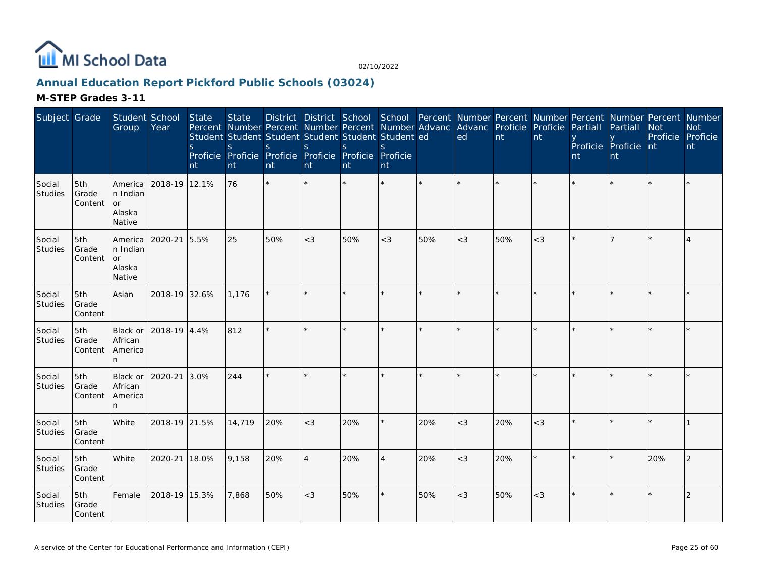

# **Annual Education Report Pickford Public Schools (03024)**

| Subject Grade            |                         | Student School<br>Group                              | Year          | State<br>$\mathsf{S}$<br>nt | <b>State</b><br><sub>S</sub><br>nt | Percent Number Percent Number Percent Number Advanc<br>Student Student Student Student Student Student ed<br><sub>S</sub><br>Proficie Proficie Proficie Proficie Proficie Proficie<br>nt | S<br>nt        | <sub>S</sub><br>nt | S.<br>nt       |     | District District School School Percent Number Percent Number Percent Number Percent Number<br>Advanc Proficie Proficie<br>ed | nt  | nt    | Partiall<br>nt | Partiall<br>Proficie Proficie nt<br>nt | <b>Not</b><br>Proficie Proficie | <b>Not</b><br>nt |
|--------------------------|-------------------------|------------------------------------------------------|---------------|-----------------------------|------------------------------------|------------------------------------------------------------------------------------------------------------------------------------------------------------------------------------------|----------------|--------------------|----------------|-----|-------------------------------------------------------------------------------------------------------------------------------|-----|-------|----------------|----------------------------------------|---------------------------------|------------------|
| Social<br>Studies        | 5th<br>Grade<br>Content | America<br>n Indian<br>or<br>Alaska<br>Native        | 2018-19 12.1% |                             | 76                                 | $\star$                                                                                                                                                                                  |                |                    |                |     |                                                                                                                               |     |       |                |                                        |                                 |                  |
| Social<br>Studies        | 5th<br>Grade<br>Content | America<br>n Indian<br><b>or</b><br>Alaska<br>Native | 2020-21       | 5.5%                        | 25                                 | 50%                                                                                                                                                                                      | $<$ 3          | 50%                | $<$ 3          | 50% | $<$ 3                                                                                                                         | 50% | $<$ 3 |                |                                        |                                 |                  |
| Social<br>Studies        | 5th<br>Grade<br>Content | Asian                                                | 2018-19 32.6% |                             | 1,176                              |                                                                                                                                                                                          |                |                    |                |     |                                                                                                                               |     |       |                |                                        |                                 |                  |
| Social<br><b>Studies</b> | 5th<br>Grade<br>Content | Black or<br>African<br>America<br>n                  | 2018-19 4.4%  |                             | 812                                |                                                                                                                                                                                          |                |                    | $\star$        |     |                                                                                                                               |     |       |                |                                        |                                 |                  |
| Social<br>Studies        | 5th<br>Grade<br>Content | Black or<br>African<br>America<br>n.                 | 2020-21       | 3.0%                        | 244                                |                                                                                                                                                                                          |                |                    | $\star$        |     |                                                                                                                               |     |       |                |                                        |                                 |                  |
| Social<br>Studies        | 5th<br>Grade<br>Content | White                                                | 2018-19 21.5% |                             | 14,719                             | 20%                                                                                                                                                                                      | $<$ 3          | 20%                | ¥.             | 20% | $<$ 3                                                                                                                         | 20% | $<$ 3 |                |                                        |                                 |                  |
| Social<br>Studies        | 5th<br>Grade<br>Content | White                                                | 2020-21       | 18.0%                       | 9,158                              | 20%                                                                                                                                                                                      | $\overline{4}$ | 20%                | $\overline{4}$ | 20% | $<$ 3                                                                                                                         | 20% |       |                |                                        | 20%                             | 2                |
| Social<br>Studies        | 5th<br>Grade<br>Content | Female                                               | 2018-19 15.3% |                             | 7,868                              | 50%                                                                                                                                                                                      | $<$ 3          | 50%                | ×.             | 50% | $<$ 3                                                                                                                         | 50% | $<$ 3 |                |                                        |                                 | 2                |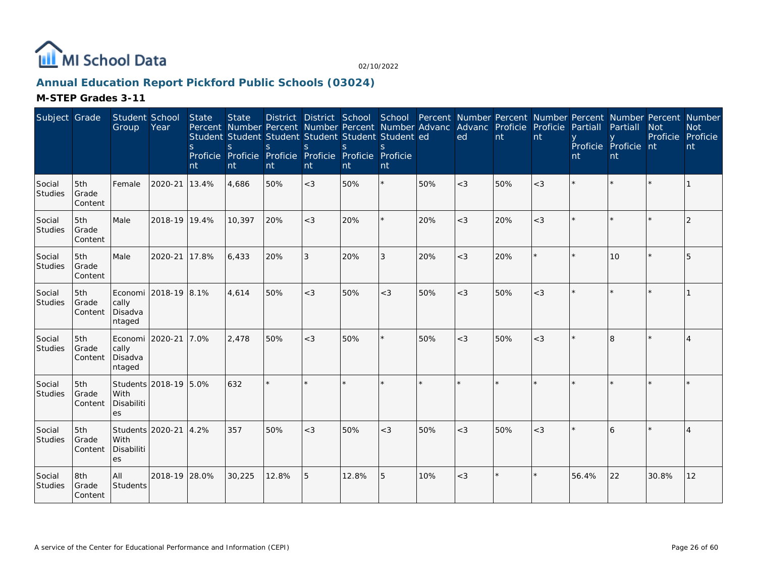

# **Annual Education Report Pickford Public Schools (03024)**

| Subject Grade            |                         | Student School<br>Group                       | Year                  | State<br><sub>S</sub><br>nt | <b>State</b><br><sub>S</sub><br>nt | Percent Number Percent Number Percent Number Advanc Advanc Proficie Proficie<br>Student Student Student Student Student Student ed<br><sub>S</sub><br>Proficie Proficie Proficie Proficie Proficie Proficie<br>nt | <sub>S</sub><br>nt | S.<br>nt | $\mathcal{S}$<br>nt |     | District District School School Percent Number Percent Number Percent Number Percent Number<br>ed | nt  | nt    | Partiall<br>nt | Partiall<br>Proficie Proficie nt<br>nt | <b>Not</b><br>Proficie | <b>Not</b><br>Proficie<br>nt |
|--------------------------|-------------------------|-----------------------------------------------|-----------------------|-----------------------------|------------------------------------|-------------------------------------------------------------------------------------------------------------------------------------------------------------------------------------------------------------------|--------------------|----------|---------------------|-----|---------------------------------------------------------------------------------------------------|-----|-------|----------------|----------------------------------------|------------------------|------------------------------|
| Social<br>Studies        | 5th<br>Grade<br>Content | Female                                        | 2020-21               | 13.4%                       | 4,686                              | 50%                                                                                                                                                                                                               | $<$ 3              | 50%      | $\star$             | 50% | $<$ 3                                                                                             | 50% | $<$ 3 |                |                                        |                        |                              |
| Social<br>Studies        | 5th<br>Grade<br>Content | Male                                          | 2018-19 19.4%         |                             | 10,397                             | 20%                                                                                                                                                                                                               | $<$ 3              | 20%      | ¥                   | 20% | $<$ 3                                                                                             | 20% | $<$ 3 |                |                                        |                        | $\overline{2}$               |
| Social<br>Studies        | 5th<br>Grade<br>Content | Male                                          | 2020-21               | 17.8%                       | 6.433                              | 20%                                                                                                                                                                                                               | 3                  | 20%      | 3                   | 20% | $<$ 3                                                                                             | 20% |       |                | 10                                     |                        | 5                            |
| Social<br>Studies        | 5th<br>Grade<br>Content | cally<br>Disadva<br>ntaged                    | Economi 2018-19 8.1%  |                             | 4,614                              | 50%                                                                                                                                                                                                               | $<$ 3              | 50%      | $<$ 3               | 50% | $<$ 3                                                                                             | 50% | $<$ 3 |                |                                        |                        |                              |
| Social<br>Studies        | 5th<br>Grade<br>Content | Economi 2020-21<br>cally<br>Disadva<br>ntaged |                       | 7.0%                        | 2.478                              | 50%                                                                                                                                                                                                               | $<$ 3              | 50%      | $\star$             | 50% | $<$ 3                                                                                             | 50% | $<$ 3 |                | $\mathsf{R}$                           |                        | 4                            |
| Social<br>Studies        | 5th<br>Grade<br>Content | With<br>Disabiliti<br>es                      | Students 2018-19 5.0% |                             | 632                                |                                                                                                                                                                                                                   |                    |          |                     |     |                                                                                                   |     |       |                |                                        |                        |                              |
| Social<br>Studies        | 5th<br>Grade<br>Content | Students 2020-21<br>With<br>Disabiliti<br>es  |                       | 4.2%                        | 357                                | 50%                                                                                                                                                                                                               | $<$ 3              | 50%      | $<$ 3               | 50% | $<$ 3                                                                                             | 50% | $<$ 3 |                |                                        |                        |                              |
| Social<br><b>Studies</b> | 8th<br>Grade<br>Content | All<br>Students                               | 2018-19 28.0%         |                             | 30,225                             | 12.8%                                                                                                                                                                                                             | 5                  | 12.8%    | 5                   | 10% | $<$ 3                                                                                             |     |       | 56.4%          | 22                                     | 30.8%                  | 12                           |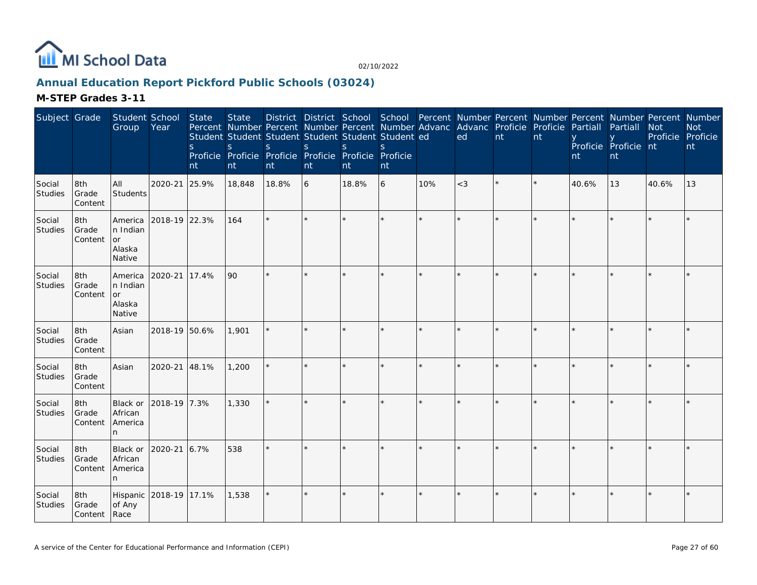

# **Annual Education Report Pickford Public Schools (03024)**

| Subject Grade     |                              | Student School<br>Group                        | Year          | State<br>$\mathsf{S}$<br>nt | <b>State</b><br><sub>S</sub><br>nt | Percent Number Percent Number Percent Number Advanc Advanc Proficie Proficie<br>Student Student Student Student Student Student ed<br><sub>S</sub><br>Proficie Proficie Proficie Proficie Proficie Proficie<br>nt | S<br>nt | <sub>S</sub><br>nt | $\mathcal{S}_{\mathcal{S}}$<br>nt |     | District District School School Percent Number Percent Number Percent Number Percent Number<br>ed | nt | nt | Partiall<br>nt | Partiall<br>Proficie Proficie nt<br>nt | <b>Not</b><br>Proficie Proficie | <b>Not</b><br>nt |
|-------------------|------------------------------|------------------------------------------------|---------------|-----------------------------|------------------------------------|-------------------------------------------------------------------------------------------------------------------------------------------------------------------------------------------------------------------|---------|--------------------|-----------------------------------|-----|---------------------------------------------------------------------------------------------------|----|----|----------------|----------------------------------------|---------------------------------|------------------|
| Social<br>Studies | 8th<br>Grade<br>Content      | All<br>Students                                | 2020-21       | 25.9%                       | 18,848                             | 18.8%                                                                                                                                                                                                             | 6       | 18.8%              | 6                                 | 10% | $<$ 3                                                                                             |    |    | 40.6%          | 13                                     | 40.6%                           | 13               |
| Social<br>Studies | 8th<br>Grade<br>Content      | America<br>n Indian<br>lor<br>Alaska<br>Native | 2018-19 22.3% |                             | 164                                | ÷                                                                                                                                                                                                                 | $\star$ |                    | $\star$                           |     | $\star$                                                                                           |    |    |                |                                        |                                 |                  |
| Social<br>Studies | 8th<br>Grade<br>Content      | America<br>n Indian<br>or<br>Alaska<br>Native  | 2020-21       | 17.4%                       | 90                                 |                                                                                                                                                                                                                   |         |                    | $\star$                           |     |                                                                                                   |    |    |                |                                        |                                 |                  |
| Social<br>Studies | 8th<br>Grade<br>Content      | Asian                                          | 2018-19 50.6% |                             | 1,901                              |                                                                                                                                                                                                                   |         |                    | $\star$                           |     |                                                                                                   |    |    |                |                                        |                                 |                  |
| Social<br>Studies | 8th<br>Grade<br>Content      | Asian                                          | 2020-21       | 48.1%                       | 1,200                              | ÷.                                                                                                                                                                                                                |         |                    | ×.                                |     | $\star$                                                                                           |    |    |                |                                        |                                 |                  |
| Social<br>Studies | 8th<br>Grade<br>Content      | Black or<br>African<br>America<br>n.           | 2018-19 7.3%  |                             | 1,330                              |                                                                                                                                                                                                                   |         |                    |                                   |     |                                                                                                   |    |    |                |                                        |                                 |                  |
| Social<br>Studies | 8th<br>Grade<br>Content      | Black or<br>African<br>America<br>n.           | 2020-21       | 6.7%                        | 538                                |                                                                                                                                                                                                                   |         |                    |                                   |     |                                                                                                   |    |    |                |                                        |                                 |                  |
| Social<br>Studies | 8th<br>Grade<br>Content Race | Hispanic<br>of Any                             | 2018-19 17.1% |                             | 1,538                              |                                                                                                                                                                                                                   |         |                    | $\star$                           |     |                                                                                                   |    |    |                |                                        |                                 |                  |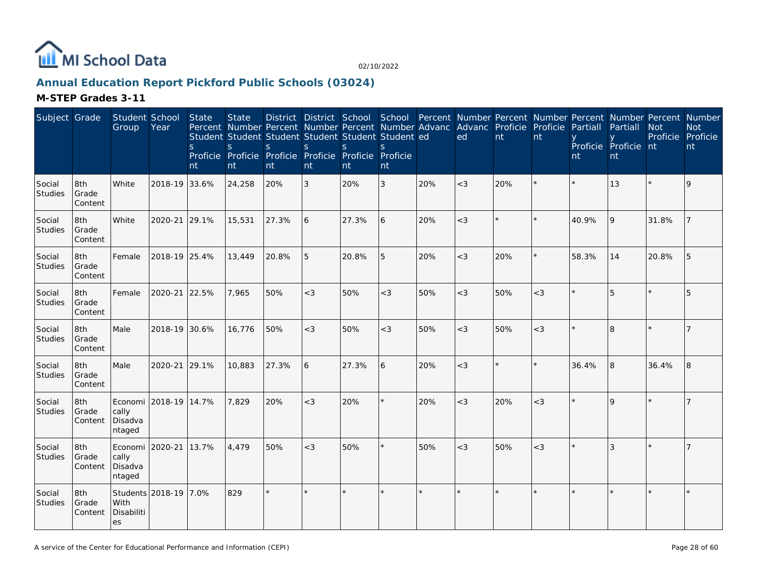

# **Annual Education Report Pickford Public Schools (03024)**

| Subject Grade            |                         | Student School<br>Group                       | Year                  | State<br>S.<br>nt | <b>State</b><br>S<br>nt | <sub>S</sub><br>nt | S<br>nt        | District District School School Percent Number Percent Number Percent Number Percent Number<br>Percent Number Percent Number Percent Number Advanc<br>Student Student Student Student Student Student ed<br><sub>S</sub><br>Proficie Proficie Proficie Proficie Proficie Proficie<br>nt | <sub>S</sub><br>nt |     | Advanc Proficie<br>ed | nt  | Proficie<br>nt | Partiall<br>nt | Partiall<br>Proficie Proficie nt<br>nt | <b>Not</b><br>Proficie Proficie | <b>Not</b><br>nt |
|--------------------------|-------------------------|-----------------------------------------------|-----------------------|-------------------|-------------------------|--------------------|----------------|-----------------------------------------------------------------------------------------------------------------------------------------------------------------------------------------------------------------------------------------------------------------------------------------|--------------------|-----|-----------------------|-----|----------------|----------------|----------------------------------------|---------------------------------|------------------|
| Social<br>Studies        | 8th<br>Grade<br>Content | White                                         | 2018-19               | 33.6%             | 24,258                  | 20%                | 3              | 20%                                                                                                                                                                                                                                                                                     | 3                  | 20% | $<$ 3                 | 20% |                |                | 13                                     |                                 | 9                |
| Social<br>Studies        | 8th<br>Grade<br>Content | White                                         | 2020-21 29.1%         |                   | 15,531                  | 27.3%              | 6              | 27.3%                                                                                                                                                                                                                                                                                   | 6                  | 20% | $<$ 3                 |     |                | 40.9%          | 9                                      | 31.8%                           |                  |
| Social<br>Studies        | 8th<br>Grade<br>Content | Female                                        | 2018-19 25.4%         |                   | 13,449                  | 20.8%              | 5              | 20.8%                                                                                                                                                                                                                                                                                   | 5                  | 20% | $<$ 3                 | 20% |                | 58.3%          | 14                                     | 20.8%                           | 5                |
| Social<br>Studies        | 8th<br>Grade<br>Content | Female                                        | 2020-21 22.5%         |                   | 7,965                   | 50%                | $<$ 3          | 50%                                                                                                                                                                                                                                                                                     | $<$ 3              | 50% | $<$ 3                 | 50% | $<$ 3          |                | 5                                      |                                 | 5                |
| Social<br>Studies        | 8th<br>Grade<br>Content | Male                                          | 2018-19 30.6%         |                   | 16,776                  | 50%                | $<$ 3          | 50%                                                                                                                                                                                                                                                                                     | $<$ 3              | 50% | $<$ 3                 | 50% | $<$ 3          |                | $\beta$                                |                                 |                  |
| Social<br>Studies        | 8th<br>Grade<br>Content | Male                                          | 2020-21 29.1%         |                   | 10,883                  | 27.3%              | $\overline{6}$ | 27.3%                                                                                                                                                                                                                                                                                   | 6                  | 20% | $<$ 3                 |     |                | 36.4%          | 8                                      | 36.4%                           | 8                |
| Social<br>Studies        | 8th<br>Grade<br>Content | Economi<br>cally<br>Disadva<br>ntaged         | 2018-19 14.7%         |                   | 7,829                   | 20%                | $<$ 3          | 20%                                                                                                                                                                                                                                                                                     |                    | 20% | $<$ 3                 | 20% | $<$ 3          |                | $\Omega$                               |                                 | 7                |
| Social<br><b>Studies</b> | 8th<br>Grade<br>Content | Economi 2020-21<br>cally<br>Disadva<br>ntaged |                       | 13.7%             | 4,479                   | 50%                | $<$ 3          | 50%                                                                                                                                                                                                                                                                                     |                    | 50% | $<$ 3                 | 50% | $\lt3$         |                | 3                                      |                                 |                  |
| Social<br>Studies        | 8th<br>Grade<br>Content | With<br>Disabiliti<br>es                      | Students 2018-19 7.0% |                   | 829                     | $\star$            | $\star$        |                                                                                                                                                                                                                                                                                         |                    |     |                       |     |                |                |                                        |                                 |                  |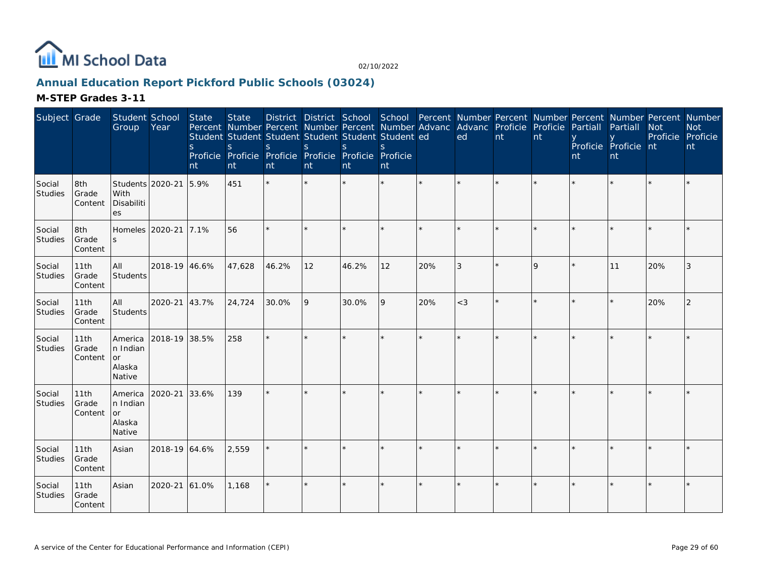

# **Annual Education Report Pickford Public Schools (03024)**

| Subject Grade            |                          | Student School<br>Group                       | Year          | State<br>$\mathsf{S}$<br>nt | <b>State</b><br>S<br>nt | Percent Number Percent Number Percent Number Advanc Advanc Proficie Proficie<br>Student Student Student Student Student Student ed<br>S.<br>Proficie Proficie Proficie Proficie Proficie Proficie<br>nt | <sub>S</sub><br>nt | <sub>S</sub><br>nt | S.<br>nt |     | District District School School Percent Number Percent Number Percent Number Percent Number<br>ed | nt | nt          | Partiall<br>nt | Partiall<br>Proficie Proficie nt<br>nt | <b>Not</b><br>Proficie Proficie | <b>Not</b><br>nt |
|--------------------------|--------------------------|-----------------------------------------------|---------------|-----------------------------|-------------------------|---------------------------------------------------------------------------------------------------------------------------------------------------------------------------------------------------------|--------------------|--------------------|----------|-----|---------------------------------------------------------------------------------------------------|----|-------------|----------------|----------------------------------------|---------------------------------|------------------|
| Social<br>Studies        | 8th<br>Grade<br>Content  | Students 2020-21<br>With<br>Disabiliti<br>es  |               | 5.9%                        | 451                     | $\star$                                                                                                                                                                                                 |                    |                    | $\star$  |     |                                                                                                   |    |             |                |                                        |                                 |                  |
| Social<br>Studies        | 8th<br>Grade<br>Content  | Homeles 2020-21<br><sub>S</sub>               |               | 17.1%                       | 56                      |                                                                                                                                                                                                         |                    |                    | $\star$  |     |                                                                                                   |    |             |                |                                        |                                 |                  |
| Social<br>Studies        | 11th<br>Grade<br>Content | All<br>Students                               | 2018-19 46.6% |                             | 47,628                  | 46.2%                                                                                                                                                                                                   | 12                 | 46.2%              | 12       | 20% | 3                                                                                                 |    | $\mathsf Q$ |                | 11                                     | 20%                             | 3                |
| Social<br>Studies        | 11th<br>Grade<br>Content | All<br>Students                               | 2020-21       | 43.7%                       | 24,724                  | 30.0%                                                                                                                                                                                                   | 9                  | 30.0%              | 9        | 20% | $<$ 3                                                                                             |    |             |                |                                        | 20%                             | 2                |
| Social<br>Studies        | 11th<br>Grade<br>Content | America<br>n Indian<br>or<br>Alaska<br>Native | 2018-19 38.5% |                             | 258                     | ÷.                                                                                                                                                                                                      |                    |                    | $\star$  |     | $\star$                                                                                           |    |             |                |                                        |                                 |                  |
| Social<br>Studies        | 11th<br>Grade<br>Content | America<br>n Indian<br>or<br>Alaska<br>Native | 2020-21       | 33.6%                       | 139                     | ÷.                                                                                                                                                                                                      | ×.                 |                    | $\star$  |     |                                                                                                   |    |             |                |                                        |                                 |                  |
| Social<br>Studies        | 11th<br>Grade<br>Content | Asian                                         | 2018-19 64.6% |                             | 2,559                   |                                                                                                                                                                                                         |                    |                    |          |     |                                                                                                   |    |             |                |                                        |                                 |                  |
| Social<br><b>Studies</b> | 11th<br>Grade<br>Content | Asian                                         | 2020-21       | 61.0%                       | 1,168                   |                                                                                                                                                                                                         | $\star$            |                    | $\star$  |     | $\star$                                                                                           |    |             |                |                                        |                                 |                  |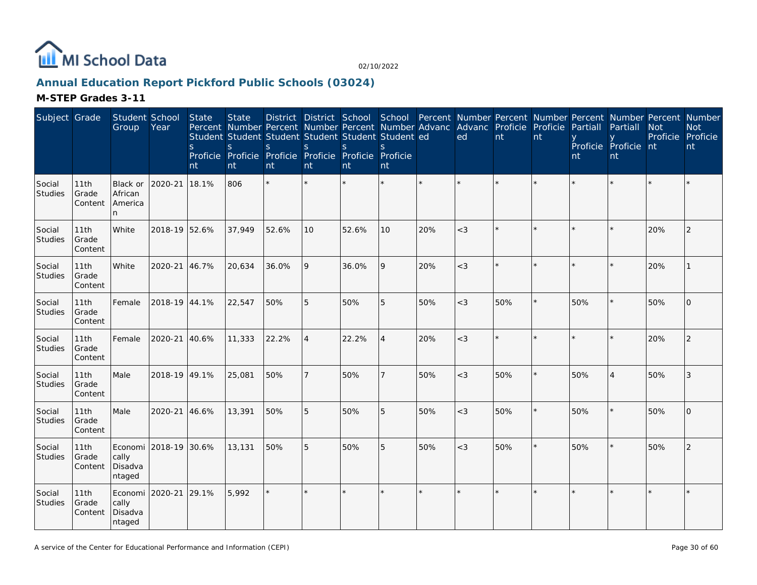

# **Annual Education Report Pickford Public Schools (03024)**

| Subject Grade            |                          | Student School<br>Group               | Year                  | State<br>S.<br>nt | <b>State</b><br><sub>S</sub><br>nt | Percent Number Percent Number Percent Number Advanc<br>Student Student Student Student Student Student ed<br><sub>S</sub><br>Proficie Proficie Proficie Proficie Proficie<br>nt | $\mathsf{S}$<br>nt | <sub>S</sub><br>nt | <sub>S</sub><br>Proficie<br>nt |         | ed     | Advanc Proficie<br>nt | Proficie<br>nt | Partiall<br>nt | District District School School Percent Number Percent Number Percent Number Percent Number<br>Partiall<br>Proficie Proficie nt<br>nt | <b>Not</b><br>Proficie Proficie | <b>Not</b><br>nt |
|--------------------------|--------------------------|---------------------------------------|-----------------------|-------------------|------------------------------------|---------------------------------------------------------------------------------------------------------------------------------------------------------------------------------|--------------------|--------------------|--------------------------------|---------|--------|-----------------------|----------------|----------------|---------------------------------------------------------------------------------------------------------------------------------------|---------------------------------|------------------|
| Social<br>Studies        | 11th<br>Grade<br>Content | Black or<br>African<br>America<br>n   | 2020-21               | 18.1%             | 806                                | $\star$                                                                                                                                                                         |                    |                    | $\star$                        | $\star$ |        |                       |                |                |                                                                                                                                       |                                 |                  |
| Social<br><b>Studies</b> | 11th<br>Grade<br>Content | White                                 | 2018-19 52.6%         |                   | 37,949                             | 52.6%                                                                                                                                                                           | 10                 | 52.6%              | 10                             | 20%     | $\lt3$ |                       |                |                |                                                                                                                                       | 20%                             | 2                |
| Social<br>Studies        | 11th<br>Grade<br>Content | White                                 | 2020-21               | 46.7%             | 20,634                             | 36.0%                                                                                                                                                                           | 9                  | 36.0%              | 9                              | 20%     | $<$ 3  |                       |                |                |                                                                                                                                       | 20%                             |                  |
| Social<br><b>Studies</b> | 11th<br>Grade<br>Content | Female                                | 2018-19 44.1%         |                   | 22,547                             | 50%                                                                                                                                                                             | 5                  | 50%                | 5                              | 50%     | $\lt3$ | 50%                   | $\star$        | 50%            |                                                                                                                                       | 50%                             | $\Omega$         |
| Social<br>Studies        | 11th<br>Grade<br>Content | Female                                | 2020-21               | 40.6%             | 11,333                             | 22.2%                                                                                                                                                                           | $\overline{4}$     | 22.2%              | $\overline{4}$                 | 20%     | $<$ 3  |                       |                |                |                                                                                                                                       | 20%                             | 2                |
| Social<br>Studies        | 11th<br>Grade<br>Content | Male                                  | 2018-19 49.1%         |                   | 25,081                             | 50%                                                                                                                                                                             | $\overline{7}$     | 50%                |                                | 50%     | $<$ 3  | 50%                   |                | 50%            |                                                                                                                                       | 50%                             | 3                |
| Social<br><b>Studies</b> | 11th<br>Grade<br>Content | Male                                  | 2020-21               | 46.6%             | 13,391                             | 50%                                                                                                                                                                             | 5                  | 50%                | 5                              | 50%     | $<$ 3  | 50%                   |                | 50%            |                                                                                                                                       | 50%                             | $\Omega$         |
| Social<br><b>Studies</b> | 11th<br>Grade<br>Content | cally<br>Disadva<br>ntaged            | Economi 2018-19 30.6% |                   | 13,131                             | 50%                                                                                                                                                                             | 5                  | 50%                | 5                              | 50%     | $<$ 3  | 50%                   | $\star$        | 50%            |                                                                                                                                       | 50%                             | 2                |
| Social<br>Studies        | 11th<br>Grade<br>Content | Economi<br>cally<br>Disadva<br>ntaged | 2020-21               | 29.1%             | 5,992                              | $\star$                                                                                                                                                                         | ×.                 |                    | $\star$                        | $\star$ |        |                       |                |                |                                                                                                                                       |                                 |                  |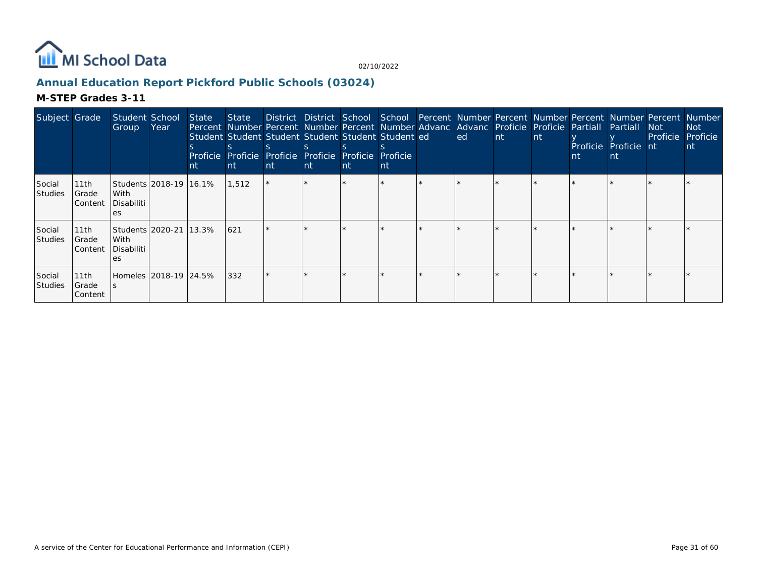

# **Annual Education Report Pickford Public Schools (03024)**

| Subject Grade      |                           | Student School<br>Group                        | Year                    | State<br>nt | Student Student Student Student Student Student ed<br>Proficie Proficie Proficie Proficie Proficie Proficie<br><b>nt</b> | nt | nt | nt | nt | State District District School School Percent Number Percent Number Percent Number Percent Number<br>Percent Number Percent Number Percent Number Advanc Advanc Proficie Proficie Partiall Partiall<br>ed | <b>Int</b> | nt | nt | Proficie Proficie nt | Not :<br>Proficie | Not<br>Proficie<br>nt |
|--------------------|---------------------------|------------------------------------------------|-------------------------|-------------|--------------------------------------------------------------------------------------------------------------------------|----|----|----|----|-----------------------------------------------------------------------------------------------------------------------------------------------------------------------------------------------------------|------------|----|----|----------------------|-------------------|-----------------------|
| Social<br>Studies  | 11th<br>Grade<br> Content | With<br>Disabiliti<br>es                       | Students 2018-19 16.1%  |             | 1,512                                                                                                                    |    |    |    |    |                                                                                                                                                                                                           |            |    |    |                      |                   |                       |
| Social<br> Studies | 11th<br>Grade<br> Content | Students   2020-21<br>With<br>Disabiliti<br>es |                         | 13.3%       | 621                                                                                                                      |    |    |    |    |                                                                                                                                                                                                           |            |    |    |                      |                   |                       |
| Social<br>Studies  | 11th<br>Grade<br>Content  |                                                | Homeles 12018-19 124.5% |             | 332                                                                                                                      |    |    |    |    |                                                                                                                                                                                                           |            |    |    |                      |                   |                       |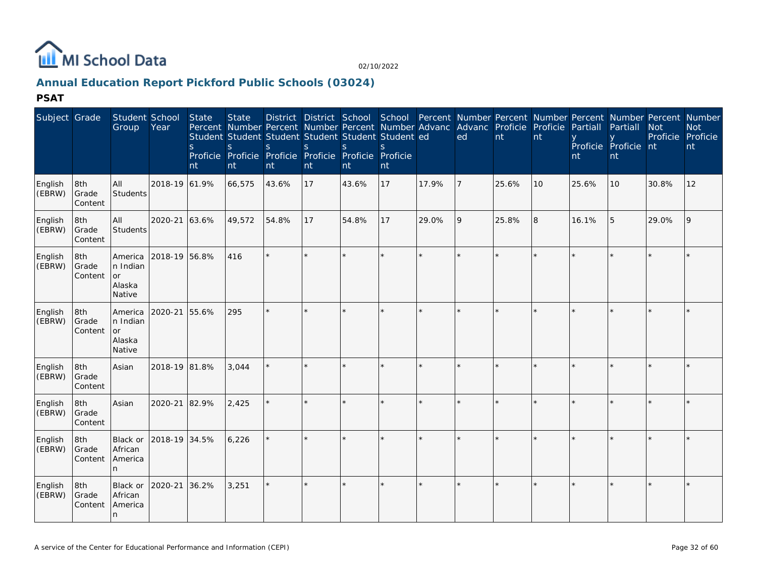

# **Annual Education Report Pickford Public Schools (03024)**

| Subject Grade     |                         | Student School<br>Group                              | Year          | State<br>S<br>nt | <b>State</b><br>S<br>Proficie Proficie Proficie Proficie Proficie Proficie<br>nt | <sub>S</sub><br>nt | <sub>S</sub><br>nt | $\mathbf{S}$<br>nt | Percent Number Percent Number Percent Number Advanc Advanc Proficie Proficie Partiall<br>Student Student Student Student Student Student ed<br>nt |         | ed             | nt      | nt | nt    | Partiall<br>Proficie Proficie nt<br>nt | <b>Not</b> | District District School School Percent Number Percent Number Percent Number Percent Number<br><b>Not</b><br>Proficie Proficie<br>nt |
|-------------------|-------------------------|------------------------------------------------------|---------------|------------------|----------------------------------------------------------------------------------|--------------------|--------------------|--------------------|---------------------------------------------------------------------------------------------------------------------------------------------------|---------|----------------|---------|----|-------|----------------------------------------|------------|--------------------------------------------------------------------------------------------------------------------------------------|
| English<br>(EBRW) | 8th<br>Grade<br>Content | All<br>Students                                      | 2018-19 61.9% |                  | 66,575                                                                           | 43.6%              | <b>17</b>          | 43.6%              | 17                                                                                                                                                | 17.9%   | $\overline{7}$ | 25.6%   | 10 | 25.6% | 10                                     | 30.8%      | 12                                                                                                                                   |
| English<br>(EBRW) | 8th<br>Grade<br>Content | All<br><b>Students</b>                               | 2020-21       | 63.6%            | 49,572                                                                           | 54.8%              | 17                 | 54.8%              | 17                                                                                                                                                | 29.0%   | 9              | 25.8%   | 8  | 16.1% | 5                                      | 29.0%      | 9                                                                                                                                    |
| English<br>(EBRW) | 8th<br>Grade<br>Content | America<br>n Indian<br><b>or</b><br>Alaska<br>Native | 2018-19 56.8% |                  | 416                                                                              |                    |                    |                    | $\star$                                                                                                                                           | $\star$ |                | ÷       |    |       |                                        |            |                                                                                                                                      |
| English<br>(EBRW) | 8th<br>Grade<br>Content | America<br>n Indian<br><b>or</b><br>Alaska<br>Native | 2020-21       | 55.6%            | 295                                                                              |                    |                    |                    | ÷.                                                                                                                                                | $\star$ |                | $\star$ |    |       |                                        |            |                                                                                                                                      |
| English<br>(EBRW) | 8th<br>Grade<br>Content | Asian                                                | 2018-19 81.8% |                  | 3,044                                                                            |                    |                    |                    |                                                                                                                                                   | ×.      |                | ×.      |    |       |                                        |            |                                                                                                                                      |
| English<br>(EBRW) | 8th<br>Grade<br>Content | Asian                                                | 2020-21       | 82.9%            | 2,425                                                                            |                    |                    |                    | ÷.                                                                                                                                                | $\star$ |                | $\star$ |    |       |                                        |            |                                                                                                                                      |
| English<br>(EBRW) | 8th<br>Grade<br>Content | Black or<br>African<br>America<br>n.                 | 2018-19 34.5% |                  | 6,226                                                                            |                    |                    |                    | $\star$                                                                                                                                           | $\star$ |                | $\star$ |    |       |                                        |            |                                                                                                                                      |
| English<br>(EBRW) | 8th<br>Grade<br>Content | Black or<br>African<br>America<br>n                  | 2020-21       | 36.2%            | 3,251                                                                            |                    |                    |                    | ÷.                                                                                                                                                | ×.      |                | $\star$ |    |       |                                        |            |                                                                                                                                      |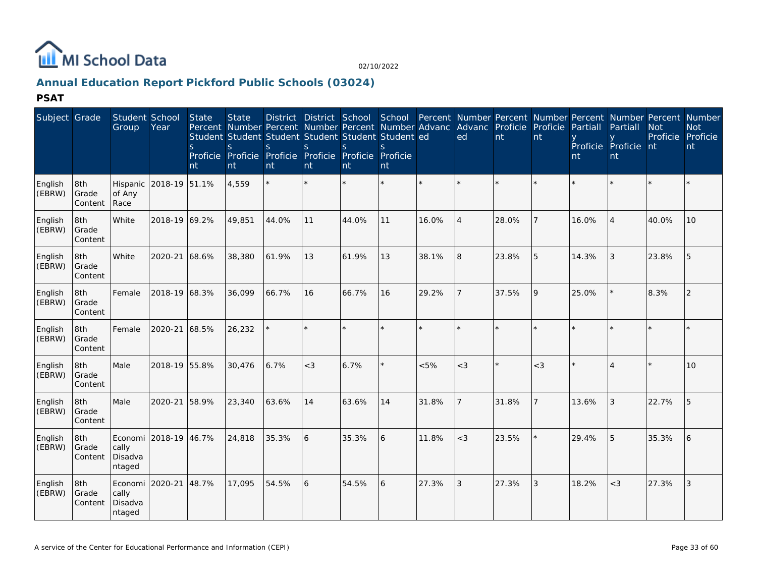

# **Annual Education Report Pickford Public Schools (03024)**

| Subject Grade     |                         | Student School<br>Group    | Year                  | State<br><sub>S</sub><br>nt | <b>State</b><br>Percent Number Percent Number Percent Number Advanc<br>Student Student Student Student Student Student ed<br>S<br>Proficie Proficie Proficie Proficie Proficie Proficie<br>nt | S.<br>nt | <sub>S</sub><br>nt | S.<br>nt | $\mathbf{S}$<br>nt |         | District District School School Percent Number Percent Number Percent Number Percent Number<br>Advanc Proficie Proficie Partiall<br>ed | nt    | nt    | nt    | Partiall<br>Proficie Proficie nt<br>nt | <b>Not</b><br>Proficie | <b>Not</b><br>Proficie<br>nt |
|-------------------|-------------------------|----------------------------|-----------------------|-----------------------------|-----------------------------------------------------------------------------------------------------------------------------------------------------------------------------------------------|----------|--------------------|----------|--------------------|---------|----------------------------------------------------------------------------------------------------------------------------------------|-------|-------|-------|----------------------------------------|------------------------|------------------------------|
| English<br>(EBRW) | 8th<br>Grade<br>Content | Hispanic<br>of Any<br>Race | 2018-19 51.1%         |                             | 4,559                                                                                                                                                                                         |          |                    |          | $\star$            | $\star$ | $\star$                                                                                                                                |       |       |       |                                        |                        |                              |
| English<br>(EBRW) | 8th<br>Grade<br>Content | White                      | 2018-19 69.2%         |                             | 49,851                                                                                                                                                                                        | 44.0%    | 11                 | 44.0%    | 11                 | 16.0%   | $\overline{4}$                                                                                                                         | 28.0% |       | 16.0% | $\overline{4}$                         | 40.0%                  | 10                           |
| English<br>(EBRW) | 8th<br>Grade<br>Content | White                      | 2020-21 68.6%         |                             | 38,380                                                                                                                                                                                        | 61.9%    | 13                 | 61.9%    | 13                 | 38.1%   | 8                                                                                                                                      | 23.8% | 5     | 14.3% | 3                                      | 23.8%                  | 5                            |
| English<br>(EBRW) | 8th<br>Grade<br>Content | Female                     | 2018-19 68.3%         |                             | 36,099                                                                                                                                                                                        | 66.7%    | 16                 | 66.7%    | 16                 | 29.2%   |                                                                                                                                        | 37.5% | 9     | 25.0% |                                        | 8.3%                   | $\overline{2}$               |
| English<br>(EBRW) | 8th<br>Grade<br>Content | Female                     | 2020-21 68.5%         |                             | 26,232                                                                                                                                                                                        |          |                    |          | $\star$            | $\star$ | $\star$                                                                                                                                |       |       |       |                                        |                        |                              |
| English<br>(EBRW) | 8th<br>Grade<br>Content | Male                       | 2018-19 55.8%         |                             | 30,476                                                                                                                                                                                        | 6.7%     | $<$ 3              | 6.7%     | $\star$            | < 5%    | $<$ 3                                                                                                                                  |       | $<$ 3 |       |                                        |                        | 10                           |
| English<br>(EBRW) | 8th<br>Grade<br>Content | Male                       | 2020-21 58.9%         |                             | 23,340                                                                                                                                                                                        | 63.6%    | 14                 | 63.6%    | 14                 | 31.8%   | $\overline{7}$                                                                                                                         | 31.8% |       | 13.6% | 3                                      | 22.7%                  | 5                            |
| English<br>(EBRW) | 8th<br>Grade<br>Content | cally<br>Disadva<br>ntaged | Economi 2018-19 46.7% |                             | 24,818                                                                                                                                                                                        | 35.3%    | 6                  | 35.3%    | 6                  | 11.8%   | $<$ 3                                                                                                                                  | 23.5% |       | 29.4% | 5                                      | 35.3%                  | 6                            |
| English<br>(EBRW) | 8th<br>Grade<br>Content | cally<br>Disadva<br>ntaged | Economi 2020-21 48.7% |                             | 17,095                                                                                                                                                                                        | 54.5%    | 6                  | 54.5%    | 6                  | 27.3%   | 3                                                                                                                                      | 27.3% | 3     | 18.2% | $<$ 3                                  | 27.3%                  | 3                            |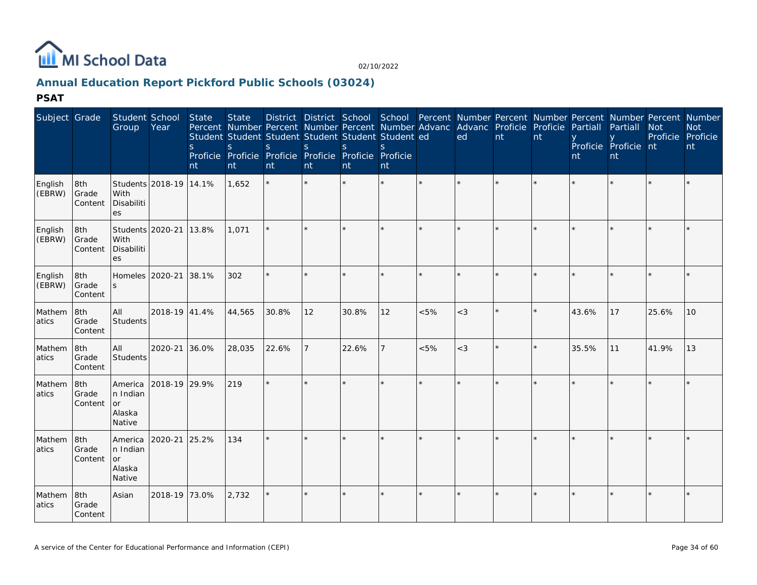

# **Annual Education Report Pickford Public Schools (03024)**

| Subject Grade     |                         | Student School<br>Group                              | Year                   | State<br><sub>S</sub><br>nt | <b>State</b><br>Percent Number Percent Number Percent Number Advanc Advanc Proficie Proficie Partiall Partiall<br>Student Student Student Student Student Student ed<br>S<br>Proficie Proficie Proficie Proficie Proficie<br>nt | <sub>S</sub><br>nt | <sup>S</sup><br>nt | <sub>S</sub><br>nt | District District School School Percent Number Percent Number Percent Number Percent Number<br>S.<br>Proficie<br>nt |         | ed    | nt | nt | nt    | Proficie Proficie nt<br>nt | <b>Not</b><br>Proficie Proficie | <b>Not</b><br>nt |
|-------------------|-------------------------|------------------------------------------------------|------------------------|-----------------------------|---------------------------------------------------------------------------------------------------------------------------------------------------------------------------------------------------------------------------------|--------------------|--------------------|--------------------|---------------------------------------------------------------------------------------------------------------------|---------|-------|----|----|-------|----------------------------|---------------------------------|------------------|
| English<br>(EBRW) | 8th<br>Grade<br>Content | With<br>Disabiliti<br>es                             | Students 2018-19 14.1% |                             | 1,652                                                                                                                                                                                                                           |                    |                    | $\star$            | $\star$                                                                                                             | $\star$ | ÷     |    |    |       |                            |                                 |                  |
| English<br>(EBRW) | 8th<br>Grade<br>Content | Students 2020-21<br>With<br>Disabiliti<br>es         |                        | 13.8%                       | 1,071                                                                                                                                                                                                                           |                    |                    | $\star$            |                                                                                                                     |         |       |    |    |       |                            |                                 |                  |
| English<br>(EBRW) | 8th<br>Grade<br>Content | Homeles 2020-21<br>$\mathsf{S}$                      |                        | 38.1%                       | 302                                                                                                                                                                                                                             |                    |                    | $\star$            |                                                                                                                     |         |       |    |    |       |                            |                                 |                  |
| Mathem<br>atics   | 8th<br>Grade<br>Content | All<br>Students                                      | 2018-19 41.4%          |                             | 44,565                                                                                                                                                                                                                          | 30.8%              | 12                 | 30.8%              | 12                                                                                                                  | &5%     | $<$ 3 |    |    | 43.6% | 17                         | 25.6%                           | 10               |
| Mathem<br>atics   | 8th<br>Grade<br>Content | All<br>Students                                      | 2020-21 36.0%          |                             | 28,035                                                                                                                                                                                                                          | 22.6%              | 17                 | 22.6%              | $\overline{7}$                                                                                                      | &5%     | $<$ 3 |    |    | 35.5% | 11                         | 41.9%                           | 13               |
| Mathem<br>atics   | 8th<br>Grade<br>Content | America<br>n Indian<br><b>or</b><br>Alaska<br>Native | 2018-19 29.9%          |                             | 219                                                                                                                                                                                                                             | $\star$            | $\star$            | $\star$            | ÷.                                                                                                                  | $\star$ |       |    |    |       |                            |                                 |                  |
| Mathem<br>atics   | 8th<br>Grade<br>Content | America<br>n Indian<br>or<br>Alaska<br>Native        | 2020-21                | 25.2%                       | 134                                                                                                                                                                                                                             |                    |                    |                    |                                                                                                                     |         |       |    |    |       |                            |                                 |                  |
| Mathem<br>atics   | 8th<br>Grade<br>Content | Asian                                                | 2018-19 73.0%          |                             | 2,732                                                                                                                                                                                                                           |                    |                    | $\star$            | $\star$                                                                                                             |         |       |    |    |       |                            |                                 |                  |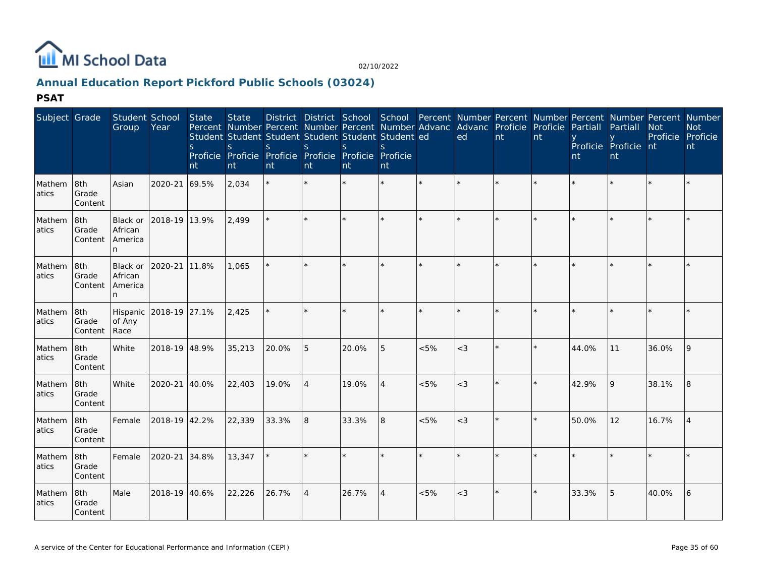

# **Annual Education Report Pickford Public Schools (03024)**

| Subject Grade    |                         | Student School<br>Group                    | Year          | State<br>S<br>nt | <b>State</b><br>Student Student Student Student Student Student ed<br>S<br>Proficie Proficie Proficie Proficie Proficie Proficie<br>nt | S<br>nt | $\mathsf{S}$<br>nt | $\mathbf{S}$<br>nt | S.<br>nt       |         | District District School School Percent Number Percent Number Percent Number Percent Number<br>Percent Number Percent Number Percent Number Advanc Advanc Proficie Proficie<br>ed | nt      | nt      | Partiall<br>nt | Partiall<br>Proficie Proficie nt<br>nt | <b>Not</b><br>Proficie Proficie | <b>Not</b><br>nt |
|------------------|-------------------------|--------------------------------------------|---------------|------------------|----------------------------------------------------------------------------------------------------------------------------------------|---------|--------------------|--------------------|----------------|---------|-----------------------------------------------------------------------------------------------------------------------------------------------------------------------------------|---------|---------|----------------|----------------------------------------|---------------------------------|------------------|
| Mathem<br>atics  | 8th<br>Grade<br>Content | Asian                                      | 2020-21 69.5% |                  | 2,034                                                                                                                                  |         |                    |                    | $\star$        | $\star$ | $\star$                                                                                                                                                                           | $\star$ |         |                |                                        |                                 |                  |
| Mathem<br>atics  | 8th<br>Grade<br>Content | <b>Black or</b><br>African<br>America<br>n | 2018-19 13.9% |                  | 2,499                                                                                                                                  |         |                    |                    | ÷              |         |                                                                                                                                                                                   | $\star$ |         |                |                                        |                                 |                  |
| Mathem<br>atics  | 8th<br>Grade<br>Content | Black or<br>African<br>America<br>n        | 2020-21       | 11.8%            | 1,065                                                                                                                                  |         | ÷.                 | $\star$            | $\star$        | $\star$ | $\star$                                                                                                                                                                           | $\star$ | $\star$ |                |                                        |                                 |                  |
| Mathem<br>atics  | 8th<br>Grade<br>Content | Hispanic<br>of Any<br>Race                 | 2018-19 27.1% |                  | 2,425                                                                                                                                  |         |                    |                    | $\star$        |         |                                                                                                                                                                                   |         |         |                |                                        |                                 |                  |
| Mathem<br>atics  | 8th<br>Grade<br>Content | White                                      | 2018-19 48.9% |                  | 35,213                                                                                                                                 | 20.0%   | 5                  | 20.0%              | 5              | < 5%    | $<$ 3                                                                                                                                                                             | $\star$ | $\star$ | 44.0%          | 11                                     | 36.0%                           | 9                |
| Mathem<br>latics | 8th<br>Grade<br>Content | White                                      | $2020 - 21$   | 40.0%            | 22,403                                                                                                                                 | 19.0%   | $\overline{4}$     | 19.0%              | $\overline{4}$ | &5%     | $<$ 3                                                                                                                                                                             | ÷.      |         | 42.9%          | 9                                      | 38.1%                           | 8                |
| Mathem<br>atics  | 8th<br>Grade<br>Content | Female                                     | 2018-19 42.2% |                  | 22,339                                                                                                                                 | 33.3%   | 8                  | 33.3%              | 8              | &5%     | $<$ 3                                                                                                                                                                             |         |         | 50.0%          | 12                                     | 16.7%                           |                  |
| Mathem<br>atics  | 8th<br>Grade<br>Content | Female                                     | 2020-21 34.8% |                  | 13,347                                                                                                                                 |         |                    | $\star$            | $\star$        | $\star$ | $\star$                                                                                                                                                                           | $\star$ | $\star$ |                |                                        |                                 |                  |
| Mathem<br>atics  | 8th<br>Grade<br>Content | Male                                       | 2018-19 40.6% |                  | 22,226                                                                                                                                 | 26.7%   | $\overline{A}$     | 26.7%              | $\overline{4}$ | &5%     | $<$ 3                                                                                                                                                                             | $\star$ | $\star$ | 33.3%          | 5                                      | 40.0%                           | 6                |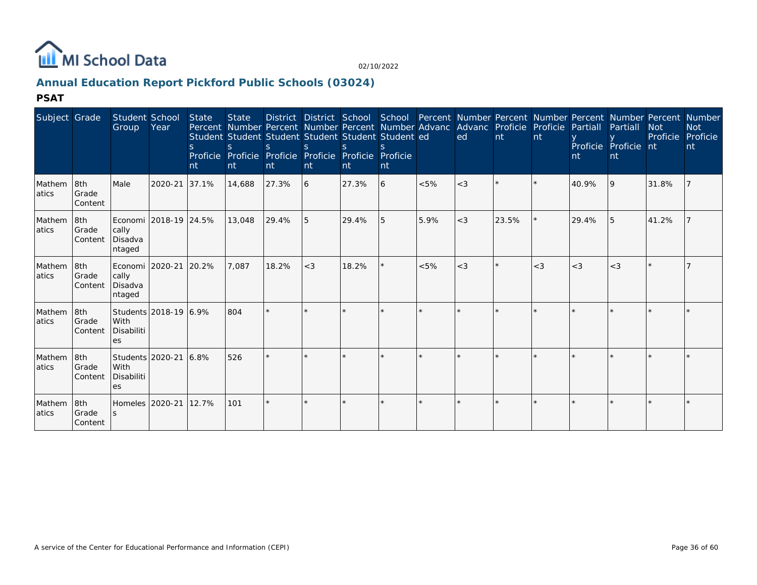

# **Annual Education Report Pickford Public Schools (03024)**

| Subject Grade    |                                             | Student School<br>Group    | Year                        | State<br>$\mathcal{S}$<br>nt | <b>State</b><br>Student Student Student Student Student Student ed<br>S.<br>Proficie Proficie Proficie Proficie Proficie Proficie<br>nt | S.<br>nt | $\mathcal{S}_{\mathcal{S}}$<br>nt | $\varsigma$<br>nt | <b>nt</b> |         | Percent Number Percent Number Percent Number Advanc Advanc Proficie Proficie Partiall<br>ed | nt    | <b>nt</b> | nt    | Partiall<br>Proficie Proficie nt<br>nt | District District School School Percent Number Percent Number Percent Number Percent Number<br><b>Not</b><br>Proficie | <b>Not</b><br>Proficie<br>nt |
|------------------|---------------------------------------------|----------------------------|-----------------------------|------------------------------|-----------------------------------------------------------------------------------------------------------------------------------------|----------|-----------------------------------|-------------------|-----------|---------|---------------------------------------------------------------------------------------------|-------|-----------|-------|----------------------------------------|-----------------------------------------------------------------------------------------------------------------------|------------------------------|
| Mathem<br>atics  | 8th<br>Grade<br>Content                     | Male                       | 2020-21                     | 37.1%                        | 14,688                                                                                                                                  | 27.3%    | 16                                | 27.3%             | 6         | $< 5\%$ | $<$ 3                                                                                       |       | $\star$   | 40.9% | <b>9</b>                               | 31.8%                                                                                                                 |                              |
| Mathem<br>latics | 18 <sub>th</sub><br>Grade<br><b>Content</b> | cally<br>Disadva<br>ntaged | Economi   2018-19   24.5%   |                              | 13,048                                                                                                                                  | 29.4%    | I 5                               | 29.4%             | 5         | 5.9%    | $<$ 3                                                                                       | 23.5% |           | 29.4% | 15                                     | 41.2%                                                                                                                 |                              |
| Mathem<br>atics  | 8th<br>Grade<br><b>Content</b>              | cally<br>Disadva<br>ntaged | Economi    2020-21    20.2% |                              | 7.087                                                                                                                                   | 18.2%    | $<$ 3                             | 18.2%             | $\star$   | < 5%    | $<$ 3                                                                                       |       | $<$ 3     | $<$ 3 | $<$ 3                                  |                                                                                                                       |                              |
| Mathem<br>atics  | 8th<br>Grade<br>Content                     | With<br>Disabiliti<br>es   | Students 2018-19 6.9%       |                              | 804                                                                                                                                     |          |                                   |                   |           |         |                                                                                             |       |           |       |                                        |                                                                                                                       |                              |
| Mathem<br>latics | 8th<br><b>Grade</b><br>Content              | With<br>Disabiliti<br>es   | Students 2020-21 6.8%       |                              | 526                                                                                                                                     |          |                                   |                   |           |         |                                                                                             |       |           |       |                                        |                                                                                                                       |                              |
| Mathem<br>atics  | 8th<br>Grade<br>Content                     |                            | Homeles 2020-21 12.7%       |                              | 101                                                                                                                                     |          | $\mathbf{d} \mathbf{r}$           |                   | ÷         |         |                                                                                             |       |           |       |                                        |                                                                                                                       |                              |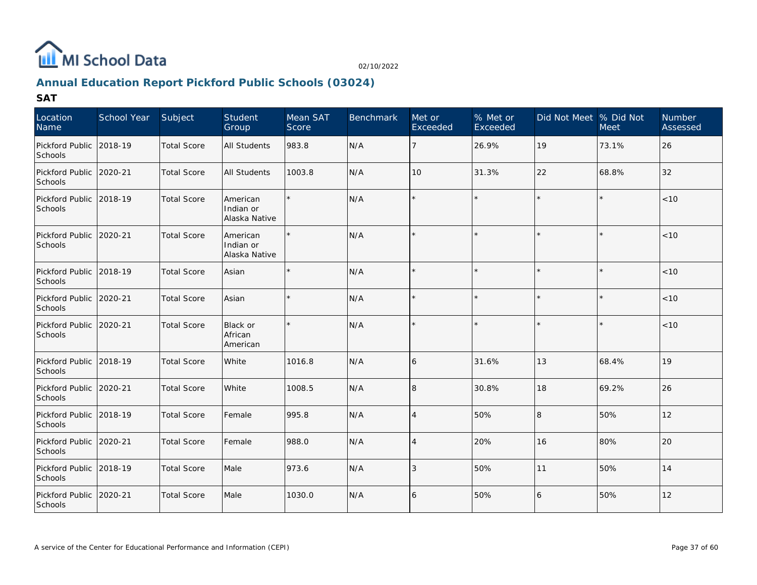

# **Annual Education Report Pickford Public Schools (03024)**

| Location<br>Name                     | School Year | Subject            | Student<br>Group                       | Mean SAT<br>Score | <b>Benchmark</b> | Met or<br>Exceeded | % Met or<br>Exceeded | Did Not Meet % Did Not | <b>Meet</b> | Number<br>Assessed |
|--------------------------------------|-------------|--------------------|----------------------------------------|-------------------|------------------|--------------------|----------------------|------------------------|-------------|--------------------|
| Pickford Public 2018-19<br>Schools   |             | <b>Total Score</b> | <b>All Students</b>                    | 983.8             | N/A              | 7                  | 26.9%                | 19                     | 73.1%       | 26                 |
| Pickford Public 2020-21<br>Schools   |             | <b>Total Score</b> | All Students                           | 1003.8            | N/A              | 10                 | 31.3%                | 22                     | 68.8%       | 32                 |
| Pickford Public 2018-19<br>Schools   |             | <b>Total Score</b> | American<br>Indian or<br>Alaska Native |                   | N/A              | $\star$            |                      |                        | $\star$     | < 10               |
| Pickford Public 2020-21<br>Schools   |             | <b>Total Score</b> | American<br>Indian or<br>Alaska Native |                   | N/A              |                    |                      |                        |             | < 10               |
| Pickford Public 2018-19<br>Schools   |             | <b>Total Score</b> | Asian                                  |                   | N/A              | $\star$            |                      |                        |             | $<10$              |
| Pickford Public 2020-21<br>Schools   |             | <b>Total Score</b> | Asian                                  |                   | N/A              | $\star$            |                      |                        | $\star$     | $<10$              |
| Pickford Public 2020-21<br>Schools   |             | <b>Total Score</b> | Black or<br>African<br>American        |                   | N/A              | $\star$            |                      |                        | $\star$     | $<10$              |
| Pickford Public 2018-19<br>Schools   |             | <b>Total Score</b> | White                                  | 1016.8            | N/A              | 6                  | 31.6%                | 13                     | 68.4%       | 19                 |
| Pickford Public   2020-21<br>Schools |             | <b>Total Score</b> | White                                  | 1008.5            | N/A              | 8                  | 30.8%                | 18                     | 69.2%       | 26                 |
| Pickford Public 2018-19<br>Schools   |             | <b>Total Score</b> | Female                                 | 995.8             | N/A              | $\overline{4}$     | 50%                  | $\mathbf{8}$           | 50%         | 12                 |
| Pickford Public 2020-21<br>Schools   |             | <b>Total Score</b> | Female                                 | 988.0             | N/A              | $\overline{4}$     | 20%                  | 16                     | 80%         | 20                 |
| Pickford Public 2018-19<br>Schools   |             | <b>Total Score</b> | Male                                   | 973.6             | N/A              | 3                  | 50%                  | 11                     | 50%         | 14                 |
| Pickford Public 2020-21<br>Schools   |             | <b>Total Score</b> | Male                                   | 1030.0            | N/A              | 6                  | 50%                  | 6                      | 50%         | 12                 |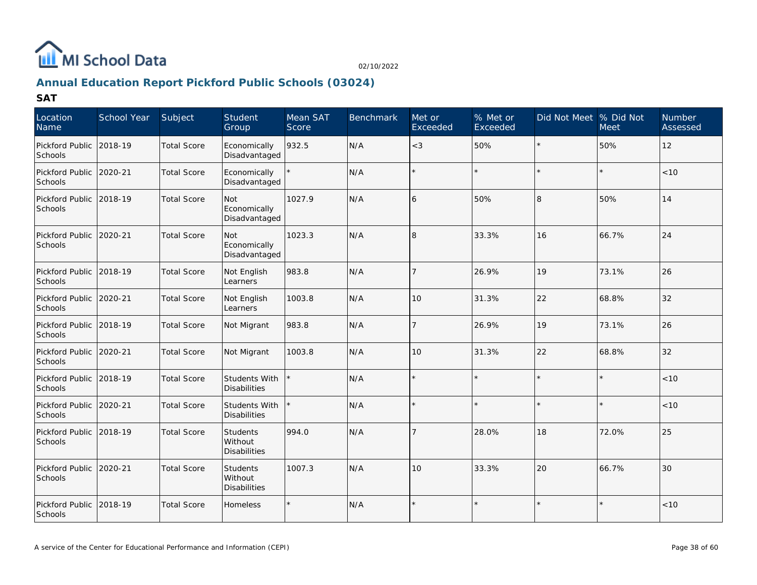

# **Annual Education Report Pickford Public Schools (03024)**

| Location<br>Name                     | School Year | Subject            | Student<br>Group                           | Mean SAT<br>Score | <b>Benchmark</b> | Met or<br>Exceeded | % Met or<br>Exceeded | Did Not Meet % Did Not | <b>Meet</b> | <b>Number</b><br>Assessed |
|--------------------------------------|-------------|--------------------|--------------------------------------------|-------------------|------------------|--------------------|----------------------|------------------------|-------------|---------------------------|
| Pickford Public<br>Schools           | 2018-19     | <b>Total Score</b> | Economically<br>Disadvantaged              | 932.5             | N/A              | $<$ 3              | 50%                  |                        | 50%         | 12                        |
| Pickford Public<br>Schools           | 2020-21     | <b>Total Score</b> | Economically<br>Disadvantaged              |                   | N/A              | $\star$            |                      |                        |             | < 10                      |
| Pickford Public<br>Schools           | 2018-19     | <b>Total Score</b> | Not<br>Economically<br>Disadvantaged       | 1027.9            | N/A              | 6                  | 50%                  | 8                      | 50%         | 14                        |
| Pickford Public 2020-21<br>Schools   |             | <b>Total Score</b> | Not<br>Economically<br>Disadvantaged       | 1023.3            | N/A              | $\overline{8}$     | 33.3%                | 16                     | 66.7%       | 24                        |
| Pickford Public 2018-19<br>Schools   |             | <b>Total Score</b> | Not English<br>Learners                    | 983.8             | N/A              | 7                  | 26.9%                | 19                     | 73.1%       | 26                        |
| Pickford Public<br>Schools           | 2020-21     | <b>Total Score</b> | Not English<br>Learners                    | 1003.8            | N/A              | 10                 | 31.3%                | 22                     | 68.8%       | 32                        |
| Pickford Public<br>Schools           | 2018-19     | <b>Total Score</b> | Not Migrant                                | 983.8             | N/A              | $\overline{7}$     | 26.9%                | 19                     | 73.1%       | 26                        |
| Pickford Public   2020-21<br>Schools |             | <b>Total Score</b> | Not Migrant                                | 1003.8            | N/A              | 10                 | 31.3%                | 22                     | 68.8%       | 32                        |
| Pickford Public 2018-19<br>Schools   |             | <b>Total Score</b> | Students With<br><b>Disabilities</b>       |                   | N/A              |                    |                      |                        |             | $<10$                     |
| Pickford Public   2020-21<br>Schools |             | <b>Total Score</b> | Students With<br><b>Disabilities</b>       |                   | N/A              |                    |                      |                        |             | < 10                      |
| Pickford Public 2018-19<br>Schools   |             | <b>Total Score</b> | Students<br>Without<br>Disabilities        | 994.0             | N/A              | 7                  | 28.0%                | 18                     | 72.0%       | 25                        |
| Pickford Public 2020-21<br>Schools   |             | <b>Total Score</b> | <b>Students</b><br>Without<br>Disabilities | 1007.3            | N/A              | 10                 | 33.3%                | 20                     | 66.7%       | 30                        |
| Pickford Public<br>Schools           | 2018-19     | <b>Total Score</b> | <b>Homeless</b>                            |                   | N/A              | $\star$            |                      |                        |             | < 10                      |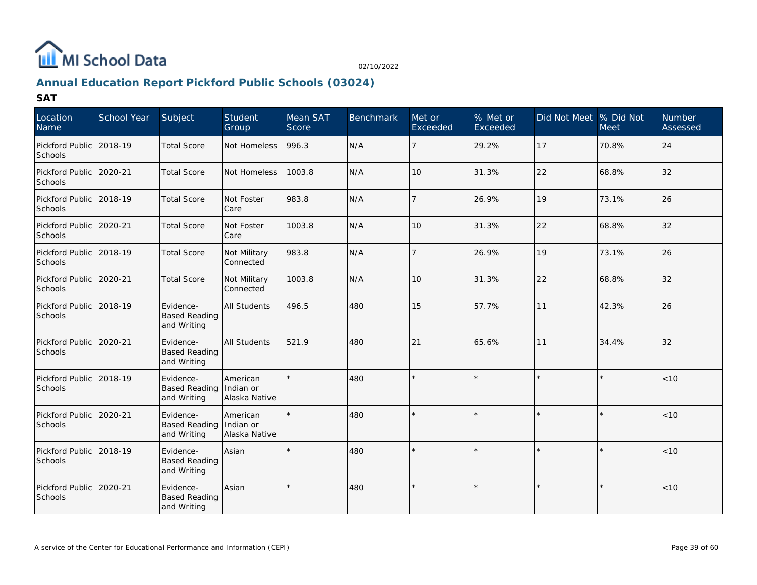

# **Annual Education Report Pickford Public Schools (03024)**

| Location<br>Name                   | School Year | Subject                                          | <b>Student</b><br>Group                | Mean SAT<br>Score | <b>Benchmark</b> | Met or<br>Exceeded | % Met or<br>Exceeded | Did Not Meet  % Did Not | Meet  | <b>Number</b><br>Assessed |
|------------------------------------|-------------|--------------------------------------------------|----------------------------------------|-------------------|------------------|--------------------|----------------------|-------------------------|-------|---------------------------|
| Pickford Public 2018-19<br>Schools |             | <b>Total Score</b>                               | Not Homeless                           | 996.3             | N/A              | 7                  | 29.2%                | 17                      | 70.8% | 24                        |
| Pickford Public 2020-21<br>Schools |             | <b>Total Score</b>                               | Not Homeless                           | 1003.8            | N/A              | 10                 | 31.3%                | 22                      | 68.8% | 32                        |
| Pickford Public 2018-19<br>Schools |             | <b>Total Score</b>                               | Not Foster<br>Care                     | 983.8             | N/A              | 7                  | 26.9%                | 19                      | 73.1% | 26                        |
| Pickford Public 2020-21<br>Schools |             | <b>Total Score</b>                               | Not Foster<br>Care                     | 1003.8            | N/A              | 10                 | 31.3%                | 22                      | 68.8% | 32                        |
| Pickford Public 2018-19<br>Schools |             | <b>Total Score</b>                               | Not Military<br>Connected              | 983.8             | N/A              | 7                  | 26.9%                | 19                      | 73.1% | 26                        |
| Pickford Public 2020-21<br>Schools |             | <b>Total Score</b>                               | Not Military<br>Connected              | 1003.8            | N/A              | 10                 | 31.3%                | 22                      | 68.8% | 32                        |
| Pickford Public 2018-19<br>Schools |             | Evidence-<br><b>Based Reading</b><br>and Writing | <b>All Students</b>                    | 496.5             | 480              | 15                 | 57.7%                | 11                      | 42.3% | 26                        |
| Pickford Public 2020-21<br>Schools |             | Evidence-<br><b>Based Reading</b><br>and Writing | <b>All Students</b>                    | 521.9             | 480              | 21                 | 65.6%                | 11                      | 34.4% | 32                        |
| Pickford Public<br>Schools         | 2018-19     | Evidence-<br><b>Based Reading</b><br>and Writing | American<br>Indian or<br>Alaska Native | $\star$           | 480              |                    |                      |                         |       | < 10                      |
| Pickford Public 2020-21<br>Schools |             | Evidence-<br><b>Based Reading</b><br>and Writing | American<br>Indian or<br>Alaska Native |                   | 480              |                    |                      |                         |       | < 10                      |
| Pickford Public 2018-19<br>Schools |             | Evidence-<br><b>Based Reading</b><br>and Writing | Asian                                  |                   | 480              |                    |                      |                         |       | < 10                      |
| Pickford Public<br>Schools         | 2020-21     | Evidence-<br><b>Based Reading</b><br>and Writing | Asian                                  |                   | 480              | $\star$            |                      |                         |       | < 10                      |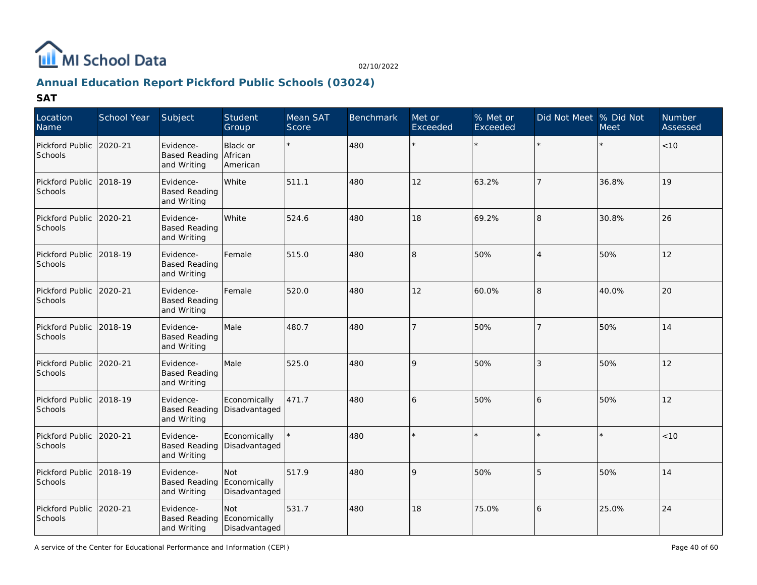

# **Annual Education Report Pickford Public Schools (03024)**

| Location<br>Name                   | School Year | Subject                                          | Student<br>Group                     | Mean SAT<br>Score | <b>Benchmark</b> | Met or<br>Exceeded | $%$ Met or<br>Exceeded | Did Not Meet  % Did Not | <b>Meet</b> | Number<br>Assessed |
|------------------------------------|-------------|--------------------------------------------------|--------------------------------------|-------------------|------------------|--------------------|------------------------|-------------------------|-------------|--------------------|
| Pickford Public<br>Schools         | 2020-21     | Evidence-<br><b>Based Reading</b><br>and Writing | Black or<br>African<br>American      |                   | 480              | $\star$            | $\star$                |                         |             | < 10               |
| Pickford Public 2018-19<br>Schools |             | Evidence-<br><b>Based Reading</b><br>and Writing | White                                | 511.1             | 480              | 12                 | 63.2%                  | $\overline{7}$          | 36.8%       | 19                 |
| Pickford Public 2020-21<br>Schools |             | Evidence-<br><b>Based Reading</b><br>and Writing | White                                | 524.6             | 480              | 18                 | 69.2%                  | 8                       | 30.8%       | 26                 |
| Pickford Public 2018-19<br>Schools |             | Evidence-<br><b>Based Reading</b><br>and Writing | Female                               | 515.0             | 480              | 8                  | 50%                    | $\overline{4}$          | 50%         | 12                 |
| Pickford Public 2020-21<br>Schools |             | Evidence-<br><b>Based Reading</b><br>and Writing | Female                               | 520.0             | 480              | 12                 | 60.0%                  | 8                       | 40.0%       | 20                 |
| Pickford Public<br>Schools         | 2018-19     | Evidence-<br><b>Based Reading</b><br>and Writing | Male                                 | 480.7             | 480              | $\overline{7}$     | 50%                    | $\overline{7}$          | 50%         | 14                 |
| Pickford Public 2020-21<br>Schools |             | Evidence-<br><b>Based Reading</b><br>and Writing | Male                                 | 525.0             | 480              | 9                  | 50%                    | 3                       | 50%         | 12                 |
| Pickford Public 2018-19<br>Schools |             | Evidence-<br><b>Based Reading</b><br>and Writing | Economically<br>Disadvantaged        | 471.7             | 480              | 6                  | 50%                    | 6                       | 50%         | 12                 |
| Pickford Public 2020-21<br>Schools |             | Evidence-<br><b>Based Reading</b><br>and Writing | Economically<br>Disadvantaged        |                   | 480              |                    |                        |                         |             | < 10               |
| Pickford Public<br>Schools         | 2018-19     | Evidence-<br><b>Based Reading</b><br>and Writing | Not<br>Economically<br>Disadvantaged | 517.9             | 480              | $\mathsf{Q}$       | 50%                    | 5                       | 50%         | 14                 |
| Pickford Public<br>Schools         | 2020-21     | Evidence-<br><b>Based Reading</b><br>and Writing | Not<br>Economically<br>Disadvantaged | 531.7             | 480              | 18                 | 75.0%                  | 6                       | 25.0%       | 24                 |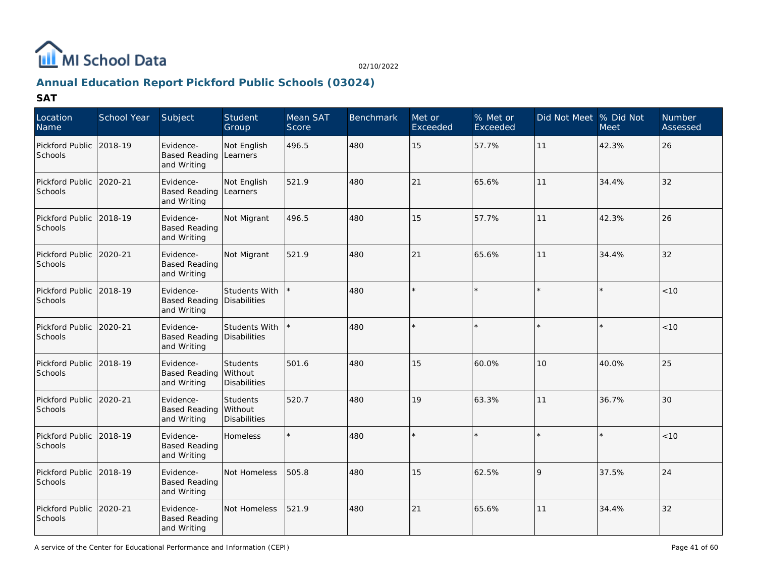

# **Annual Education Report Pickford Public Schools (03024)**

| Location<br>Name                     | School Year | Subject                                          | Student<br>Group                                    | Mean SAT<br>Score | <b>Benchmark</b> | Met or<br>Exceeded | % Met or<br>Exceeded | Did Not Meet % Did Not | <b>Meet</b> | <b>Number</b><br>Assessed |
|--------------------------------------|-------------|--------------------------------------------------|-----------------------------------------------------|-------------------|------------------|--------------------|----------------------|------------------------|-------------|---------------------------|
| Pickford Public<br>Schools           | 2018-19     | Evidence-<br><b>Based Reading</b><br>and Writing | Not English<br>Learners                             | 496.5             | 480              | 15                 | 57.7%                | 11                     | 42.3%       | 26                        |
| Pickford Public 2020-21<br>Schools   |             | Evidence-<br><b>Based Reading</b><br>and Writing | Not English<br>Learners                             | 521.9             | 480              | 21                 | 65.6%                | 11                     | 34.4%       | 32                        |
| Pickford Public 2018-19<br>Schools   |             | Evidence-<br><b>Based Reading</b><br>and Writing | Not Migrant                                         | 496.5             | 480              | 15                 | 57.7%                | 11                     | 42.3%       | 26                        |
| Pickford Public 2020-21<br>Schools   |             | Evidence-<br><b>Based Reading</b><br>and Writing | Not Migrant                                         | 521.9             | 480              | 21                 | 65.6%                | 11                     | 34.4%       | 32                        |
| Pickford Public 2018-19<br>Schools   |             | Evidence-<br><b>Based Reading</b><br>and Writing | Students With<br>Disabilities                       |                   | 480              |                    |                      |                        |             | < 10                      |
| Pickford Public<br>Schools           | 2020-21     | Evidence-<br><b>Based Reading</b><br>and Writing | Students With<br>Disabilities                       |                   | 480              | $\star$            |                      |                        |             | $<10$                     |
| Pickford Public   2018-19<br>Schools |             | Evidence-<br><b>Based Reading</b><br>and Writing | <b>Students</b><br>l Without<br><b>Disabilities</b> | 501.6             | 480              | 15                 | 60.0%                | 10                     | 40.0%       | 25                        |
| Pickford Public 12020-21<br>Schools  |             | Evidence-<br><b>Based Reading</b><br>and Writing | Students<br>Without<br>Disabilities                 | 520.7             | 480              | 19                 | 63.3%                | 11                     | 36.7%       | 30                        |
| Pickford Public 2018-19<br>Schools   |             | Evidence-<br><b>Based Reading</b><br>and Writing | <b>Homeless</b>                                     |                   | 480              |                    |                      |                        |             | < 10                      |
| Pickford Public 2018-19<br>Schools   |             | Evidence-<br><b>Based Reading</b><br>and Writing | Not Homeless                                        | 505.8             | 480              | 15                 | 62.5%                | $\mathsf{Q}$           | 37.5%       | 24                        |
| Pickford Public<br>Schools           | 2020-21     | Evidence-<br><b>Based Reading</b><br>and Writing | Not Homeless                                        | 521.9             | 480              | 21                 | 65.6%                | 11                     | 34.4%       | 32                        |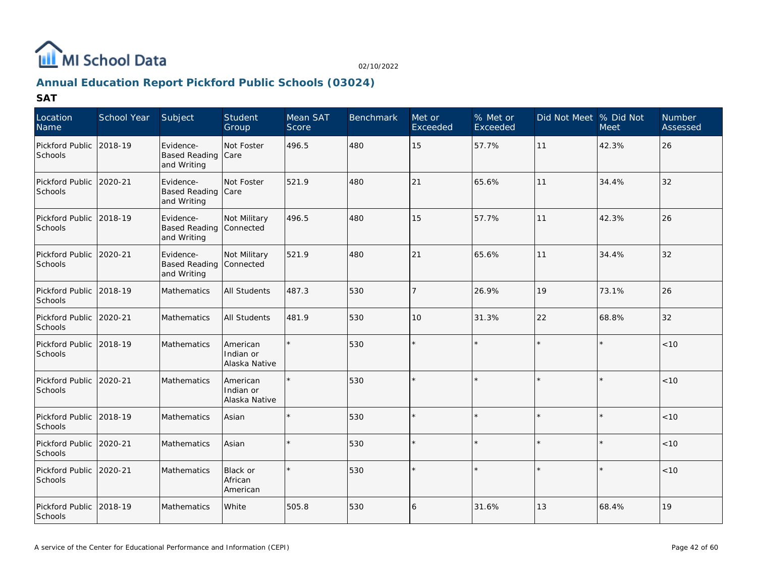

# **Annual Education Report Pickford Public Schools (03024)**

| Location<br>Name           | School Year | Subject                                             | Student<br>Group                       | Mean SAT<br>Score | <b>Benchmark</b> | Met or<br>Exceeded | % Met or<br>Exceeded | Did Not Meet  % Did Not | <b>Meet</b> | Number<br>Assessed |
|----------------------------|-------------|-----------------------------------------------------|----------------------------------------|-------------------|------------------|--------------------|----------------------|-------------------------|-------------|--------------------|
| Pickford Public<br>Schools | 2018-19     | Evidence-<br><b>Based Reading</b><br>and Writing    | Not Foster<br>Care                     | 496.5             | 480              | 15                 | 57.7%                | 11                      | 42.3%       | 26                 |
| Pickford Public<br>Schools | 2020-21     | Evidence-<br><b>Based Reading</b><br>and Writing    | Not Foster<br><b>Care</b>              | 521.9             | 480              | 21                 | 65.6%                | 11                      | 34.4%       | 32                 |
| Pickford Public<br>Schools | 2018-19     | Evidence-<br>Based Reading Connected<br>and Writing | Not Military                           | 496.5             | 480              | 15                 | 57.7%                | 11                      | 42.3%       | 26                 |
| Pickford Public<br>Schools | 2020-21     | Evidence-<br><b>Based Reading</b><br>and Writing    | Not Military<br>Connected              | 521.9             | 480              | 21                 | 65.6%                | 11                      | 34.4%       | 32                 |
| Pickford Public<br>Schools | 2018-19     | <b>Mathematics</b>                                  | <b>All Students</b>                    | 487.3             | 530              |                    | 26.9%                | 19                      | 73.1%       | 26                 |
| Pickford Public<br>Schools | 2020-21     | <b>Mathematics</b>                                  | <b>All Students</b>                    | 481.9             | 530              | 10                 | 31.3%                | 22                      | 68.8%       | 32                 |
| Pickford Public<br>Schools | 2018-19     | Mathematics                                         | American<br>Indian or<br>Alaska Native |                   | 530              |                    |                      |                         |             | < 10               |
| Pickford Public<br>Schools | 2020-21     | Mathematics                                         | American<br>Indian or<br>Alaska Native |                   | 530              |                    |                      |                         |             | $<10$              |
| Pickford Public<br>Schools | 2018-19     | Mathematics                                         | Asian                                  |                   | 530              |                    |                      | $\star$                 |             | < 10               |
| Pickford Public<br>Schools | 2020-21     | Mathematics                                         | Asian                                  |                   | 530              |                    |                      |                         |             | < 10               |
| Pickford Public<br>Schools | 2020-21     | Mathematics                                         | Black or<br>African<br>American        |                   | 530              |                    |                      |                         | $\star$     | < 10               |
| Pickford Public<br>Schools | 2018-19     | Mathematics                                         | White                                  | 505.8             | 530              | 16                 | 31.6%                | 13                      | 68.4%       | 19                 |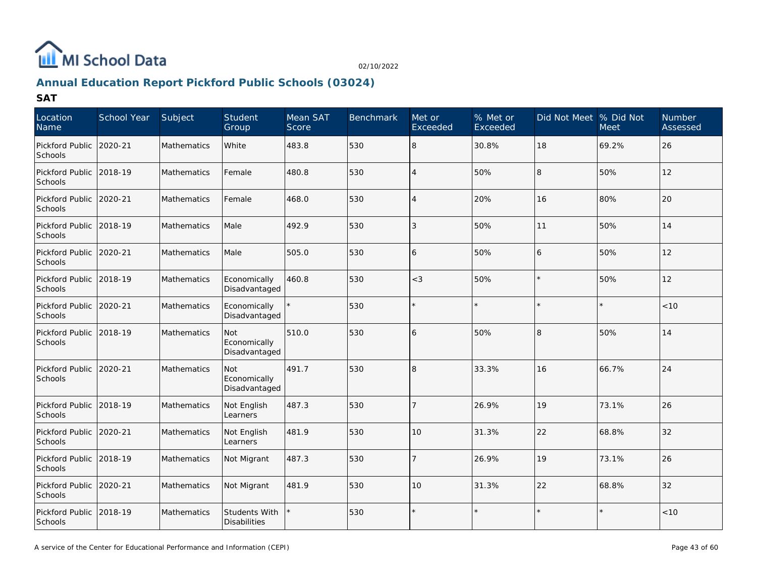

# **Annual Education Report Pickford Public Schools (03024)**

| Location<br>Name           | School Year | Subject            | Student<br>Group                            | Mean SAT<br><b>Score</b> | <b>Benchmark</b> | Met or<br>Exceeded | $%$ Met or<br>Exceeded | Did Not Meet % Did Not | <b>Meet</b> | Number<br>Assessed |
|----------------------------|-------------|--------------------|---------------------------------------------|--------------------------|------------------|--------------------|------------------------|------------------------|-------------|--------------------|
| Pickford Public<br>Schools | 2020-21     | <b>Mathematics</b> | White                                       | 483.8                    | 530              | l8                 | 30.8%                  | 18                     | 69.2%       | 26                 |
| Pickford Public<br>Schools | 2018-19     | Mathematics        | Female                                      | 480.8                    | 530              | $\overline{4}$     | 50%                    | 8                      | 50%         | 12                 |
| Pickford Public<br>Schools | 2020-21     | <b>Mathematics</b> | Female                                      | 468.0                    | 530              | $\overline{4}$     | 20%                    | 16                     | 80%         | 20                 |
| Pickford Public<br>Schools | 2018-19     | Mathematics        | Male                                        | 492.9                    | 530              | 3                  | 50%                    | 11                     | 50%         | 14                 |
| Pickford Public<br>Schools | 2020-21     | Mathematics        | Male                                        | 505.0                    | 530              | 16                 | 50%                    | 6                      | 50%         | 12                 |
| Pickford Public<br>Schools | 2018-19     | Mathematics        | Economically<br>Disadvantaged               | 460.8                    | 530              | $<$ 3              | 50%                    |                        | 50%         | 12                 |
| Pickford Public<br>Schools | 2020-21     | Mathematics        | Economically<br>Disadvantaged               |                          | 530              |                    |                        |                        |             | < 10               |
| Pickford Public<br>Schools | 2018-19     | <b>Mathematics</b> | Not<br>Economically<br>Disadvantaged        | 510.0                    | 530              | 16                 | 50%                    | 8                      | 50%         | 14                 |
| Pickford Public<br>Schools | 2020-21     | Mathematics        | Not<br>Economically<br>Disadvantaged        | 491.7                    | 530              | l8                 | 33.3%                  | 16                     | 66.7%       | 24                 |
| Pickford Public<br>Schools | 2018-19     | Mathematics        | Not English<br>Learners                     | 487.3                    | 530              |                    | 26.9%                  | 19                     | 73.1%       | 26                 |
| Pickford Public<br>Schools | 2020-21     | Mathematics        | Not English<br>Learners                     | 481.9                    | 530              | 10                 | 31.3%                  | 22                     | 68.8%       | 32                 |
| Pickford Public<br>Schools | 2018-19     | Mathematics        | Not Migrant                                 | 487.3                    | 530              | $\overline{7}$     | 26.9%                  | 19                     | 73.1%       | 26                 |
| Pickford Public<br>Schools | 2020-21     | <b>Mathematics</b> | Not Migrant                                 | 481.9                    | 530              | 10                 | 31.3%                  | 22                     | 68.8%       | 32                 |
| Pickford Public<br>Schools | 2018-19     | <b>Mathematics</b> | <b>Students With</b><br><b>Disabilities</b> |                          | 530              |                    |                        |                        |             | < 10               |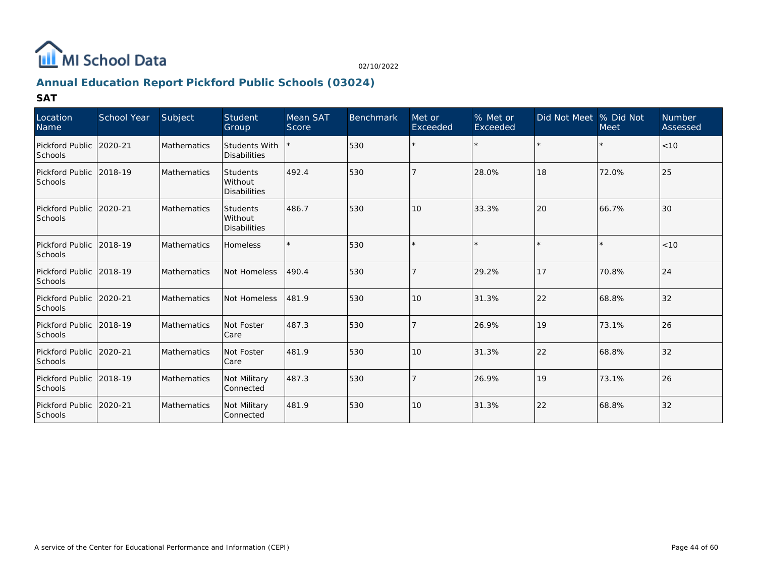

# **Annual Education Report Pickford Public Schools (03024)**

| Location<br>Name                   | School Year | Subject            | Student<br>Group                           | Mean SAT<br>Score | <b>Benchmark</b> | Met or<br>Exceeded | % Met or<br>Exceeded | Did Not Meet % Did Not | <b>Meet</b> | <b>Number</b><br>Assessed |
|------------------------------------|-------------|--------------------|--------------------------------------------|-------------------|------------------|--------------------|----------------------|------------------------|-------------|---------------------------|
| Pickford Public<br><b>Schools</b>  | 2020-21     | Mathematics        | Students With<br><b>Disabilities</b>       |                   | 530              | $\star$            |                      | $\star$                |             | < 10                      |
| Pickford Public<br><b>Schools</b>  | 2018-19     | <b>Mathematics</b> | <b>Students</b><br>Without<br>Disabilities | 492.4             | 530              |                    | 28.0%                | 18                     | 72.0%       | 25                        |
| Pickford Public<br><b>Schools</b>  | 2020-21     | <b>Mathematics</b> | Students<br>l Without<br>Disabilities      | 486.7             | 530              | 10                 | 33.3%                | 20                     | 66.7%       | 30                        |
| Pickford Public<br>Schools         | 2018-19     | <b>Mathematics</b> | <b>Homeless</b>                            |                   | 530              | $\star$            |                      | ×.                     |             | < 10                      |
| Pickford Public<br><b>Schools</b>  | 2018-19     | Mathematics        | Not Homeless                               | 490.4             | 530              | $\overline{7}$     | 29.2%                | 17                     | 70.8%       | 24                        |
| Pickford Public 2020-21<br>Schools |             | <b>Mathematics</b> | Not Homeless                               | 481.9             | 530              | 10                 | 31.3%                | 22                     | 68.8%       | $32$                      |
| Pickford Public<br><b>Schools</b>  | 2018-19     | <b>Mathematics</b> | Not Foster<br>l Care                       | 487.3             | 530              |                    | 26.9%                | 19                     | 73.1%       | $ 26\rangle$              |
| Pickford Public<br><b>Schools</b>  | 2020-21     | Mathematics        | Not Foster<br>l Care                       | 481.9             | 530              | 10                 | 31.3%                | 22                     | 68.8%       | 32                        |
| Pickford Public<br>Schools         | 2018-19     | <b>Mathematics</b> | Not Military<br>Connected                  | 487.3             | 530              |                    | 26.9%                | 19                     | 73.1%       | 26                        |
| Pickford Public<br>Schools         | 2020-21     | <b>Mathematics</b> | Not Military<br>Connected                  | 481.9             | 530              | 10                 | 31.3%                | 22                     | 68.8%       | 32                        |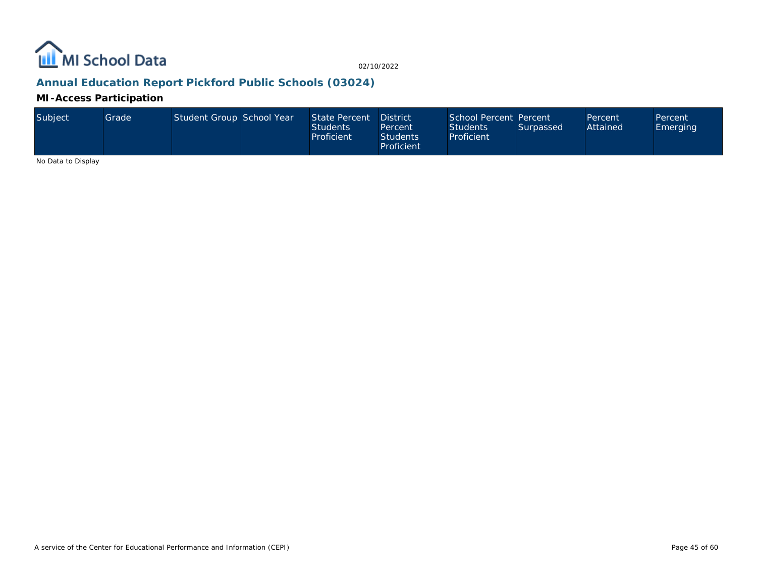

# **Annual Education Report Pickford Public Schools (03024)**

### **MI-Access Participation**

| Subject | Grade | Student Group School Year |  | State Percent District<br><b>Students</b><br>Proficient | Percent<br><b>Students</b><br>Proficient | School Percent Percent<br><b>Students</b><br>Proficient | Surpassed | Percent<br>Attained | Percent<br>Emerging |
|---------|-------|---------------------------|--|---------------------------------------------------------|------------------------------------------|---------------------------------------------------------|-----------|---------------------|---------------------|
|---------|-------|---------------------------|--|---------------------------------------------------------|------------------------------------------|---------------------------------------------------------|-----------|---------------------|---------------------|

No Data to Display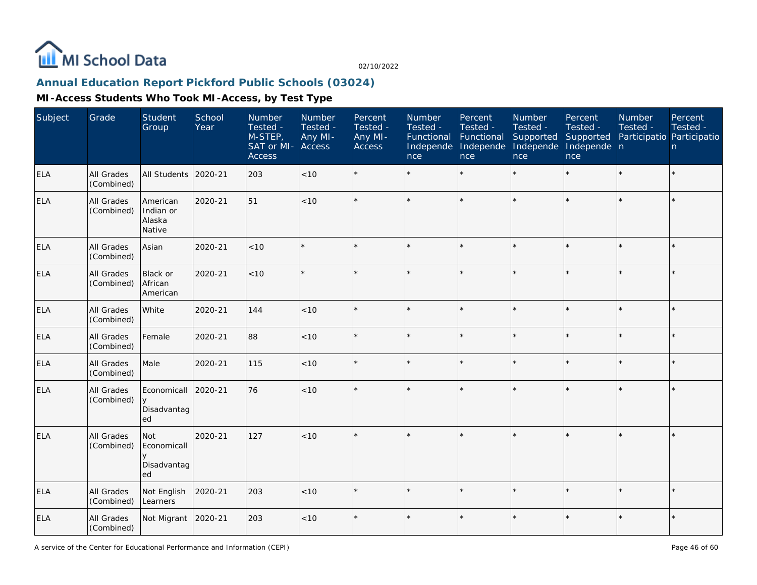

# **Annual Education Report Pickford Public Schools (03024)**

| Subject    | Grade                           | Student<br>Group                               | School<br>Year | Number<br>Tested -<br>$M-STEP$<br>SAT or MI-<br><b>Access</b> | Number<br>Tested -<br>Any MI-<br>Access | Percent<br>Tested -<br>Any MI-<br>Access | Number<br>Tested -<br>Functional<br>Independe<br>nce | Percent<br>Tested -<br>Functional<br>Independe<br>nce | Number<br>Tested -<br>Supported<br>Independe<br>nce | Percent<br>Tested -<br>Supported<br>Independe n<br>nce | Number<br>Tested -<br>Participatio Participatio | Percent<br>Tested -<br>n |
|------------|---------------------------------|------------------------------------------------|----------------|---------------------------------------------------------------|-----------------------------------------|------------------------------------------|------------------------------------------------------|-------------------------------------------------------|-----------------------------------------------------|--------------------------------------------------------|-------------------------------------------------|--------------------------|
| <b>ELA</b> | <b>All Grades</b><br>(Combined) | All Students                                   | 2020-21        | 203                                                           | < 10                                    | $\star$                                  |                                                      | $\star$                                               | ÷                                                   | $\star$                                                | $\star$                                         | $\star$                  |
| <b>ELA</b> | All Grades<br>(Combined)        | American<br>Indian or<br>Alaska<br>Native      | 2020-21        | 51                                                            | $<10$                                   |                                          |                                                      |                                                       |                                                     |                                                        |                                                 | $\star$                  |
| ELA        | All Grades<br>(Combined)        | Asian                                          | 2020-21        | < 10                                                          |                                         |                                          |                                                      |                                                       |                                                     |                                                        |                                                 | $\star$                  |
| <b>ELA</b> | All Grades<br>(Combined)        | Black or<br>African<br>American                | 2020-21        | < 10                                                          |                                         |                                          |                                                      | ÷                                                     | ų.                                                  | $\star$                                                | $\star$                                         | ÷.                       |
| ELA        | All Grades<br>(Combined)        | White                                          | 2020-21        | 144                                                           | < 10                                    |                                          |                                                      |                                                       | ÷                                                   | $\star$                                                |                                                 | $\star$                  |
| <b>ELA</b> | All Grades<br>(Combined)        | Female                                         | 2020-21        | 88                                                            | < 10                                    |                                          |                                                      |                                                       |                                                     |                                                        |                                                 | $\star$                  |
| <b>ELA</b> | All Grades<br>(Combined)        | Male                                           | 2020-21        | 115                                                           | < 10                                    |                                          |                                                      |                                                       | $\star$                                             | $\star$                                                |                                                 | $\star$                  |
| ELA        | All Grades<br>(Combined)        | Economicall<br>Disadvantag<br>ed               | 2020-21        | 76                                                            | < 10                                    |                                          |                                                      |                                                       |                                                     |                                                        |                                                 | $\star$                  |
| <b>ELA</b> | All Grades<br>(Combined)        | <b>Not</b><br>Economicall<br>Disadvantag<br>ed | 2020-21        | 127                                                           | < 10                                    |                                          |                                                      |                                                       |                                                     |                                                        |                                                 | $\star$                  |
| <b>ELA</b> | All Grades<br>(Combined)        | Not English<br>Learners                        | 2020-21        | 203                                                           | < 10                                    |                                          |                                                      |                                                       |                                                     |                                                        |                                                 | $\star$                  |
| <b>ELA</b> | All Grades<br>(Combined)        | Not Migrant                                    | 2020-21        | 203                                                           | $<10$                                   |                                          |                                                      |                                                       |                                                     |                                                        |                                                 | $\star$                  |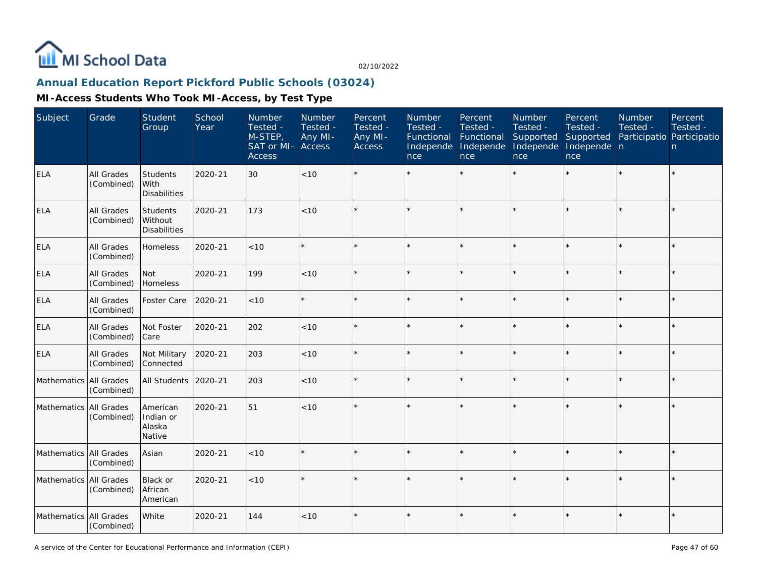

# **Annual Education Report Pickford Public Schools (03024)**

| Subject                | Grade                    | <b>Student</b><br>Group                    | School<br>Year | Number<br>Tested -<br>$M-STEP$<br>SAT or MI-<br><b>Access</b> | Number<br>Tested -<br>Any MI-<br>Access | Percent<br>Tested -<br>Any MI-<br>Access | Number<br>Tested -<br>Functional<br>Independe<br>nce | Percent<br>Tested -<br>Functional<br>Independe<br>nce | Number<br>Tested -<br>Supported<br>Independe<br>nce | Percent<br>Tested -<br>Supported<br>Independe n<br>nce | Number<br>Tested -<br>Participatio Participatio | Percent<br>Tested -<br>n |
|------------------------|--------------------------|--------------------------------------------|----------------|---------------------------------------------------------------|-----------------------------------------|------------------------------------------|------------------------------------------------------|-------------------------------------------------------|-----------------------------------------------------|--------------------------------------------------------|-------------------------------------------------|--------------------------|
| ELA                    | All Grades<br>(Combined) | Students<br>With<br><b>Disabilities</b>    | 2020-21        | 30                                                            | <10                                     |                                          |                                                      |                                                       |                                                     |                                                        |                                                 | $\star$                  |
| <b>ELA</b>             | All Grades<br>(Combined) | Students<br>Without<br><b>Disabilities</b> | 2020-21        | 173                                                           | <10                                     |                                          |                                                      |                                                       | ÷                                                   | $\star$                                                |                                                 | $\star$                  |
| <b>ELA</b>             | All Grades<br>(Combined) | Homeless                                   | 2020-21        | < 10                                                          |                                         |                                          |                                                      |                                                       |                                                     | $\star$                                                |                                                 | $\star$                  |
| <b>ELA</b>             | All Grades<br>(Combined) | Not<br>Homeless                            | 2020-21        | 199                                                           | < 10                                    |                                          |                                                      |                                                       |                                                     |                                                        |                                                 | $\star$                  |
| ELA                    | All Grades<br>(Combined) | Foster Care                                | 2020-21        | < 10                                                          |                                         |                                          |                                                      |                                                       |                                                     | ×.                                                     |                                                 | $\star$                  |
| <b>ELA</b>             | All Grades<br>(Combined) | Not Foster<br>Care                         | 2020-21        | 202                                                           | < 10                                    |                                          |                                                      |                                                       |                                                     |                                                        |                                                 | $\star$                  |
| <b>ELA</b>             | All Grades<br>(Combined) | Not Military<br>Connected                  | 2020-21        | 203                                                           | < 10                                    |                                          |                                                      |                                                       |                                                     |                                                        |                                                 | $\star$                  |
| Mathematics All Grades | (Combined)               | All Students                               | 2020-21        | 203                                                           | < 10                                    |                                          |                                                      |                                                       |                                                     |                                                        |                                                 | $\star$                  |
| Mathematics All Grades | (Combined)               | American<br>Indian or<br>Alaska<br>Native  | 2020-21        | 51                                                            | < 10                                    |                                          |                                                      |                                                       |                                                     |                                                        |                                                 | $\star$                  |
| Mathematics All Grades | (Combined)               | Asian                                      | 2020-21        | < 10                                                          |                                         |                                          |                                                      |                                                       |                                                     |                                                        |                                                 | $\star$                  |
| Mathematics All Grades | (Combined)               | Black or<br>African<br>American            | 2020-21        | < 10                                                          |                                         |                                          |                                                      |                                                       |                                                     |                                                        |                                                 | ×.                       |
| Mathematics All Grades | (Combined)               | White                                      | 2020-21        | 144                                                           | < 10                                    |                                          |                                                      |                                                       |                                                     |                                                        |                                                 | $\star$                  |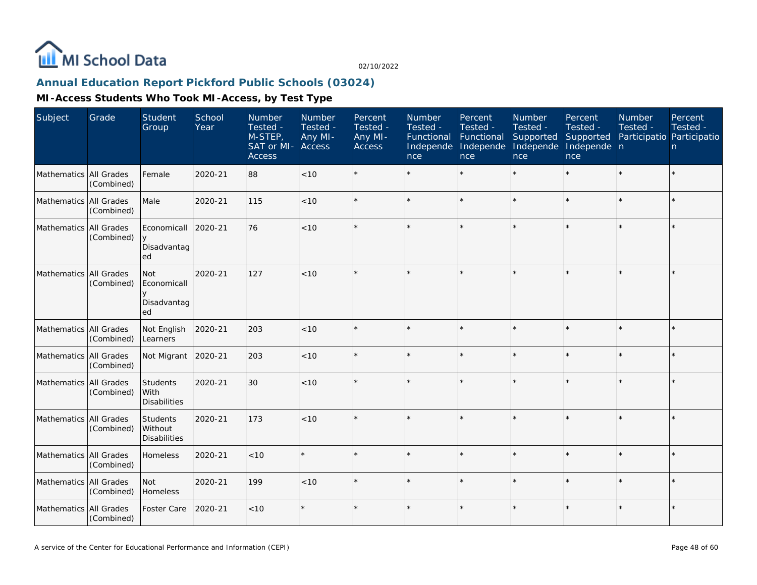

# **Annual Education Report Pickford Public Schools (03024)**

| Subject                  | Grade      | Student<br>Group                               | School<br>Year | Number<br>Tested -<br>M-STEP,<br>SAT or MI-<br><b>Access</b> | <b>Number</b><br>Tested -<br>Any MI-<br><b>Access</b> | Percent<br>Tested -<br>Any MI-<br>Access | Number<br>Tested -<br>Functional<br>Independe<br>nce | Percent<br>Tested -<br>Functional<br>Independe<br>nce | <b>Number</b><br>Tested -<br>Supported<br>Independe<br>nce | Percent<br>Tested -<br>Supported<br>Independe n<br>nce | <b>Number</b><br>Tested -<br>Participatio Participatio | Percent<br>Tested -<br>n |
|--------------------------|------------|------------------------------------------------|----------------|--------------------------------------------------------------|-------------------------------------------------------|------------------------------------------|------------------------------------------------------|-------------------------------------------------------|------------------------------------------------------------|--------------------------------------------------------|--------------------------------------------------------|--------------------------|
| Mathematics All Grades   | (Combined) | Female                                         | 2020-21        | 88                                                           | $<10$                                                 |                                          |                                                      | $\star$                                               |                                                            |                                                        |                                                        | $\star$                  |
| Mathematics All Grades   | (Combined) | Male                                           | 2020-21        | 115                                                          | < 10                                                  |                                          |                                                      | $\star$                                               |                                                            | $\star$                                                | $\star$                                                | $\star$                  |
| Mathematics All Grades   | (Combined) | Economicall<br>$\vee$<br>Disadvantag<br>ed     | 2020-21        | 76                                                           | < 10                                                  |                                          |                                                      |                                                       |                                                            |                                                        |                                                        | $\star$                  |
| Mathematics All Grades   | (Combined) | <b>Not</b><br>Economicall<br>Disadvantag<br>ed | 2020-21        | 127                                                          | < 10                                                  |                                          |                                                      |                                                       |                                                            |                                                        |                                                        | $\star$                  |
| Mathematics All Grades   | (Combined) | Not English<br>Learners                        | 2020-21        | 203                                                          | < 10                                                  |                                          |                                                      | $\star$                                               |                                                            |                                                        |                                                        | $\star$                  |
| Mathematics All Grades   | (Combined) | Not Migrant                                    | 2020-21        | 203                                                          | < 10                                                  |                                          |                                                      | $\star$                                               |                                                            | $\star$                                                |                                                        | $\star$                  |
| Mathematics All Grades   | (Combined) | Students<br>With<br><b>Disabilities</b>        | 2020-21        | 30                                                           | < 10                                                  |                                          |                                                      |                                                       |                                                            |                                                        |                                                        | $\star$                  |
| Mathematics   All Grades | (Combined) | Students<br>Without<br><b>Disabilities</b>     | 2020-21        | 173                                                          | < 10                                                  |                                          |                                                      |                                                       |                                                            |                                                        |                                                        | $\star$                  |
| Mathematics All Grades   | (Combined) | Homeless                                       | 2020-21        | < 10                                                         | $\star$                                               |                                          |                                                      | $\star$                                               |                                                            | $\star$                                                | $\star$                                                | $\star$                  |
| Mathematics All Grades   | (Combined) | <b>Not</b><br><b>Homeless</b>                  | 2020-21        | 199                                                          | < 10                                                  |                                          |                                                      | $\ddot{\phantom{0}}$                                  |                                                            | $\star$                                                |                                                        | k.                       |
| Mathematics All Grades   | (Combined) | Foster Care                                    | 2020-21        | $<10$                                                        | $\star$                                               |                                          |                                                      | $\star$                                               |                                                            | $\star$                                                |                                                        | $\star$                  |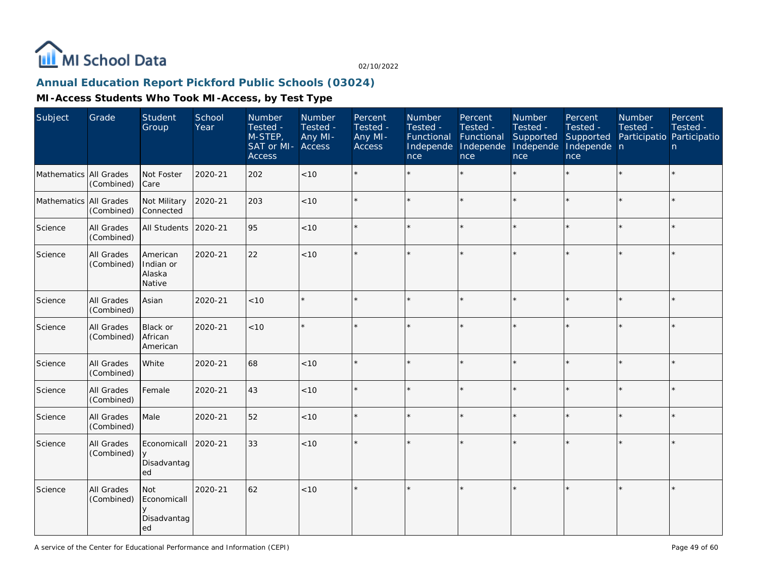

# **Annual Education Report Pickford Public Schools (03024)**

| Subject                | Grade                           | Student<br>Group                                    | School<br>Year | Number<br>Tested -<br>M-STEP,<br>SAT or MI-<br><b>Access</b> | Number<br>Tested -<br>Any MI-<br>Access | Percent<br>Tested -<br>Any MI-<br><b>Access</b> | Number<br>Tested -<br>Functional<br>Independe<br>nce | Percent<br>Tested -<br>Functional<br>Independe<br>nce | Number<br>Tested -<br>Supported<br>Independe<br>nce | Percent<br>Tested -<br>Supported<br>Independe n<br>nce | Number<br>Tested - | Percent<br>Tested -<br>Participatio Participatio<br>n. |
|------------------------|---------------------------------|-----------------------------------------------------|----------------|--------------------------------------------------------------|-----------------------------------------|-------------------------------------------------|------------------------------------------------------|-------------------------------------------------------|-----------------------------------------------------|--------------------------------------------------------|--------------------|--------------------------------------------------------|
| Mathematics All Grades | (Combined)                      | Not Foster<br><b>Care</b>                           | 2020-21        | 202                                                          | < 10                                    |                                                 |                                                      | $\star$                                               | ÷                                                   | $\star$                                                |                    | $\star$                                                |
| Mathematics All Grades | (Combined)                      | Not Military<br>Connected                           | 2020-21        | 203                                                          | $<10$                                   |                                                 |                                                      | $\star$                                               |                                                     | $\star$                                                |                    | $\star$                                                |
| Science                | All Grades<br>(Combined)        | All Students                                        | 2020-21        | 95                                                           | < 10                                    |                                                 |                                                      | $\star$                                               |                                                     | $\star$                                                |                    | $\star$                                                |
| Science                | All Grades<br>(Combined)        | American<br>Indian or<br>Alaska<br>Native           | 2020-21        | 22                                                           | $<10$                                   |                                                 |                                                      |                                                       |                                                     |                                                        |                    | $\star$                                                |
| Science                | All Grades<br>(Combined)        | Asian                                               | 2020-21        | < 10                                                         | $\star$                                 |                                                 |                                                      | $\star$                                               |                                                     |                                                        |                    | $\star$                                                |
| Science                | All Grades<br>(Combined)        | Black or<br>African<br>American                     | 2020-21        | $<10$                                                        | $\star$                                 |                                                 |                                                      | $\star$                                               |                                                     | $\star$                                                |                    | $\star$                                                |
| Science                | All Grades<br>(Combined)        | White                                               | 2020-21        | 68                                                           | $<10$                                   |                                                 |                                                      | $\star$                                               |                                                     | $\star$                                                | $\star$            | $\star$                                                |
| Science                | All Grades<br>(Combined)        | Female                                              | 2020-21        | 43                                                           | $<10$                                   |                                                 |                                                      | $\star$                                               |                                                     | $\star$                                                |                    | ÷.                                                     |
| Science                | All Grades<br>(Combined)        | Male                                                | 2020-21        | 52                                                           | < 10                                    |                                                 |                                                      | $\star$                                               |                                                     | $\star$                                                |                    | $\star$                                                |
| Science                | <b>All Grades</b><br>(Combined) | Economicall<br>y<br>Disadvantag<br>ed               | 2020-21        | 33                                                           | $<10$                                   |                                                 |                                                      | $\star$                                               |                                                     | $\star$                                                | $\star$            | $\star$                                                |
| Science                | All Grades<br>(Combined)        | <b>Not</b><br>Economicall<br>y<br>Disadvantag<br>ed | 2020-21        | 62                                                           | < 10                                    |                                                 |                                                      | $\star$                                               |                                                     | ×.                                                     |                    | $\star$                                                |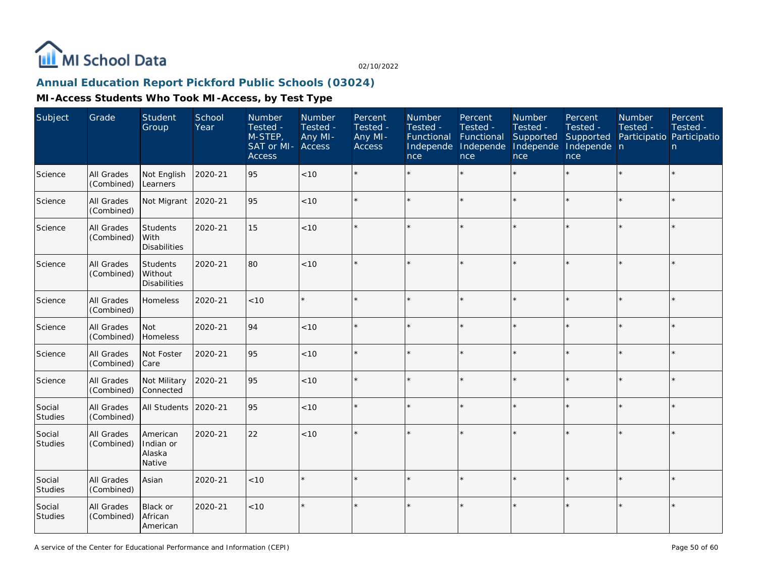

# **Annual Education Report Pickford Public Schools (03024)**

| Subject                  | Grade                           | Student<br>Group                           | School<br>Year | Number<br>Tested -<br>M-STEP,<br>SAT or MI-<br><b>Access</b> | Number<br>Tested -<br>Any MI-<br><b>Access</b> | Percent<br>Tested -<br>Any MI-<br><b>Access</b> | Number<br>Tested -<br>Functional<br>Independe<br>nce | Percent<br>Tested -<br>Functional<br>Independe<br>nce | Number<br>Tested -<br>Supported<br>Independe<br>nce | Percent<br>Tested -<br>Supported<br>Independe n<br>nce | Number<br>Tested -<br>Participatio Participatio | Percent<br>Tested -<br>n |
|--------------------------|---------------------------------|--------------------------------------------|----------------|--------------------------------------------------------------|------------------------------------------------|-------------------------------------------------|------------------------------------------------------|-------------------------------------------------------|-----------------------------------------------------|--------------------------------------------------------|-------------------------------------------------|--------------------------|
| Science                  | All Grades<br>(Combined)        | Not English<br>Learners                    | 2020-21        | 95                                                           | < 10                                           |                                                 |                                                      |                                                       | $\star$                                             | $\star$                                                |                                                 | $\star$                  |
| Science                  | All Grades<br>(Combined)        | Not Migrant                                | 2020-21        | 95                                                           | < 10                                           |                                                 |                                                      |                                                       |                                                     |                                                        |                                                 | $\star$                  |
| Science                  | <b>All Grades</b><br>(Combined) | Students<br>With<br><b>Disabilities</b>    | 2020-21        | 15                                                           | < 10                                           |                                                 |                                                      | ÷                                                     |                                                     |                                                        | $\star$                                         | $\star$                  |
| Science                  | All Grades<br>(Combined)        | Students<br>Without<br><b>Disabilities</b> | 2020-21        | 80                                                           | < 10                                           |                                                 |                                                      |                                                       |                                                     |                                                        |                                                 | $\star$                  |
| Science                  | All Grades<br>(Combined)        | Homeless                                   | 2020-21        | < 10                                                         |                                                |                                                 |                                                      |                                                       |                                                     | ×.                                                     |                                                 | $\star$                  |
| Science                  | All Grades<br>(Combined)        | Not<br>Homeless                            | 2020-21        | 94                                                           | < 10                                           | $\star$                                         |                                                      |                                                       |                                                     |                                                        |                                                 | $\star$                  |
| Science                  | All Grades<br>(Combined)        | Not Foster<br>Care                         | 2020-21        | 95                                                           | < 10                                           |                                                 |                                                      |                                                       |                                                     |                                                        |                                                 | $\star$                  |
| Science                  | All Grades<br>(Combined)        | Not Military<br>Connected                  | 2020-21        | 95                                                           | < 10                                           | $\star$                                         |                                                      |                                                       |                                                     | $\star$                                                |                                                 | $\star$                  |
| Social<br>Studies        | All Grades<br>(Combined)        | <b>All Students</b>                        | 2020-21        | 95                                                           | < 10                                           |                                                 |                                                      |                                                       |                                                     |                                                        |                                                 | $\star$                  |
| Social<br>Studies        | All Grades<br>(Combined)        | American<br>Indian or<br>Alaska<br>Native  | 2020-21        | 22                                                           | < 10                                           |                                                 |                                                      |                                                       |                                                     |                                                        |                                                 | $\star$                  |
| Social<br><b>Studies</b> | All Grades<br>(Combined)        | Asian                                      | 2020-21        | < 10                                                         |                                                |                                                 |                                                      |                                                       |                                                     |                                                        |                                                 | $\star$                  |
| Social<br><b>Studies</b> | All Grades<br>(Combined)        | Black or<br>African<br>American            | 2020-21        | < 10                                                         |                                                |                                                 |                                                      |                                                       |                                                     |                                                        |                                                 | $\star$                  |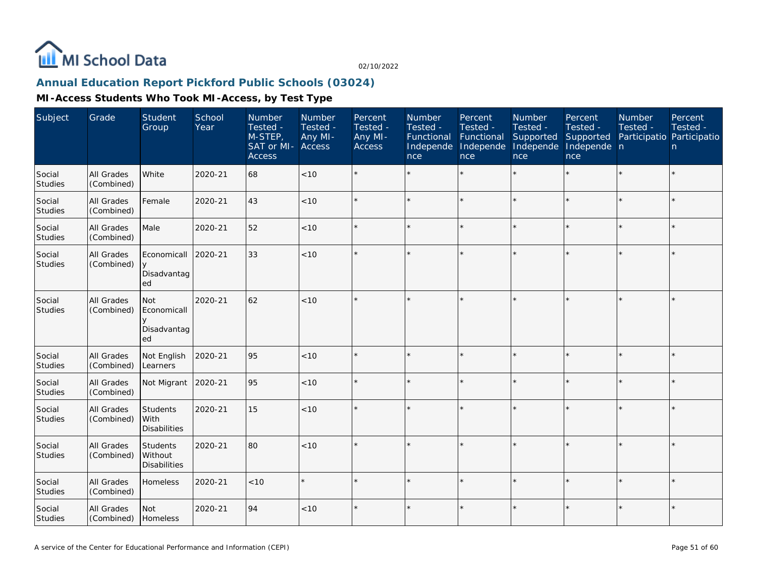

# **Annual Education Report Pickford Public Schools (03024)**

| Subject                  | Grade                    | Student<br>Group                                         | School<br>Year | Number<br>Tested -<br>M-STEP,<br>SAT or MI-<br><b>Access</b> | <b>Number</b><br>Tested -<br>Any MI-<br>Access | Percent<br>Tested -<br>Any MI-<br>Access | Number<br>Tested -<br>Functional<br>Independe<br>nce | Percent<br>Tested -<br>Functional<br>Independe<br>nce | <b>Number</b><br>Tested -<br>Supported<br>Independe<br>nce | Percent<br>Tested -<br>Supported<br>Independe n<br>nce | Number<br>Tested -<br>Participatio Participatio | Percent<br>Tested -<br>n |
|--------------------------|--------------------------|----------------------------------------------------------|----------------|--------------------------------------------------------------|------------------------------------------------|------------------------------------------|------------------------------------------------------|-------------------------------------------------------|------------------------------------------------------------|--------------------------------------------------------|-------------------------------------------------|--------------------------|
| Social<br>Studies        | All Grades<br>(Combined) | White                                                    | 2020-21        | 68                                                           | < 10                                           |                                          |                                                      |                                                       |                                                            |                                                        |                                                 | $\star$                  |
| Social<br><b>Studies</b> | All Grades<br>(Combined) | Female                                                   | 2020-21        | 43                                                           | < 10                                           |                                          |                                                      | $\star$                                               |                                                            | $\star$                                                | $\star$                                         | $\star$                  |
| Social<br>Studies        | All Grades<br>(Combined) | Male                                                     | 2020-21        | 52                                                           | $<10$                                          |                                          |                                                      | $\star$                                               |                                                            | $\star$                                                |                                                 | $\star$                  |
| Social<br>Studies        | All Grades<br>(Combined) | Economicall<br>Disadvantag<br>ed                         | 2020-21        | 33                                                           | < 10                                           |                                          |                                                      |                                                       |                                                            |                                                        |                                                 | $\star$                  |
| Social<br>Studies        | All Grades<br>(Combined) | <b>Not</b><br>Economicall<br>$\vee$<br>Disadvantag<br>ed | 2020-21        | 62                                                           | < 10                                           |                                          |                                                      | $\star$                                               |                                                            | ×.                                                     |                                                 | $\star$                  |
| Social<br>Studies        | All Grades<br>(Combined) | Not English<br>Learners                                  | 2020-21        | 95                                                           | < 10                                           |                                          |                                                      | $\star$                                               |                                                            | $\star$                                                | $\star$                                         | $\star$                  |
| Social<br>Studies        | All Grades<br>(Combined) | Not Migrant                                              | 2020-21        | 95                                                           | < 10                                           |                                          |                                                      | $\star$                                               |                                                            |                                                        |                                                 | $\star$                  |
| Social<br>Studies        | All Grades<br>(Combined) | Students<br>With<br><b>Disabilities</b>                  | 2020-21        | 15                                                           | $<10$                                          |                                          |                                                      | $\star$                                               |                                                            | $\star$                                                |                                                 | $\star$                  |
| Social<br>Studies        | All Grades<br>(Combined) | Students<br>Without<br><b>Disabilities</b>               | 2020-21        | 80                                                           | < 10                                           |                                          |                                                      | $\star$                                               |                                                            | $\star$                                                |                                                 | $\star$                  |
| Social<br><b>Studies</b> | All Grades<br>(Combined) | Homeless                                                 | 2020-21        | < 10                                                         | $\star$                                        |                                          |                                                      | $\ddot{\phantom{0}}$                                  |                                                            | ÷                                                      |                                                 | $\star$                  |
| Social<br>Studies        | All Grades<br>(Combined) | <b>Not</b><br>Homeless                                   | 2020-21        | 94                                                           | < 10                                           |                                          |                                                      |                                                       |                                                            |                                                        |                                                 | $\star$                  |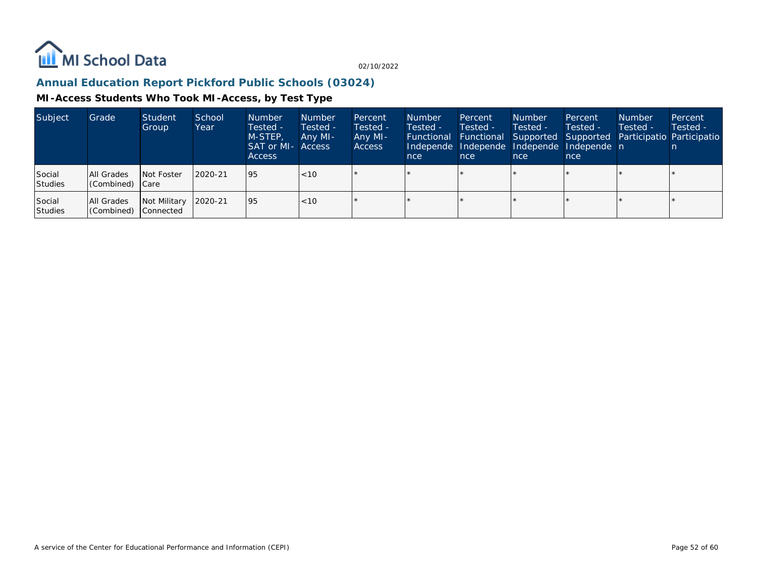

# **Annual Education Report Pickford Public Schools (03024)**

| Subject           | Grade                              | Student<br>Group     | School<br>Year | <b>Number</b><br>Tested -<br>M-STEP,<br>SAT or MI- Access<br><b>Access</b> | <b>Number</b><br>Tested -<br>Any MI- | Percent<br>Tested -<br>Any MI-<br><b>Access</b> | <b>Number</b><br>Tested -<br>nce | Percent<br>Tested -<br>nce | <b>Number</b><br>Tested -<br>nce | Percent<br>Tested -<br>Independe Independe Independe Independe n<br>nce | <b>Number</b><br>Tested - | Percent<br>Tested -<br>Functional Functional Supported Supported Participatio Participatio |
|-------------------|------------------------------------|----------------------|----------------|----------------------------------------------------------------------------|--------------------------------------|-------------------------------------------------|----------------------------------|----------------------------|----------------------------------|-------------------------------------------------------------------------|---------------------------|--------------------------------------------------------------------------------------------|
| Social<br>Studies | All Grades<br>Combined) Care       | Not Foster           | 2020-21        | 95                                                                         | $ $ < 10                             |                                                 |                                  |                            |                                  |                                                                         |                           |                                                                                            |
| Social<br>Studies | All Grades<br>(Combined) Connected | Not Military 2020-21 |                | 95                                                                         | $ $ < 10                             |                                                 |                                  |                            |                                  |                                                                         |                           |                                                                                            |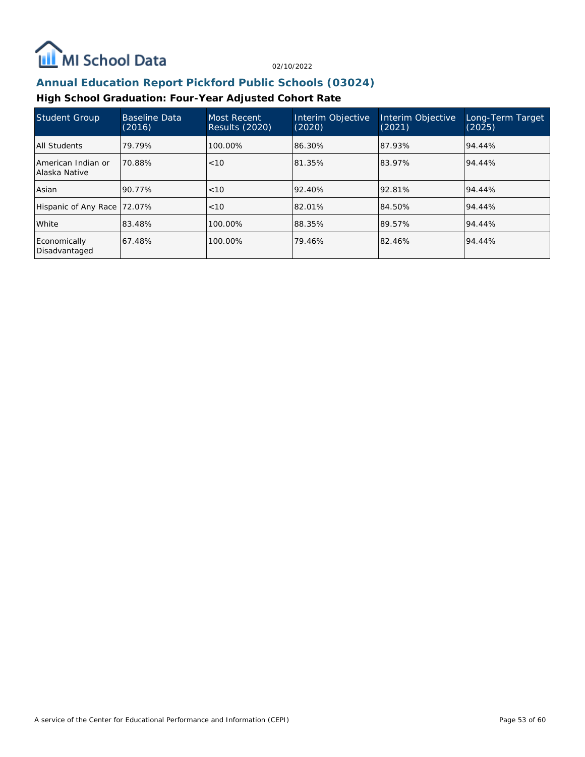

## **Annual Education Report Pickford Public Schools (03024)**

## **High School Graduation: Four-Year Adjusted Cohort Rate**

| <b>Student Group</b>                | <b>Baseline Data</b><br>(2016) | Most Recent<br><b>Results (2020)</b> | Interim Objective<br>(2020) | Interim Objective<br>(2021) | Long-Term Target<br>(2025) |
|-------------------------------------|--------------------------------|--------------------------------------|-----------------------------|-----------------------------|----------------------------|
| All Students                        | 79.79%                         | 100.00%                              | 86.30%                      | 87.93%                      | 94.44%                     |
| American Indian or<br>Alaska Native | 70.88%                         | < 10                                 | 81.35%                      | 83.97%                      | 94.44%                     |
| Asian                               | 90.77%                         | < 10                                 | 92.40%                      | 92.81%                      | 94.44%                     |
| Hispanic of Any Race 72.07%         |                                | < 10                                 | 82.01%                      | 84.50%                      | 94.44%                     |
| White                               | 83.48%                         | 100.00%                              | 88.35%                      | 89.57%                      | 94.44%                     |
| Economically<br>Disadvantaged       | 67.48%                         | 100.00%                              | 79.46%                      | 82.46%                      | 94.44%                     |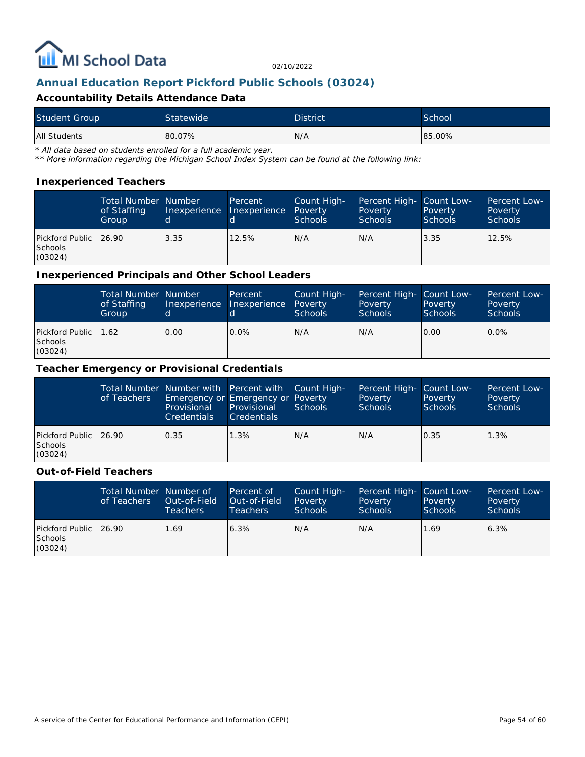

## **Annual Education Report Pickford Public Schools (03024)**

### **Accountability Details Attendance Data**

| <b>Student Group</b> | Statewide | <b>District</b> | School |
|----------------------|-----------|-----------------|--------|
| All Students         | 80.07%    | N/A             | 85.00% |

*\* All data based on students enrolled for a full academic year.*

*\*\* More information regarding the Michigan School Index System can be found at the following link:*

#### **Inexperienced Teachers**

|                                                      | <b>Total Number Number</b><br>of Staffing<br>Group |      | Percent<br>Inexperience Inexperience Poverty | Count High-<br><b>Schools</b> | Percent High- Count Low-<br>Poverty<br><b>Schools</b> | Poverty<br><b>Schools</b> | <b>Percent Low-</b><br>Poverty<br><b>Schools</b> |
|------------------------------------------------------|----------------------------------------------------|------|----------------------------------------------|-------------------------------|-------------------------------------------------------|---------------------------|--------------------------------------------------|
| Pickford Public   26.90<br><b>Schools</b><br>(03024) |                                                    | 3.35 | 12.5%                                        | IN/A                          | N/A                                                   | 3.35                      | 12.5%                                            |

**Inexperienced Principals and Other School Leaders**

|                                              | <b>Total Number Number</b><br>of Staffing<br>Group | 'd   | Percent<br>Inexperience Inexperience | Count High-<br>Poverty<br><b>Schools</b> | Percent High- Count Low-<br>Poverty<br><b>Schools</b> | Poverty<br><b>Schools</b> | Percent Low-<br>Poverty<br><b>Schools</b> |
|----------------------------------------------|----------------------------------------------------|------|--------------------------------------|------------------------------------------|-------------------------------------------------------|---------------------------|-------------------------------------------|
| Pickford Public   1.62<br>Schools<br>(03024) |                                                    | 0.00 | $0.0\%$                              | N/A                                      | N/A                                                   | 0.00                      | $0.0\%$                                   |

#### **Teacher Emergency or Provisional Credentials**

|                                             | of Teachers | Total Number Number with Percent with Count High-<br>Emergency or Emergency or Poverty<br>Provisional<br><b>Credentials</b> | Provisional<br><b>Credentials</b> | Schools | Percent High- Count Low-<br>Poverty<br>Schools | Poverty<br>Schools | Percent Low-<br>Poverty<br>Schools |
|---------------------------------------------|-------------|-----------------------------------------------------------------------------------------------------------------------------|-----------------------------------|---------|------------------------------------------------|--------------------|------------------------------------|
| Pickford Public 26.90<br>Schools<br>(03024) |             | 0.35                                                                                                                        | 1.3%                              | IN/A    | N/A                                            | 0.35               | 1.3%                               |

#### **Out-of-Field Teachers**

|                                               | Total Number Number of<br>of Teachers | Out-of-Field<br><b>Teachers</b> | Percent of<br>Out-of-Field<br>Teachers | Count High-<br>Poverty<br>Schools | Percent High- Count Low-<br>Poverty<br><b>Schools</b> | Poverty<br><b>Schools</b> | Percent Low-<br>Poverty<br>Schools |
|-----------------------------------------------|---------------------------------------|---------------------------------|----------------------------------------|-----------------------------------|-------------------------------------------------------|---------------------------|------------------------------------|
| Pickford Public   26.90<br>Schools<br>(03024) |                                       | 1.69                            | 6.3%                                   | N/A                               | N/A                                                   | 1.69                      | 6.3%                               |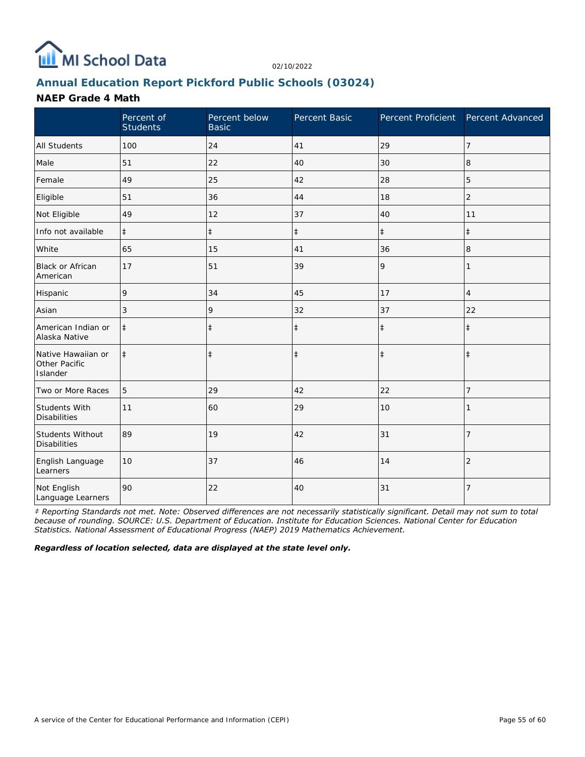

## **Annual Education Report Pickford Public Schools (03024)**

### **NAEP Grade 4 Math**

|                                                 | Percent of<br><b>Students</b> | Percent below<br><b>Basic</b> | Percent Basic | Percent Proficient Percent Advanced |                |
|-------------------------------------------------|-------------------------------|-------------------------------|---------------|-------------------------------------|----------------|
| All Students                                    | 100                           | 24                            | 41            | 29                                  | 7              |
| Male                                            | 51                            | 22                            | 40            | 30                                  | 8              |
| Female                                          | 49                            | 25                            | 42            | 28                                  | 5              |
| Eligible                                        | 51                            | 36                            | 44            | 18                                  | $\overline{2}$ |
| Not Eligible                                    | 49                            | 12                            | 37            | 40                                  | 11             |
| Info not available                              | $\ddagger$                    | $\ddagger$                    | $\ddagger$    | $\ddagger$                          | $\ddagger$     |
| White                                           | 65                            | 15                            | 41            | 36                                  | 8              |
| <b>Black or African</b><br>American             | 17                            | 51                            | 39            | 9                                   |                |
| Hispanic                                        | 9                             | 34                            | 45            | 17                                  | $\overline{4}$ |
| Asian                                           | 3                             | 9                             | 32            | 37                                  | 22             |
| American Indian or<br>Alaska Native             | $\ddagger$                    | $\ddagger$                    | $\ddagger$    | $\ddagger$                          | $\ddagger$     |
| Native Hawaiian or<br>Other Pacific<br>Islander | $\ddagger$                    | $\ddagger$                    | $\ddagger$    | $\ddagger$                          | $\ddagger$     |
| Two or More Races                               | 5                             | 29                            | 42            | 22                                  | 7              |
| <b>Students With</b><br><b>Disabilities</b>     | 11                            | 60                            | 29            | 10                                  |                |
| Students Without<br><b>Disabilities</b>         | 89                            | 19                            | 42            | 31                                  | 7              |
| English Language<br>Learners                    | 10                            | 37                            | 46            | 14                                  | $\overline{2}$ |
| Not English<br>Language Learners                | 90                            | 22                            | 40            | 31                                  | 7              |

*‡ Reporting Standards not met. Note: Observed differences are not necessarily statistically significant. Detail may not sum to total because of rounding. SOURCE: U.S. Department of Education. Institute for Education Sciences. National Center for Education Statistics. National Assessment of Educational Progress (NAEP) 2019 Mathematics Achievement.*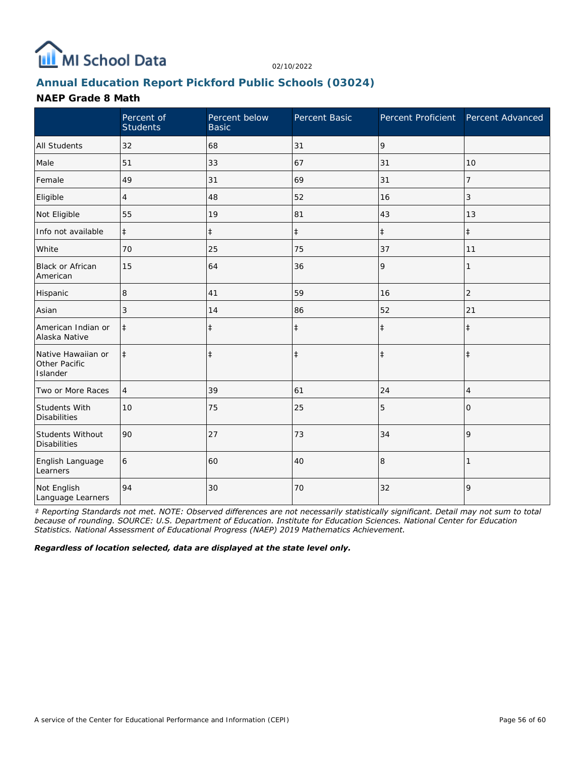

# **Annual Education Report Pickford Public Schools (03024)**

### **NAEP Grade 8 Math**

|                                                 | Percent of<br><b>Students</b> | Percent below<br><b>Basic</b> | Percent Basic | Percent Proficient | Percent Advanced |
|-------------------------------------------------|-------------------------------|-------------------------------|---------------|--------------------|------------------|
| <b>All Students</b>                             | 32                            | 68                            | 31            | 9                  |                  |
| Male                                            | 51                            | 33                            | 67            | 31                 | 10               |
| Female                                          | 49                            | 31                            | 69            | 31                 | 7                |
| Eligible                                        | 4                             | 48                            | 52            | 16                 | 3                |
| Not Eligible                                    | 55                            | 19                            | 81            | 43                 | 13               |
| Info not available                              | $\ddagger$                    | $\ddagger$                    | $\ddagger$    | $\ddagger$         | $\ddagger$       |
| White                                           | 70                            | 25                            | 75            | 37                 | 11               |
| <b>Black or African</b><br>American             | 15                            | 64                            | 36            | 9                  | 1                |
| Hispanic                                        | 8                             | 41                            | 59            | 16                 | $\overline{2}$   |
| Asian                                           | 3                             | 14                            | 86            | 52                 | 21               |
| American Indian or<br>Alaska Native             | $\ddagger$                    | $\ddagger$                    | $\ddagger$    | $\ddagger$         | $\ddagger$       |
| Native Hawaiian or<br>Other Pacific<br>Islander | $\ddagger$                    | $\ddagger$                    | $\ddagger$    | $\ddagger$         | $\ddagger$       |
| Two or More Races                               | $\overline{4}$                | 39                            | 61            | 24                 | 4                |
| Students With<br><b>Disabilities</b>            | 10                            | 75                            | 25            | 5                  | $\Omega$         |
| Students Without<br><b>Disabilities</b>         | 90                            | 27                            | 73            | 34                 | 9                |
| English Language<br>Learners                    | 6                             | 60                            | 40            | 8                  |                  |
| Not English<br>Language Learners                | 94                            | 30                            | 70            | 32                 | 9                |

*‡ Reporting Standards not met. NOTE: Observed differences are not necessarily statistically significant. Detail may not sum to total because of rounding. SOURCE: U.S. Department of Education. Institute for Education Sciences. National Center for Education Statistics. National Assessment of Educational Progress (NAEP) 2019 Mathematics Achievement.*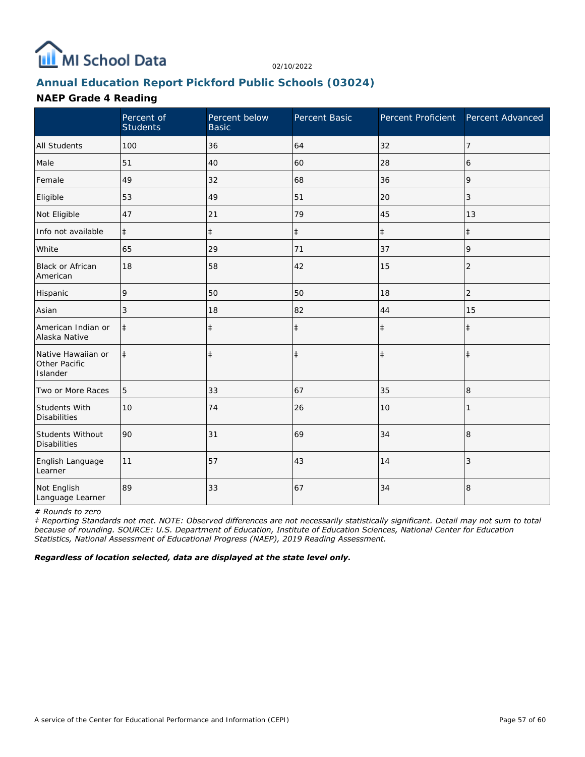

# **Annual Education Report Pickford Public Schools (03024)**

## **NAEP Grade 4 Reading**

|                                                 | Percent of<br><b>Students</b> | Percent below<br><b>Basic</b> | Percent Basic | Percent Proficient Percent Advanced |                |
|-------------------------------------------------|-------------------------------|-------------------------------|---------------|-------------------------------------|----------------|
| <b>All Students</b>                             | 100                           | 36                            | 64            | 32                                  | $\overline{7}$ |
| Male                                            | 51                            | 40                            | 60            | 28                                  | 6              |
| Female                                          | 49                            | 32                            | 68            | 36                                  | 9              |
| Eligible                                        | 53                            | 49                            | 51            | 20                                  | 3              |
| Not Eligible                                    | 47                            | 21                            | 79            | 45                                  | 13             |
| Info not available                              | $\ddagger$                    | $\ddagger$                    | $\ddagger$    | $\ddagger$                          | $\ddagger$     |
| White                                           | 65                            | 29                            | 71            | 37                                  | 9              |
| Black or African<br>American                    | 18                            | 58                            | 42            | 15                                  | $\overline{2}$ |
| Hispanic                                        | 9                             | 50                            | 50            | 18                                  | 2              |
| Asian                                           | 3                             | 18                            | 82            | 44                                  | 15             |
| American Indian or<br>Alaska Native             | $\ddagger$                    | $\ddagger$                    | $\ddagger$    | $\ddagger$                          | $\ddagger$     |
| Native Hawaiian or<br>Other Pacific<br>Islander | $\ddagger$                    | $\ddagger$                    | $\ddagger$    | $\ddagger$                          | $\ddagger$     |
| Two or More Races                               | 5                             | 33                            | 67            | 35                                  | 8              |
| Students With<br><b>Disabilities</b>            | 10                            | 74                            | 26            | 10                                  |                |
| Students Without<br><b>Disabilities</b>         | 90                            | 31                            | 69            | 34                                  | 8              |
| English Language<br>Learner                     | 11                            | 57                            | 43            | 14                                  | 3              |
| Not English<br>Language Learner                 | 89                            | 33                            | 67            | 34                                  | 8              |

*# Rounds to zero*

*‡ Reporting Standards not met. NOTE: Observed differences are not necessarily statistically significant. Detail may not sum to total because of rounding. SOURCE: U.S. Department of Education, Institute of Education Sciences, National Center for Education Statistics, National Assessment of Educational Progress (NAEP), 2019 Reading Assessment.*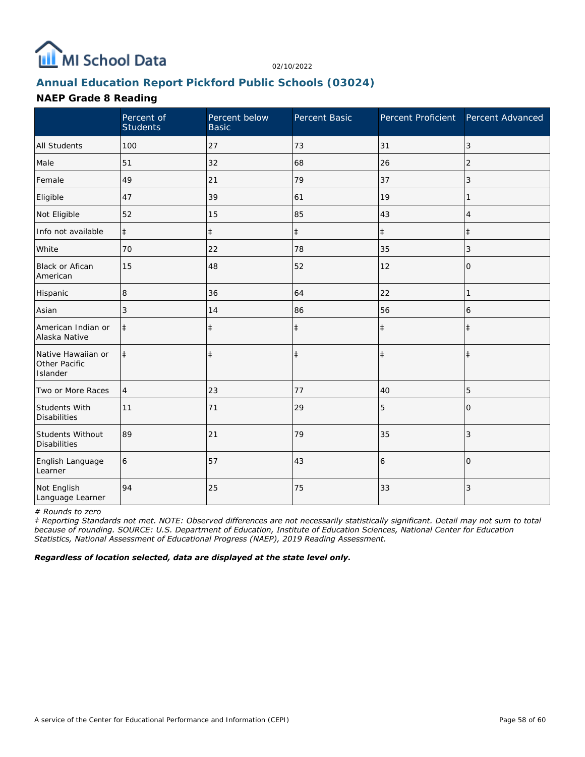

## **Annual Education Report Pickford Public Schools (03024)**

### **NAEP Grade 8 Reading**

|                                                 | Percent of<br><b>Students</b> | Percent below<br><b>Basic</b> | Percent Basic | Percent Proficient | Percent Advanced |
|-------------------------------------------------|-------------------------------|-------------------------------|---------------|--------------------|------------------|
| <b>All Students</b>                             | 100                           | 27                            | 73            | 31                 | 3                |
| Male                                            | 51                            | 32                            | 68            | 26                 | 2                |
| Female                                          | 49                            | 21                            | 79            | 37                 | 3                |
| Eligible                                        | 47                            | 39                            | 61            | 19                 | 1                |
| Not Eligible                                    | 52                            | 15                            | 85            | 43                 | 4                |
| Info not available                              | $\ddagger$                    | $\ddagger$                    | $\ddagger$    | $\ddagger$         | $\ddagger$       |
| White                                           | 70                            | 22                            | 78            | 35                 | 3                |
| Black or Afican<br>American                     | 15                            | 48                            | 52            | 12                 | 0                |
| Hispanic                                        | 8                             | 36                            | 64            | 22                 | 1                |
| Asian                                           | 3                             | 14                            | 86            | 56                 | 6                |
| American Indian or<br>Alaska Native             | $\ddagger$                    | $\ddagger$                    | $\ddagger$    | $\ddagger$         | $\ddagger$       |
| Native Hawaiian or<br>Other Pacific<br>Islander | $\ddagger$                    | $\ddagger$                    | $\ddagger$    | $\ddagger$         | $\ddagger$       |
| Two or More Races                               | $\overline{4}$                | 23                            | 77            | 40                 | 5                |
| Students With<br><b>Disabilities</b>            | 11                            | 71                            | 29            | 5                  | $\Omega$         |
| Students Without<br><b>Disabilities</b>         | 89                            | 21                            | 79            | 35                 | 3                |
| English Language<br>Learner                     | 6                             | 57                            | 43            | 6                  | $\overline{0}$   |
| Not English<br>Language Learner                 | 94                            | 25                            | 75            | 33                 | $\sqrt{3}$       |

*# Rounds to zero*

*‡ Reporting Standards not met. NOTE: Observed differences are not necessarily statistically significant. Detail may not sum to total because of rounding. SOURCE: U.S. Department of Education, Institute of Education Sciences, National Center for Education Statistics, National Assessment of Educational Progress (NAEP), 2019 Reading Assessment.*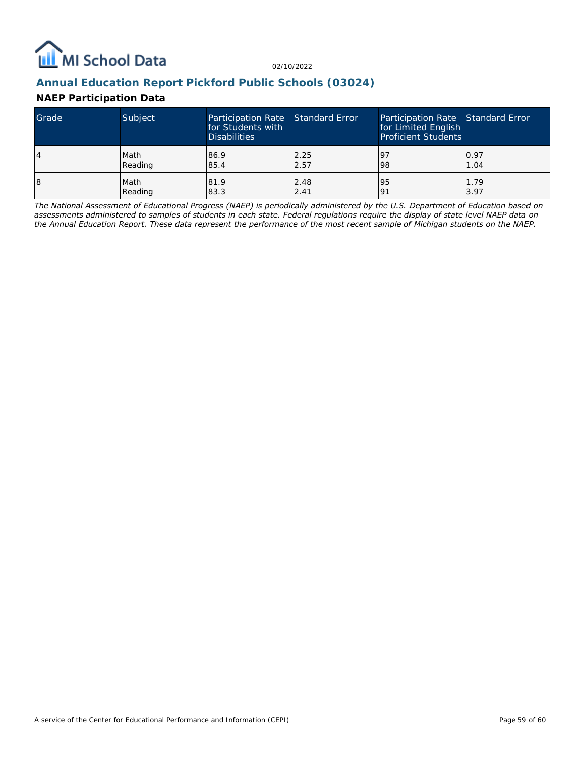

## **Annual Education Report Pickford Public Schools (03024)**

## **NAEP Participation Data**

| Grade | Subject | Participation Rate Standard Error<br>for Students with<br><b>Disabilities</b> |      | Participation Rate Standard Error<br>for Limited English<br><b>Proficient Students</b> |      |
|-------|---------|-------------------------------------------------------------------------------|------|----------------------------------------------------------------------------------------|------|
| 14    | Math    | 86.9                                                                          | 2.25 | <u>l</u> 9                                                                             | 0.97 |
|       | Reading | 85.4                                                                          | 2.57 | 98                                                                                     | 1.04 |
| 18    | Math    | 81.9                                                                          | 2.48 | '95                                                                                    | 1.79 |
|       | Reading | 83.3                                                                          | 2.41 | 191                                                                                    | 3.97 |

*The National Assessment of Educational Progress (NAEP) is periodically administered by the U.S. Department of Education based on assessments administered to samples of students in each state. Federal regulations require the display of state level NAEP data on the Annual Education Report. These data represent the performance of the most recent sample of Michigan students on the NAEP.*